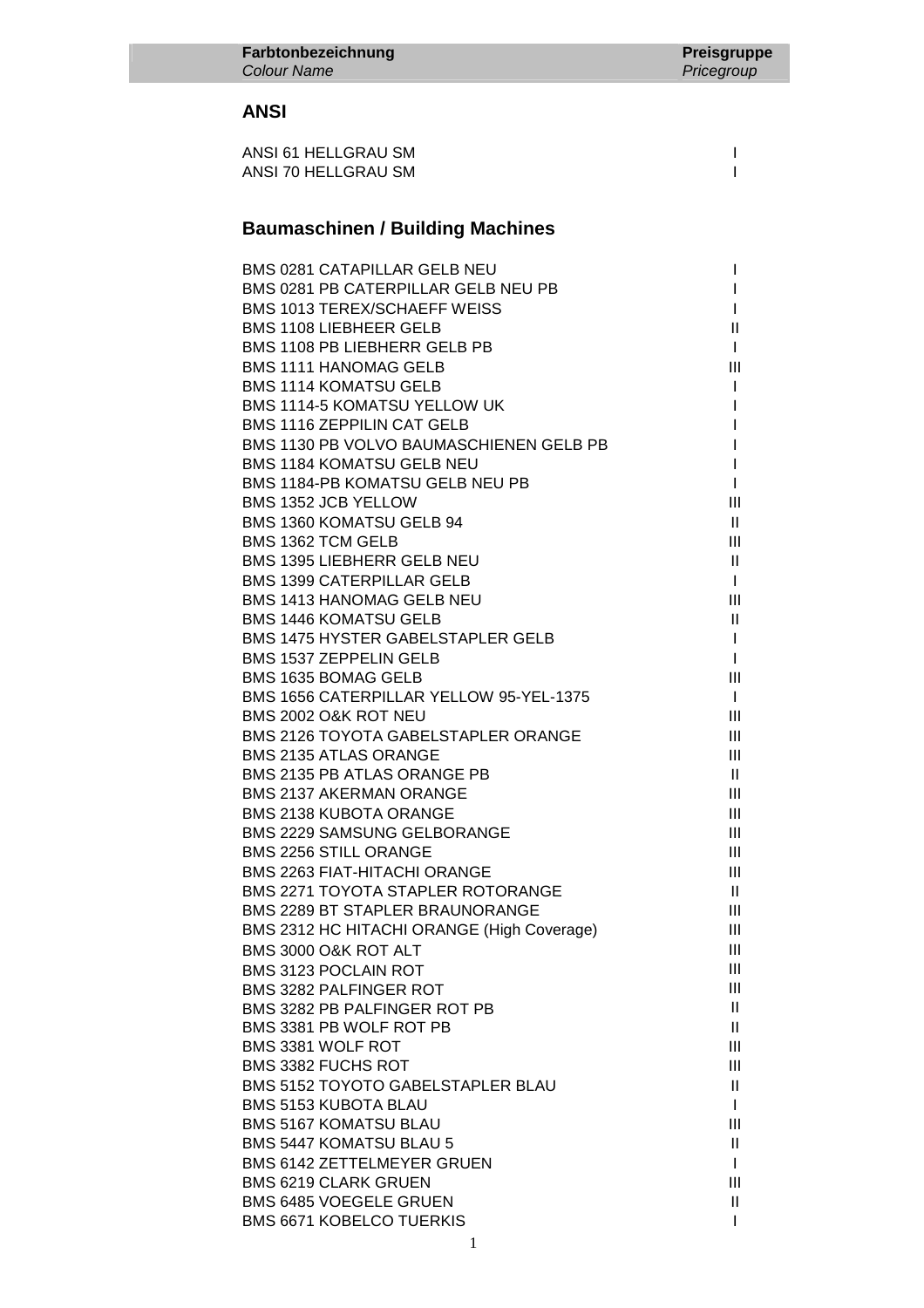#### **ANSI**

| ANSI 61 HELLGRAU SM |  |
|---------------------|--|
| ANSI 70 HELLGRAU SM |  |

## **Baumaschinen / Building Machines**

| <b>BMS 0281 CATAPILLAR GELB NEU</b> |                                            | L             |
|-------------------------------------|--------------------------------------------|---------------|
|                                     | BMS 0281 PB CATERPILLAR GELB NEU PB        | L             |
| <b>BMS 1013 TEREX/SCHAEFF WEISS</b> |                                            | L             |
| <b>BMS 1108 LIEBHEER GELB</b>       |                                            | Ш             |
| BMS 1108 PB LIEBHERR GELB PB        |                                            | $\mathbf{I}$  |
| <b>BMS 1111 HANOMAG GELB</b>        |                                            | Ш             |
| <b>BMS 1114 KOMATSU GELB</b>        |                                            | L             |
| BMS 1114-5 KOMATSU YELLOW UK        |                                            | L             |
| <b>BMS 1116 ZEPPILIN CAT GELB</b>   |                                            | L             |
|                                     | BMS 1130 PB VOLVO BAUMASCHIENEN GELB PB    | $\mathbf{I}$  |
| <b>BMS 1184 KOMATSU GELB NEU</b>    |                                            | $\mathbf{I}$  |
| BMS 1184-PB KOMATSU GELB NEU PB     |                                            | $\mathbf{I}$  |
| BMS 1352 JCB YELLOW                 |                                            | Ш             |
| BMS 1360 KOMATSU GELB 94            |                                            | $\mathbf{H}$  |
| BMS 1362 TCM GELB                   |                                            | Ш             |
| <b>BMS 1395 LIEBHERR GELB NEU</b>   |                                            | $\mathbf{H}$  |
| <b>BMS 1399 CATERPILLAR GELB</b>    |                                            | $\mathbf{I}$  |
| <b>BMS 1413 HANOMAG GELB NEU</b>    |                                            | Ш             |
| <b>BMS 1446 KOMATSU GELB</b>        |                                            | $\mathbf{H}$  |
|                                     | <b>BMS 1475 HYSTER GABELSTAPLER GELB</b>   | $\mathbf{I}$  |
| <b>BMS 1537 ZEPPELIN GELB</b>       |                                            | $\mathbf{I}$  |
| BMS 1635 BOMAG GELB                 |                                            | Ш             |
|                                     | BMS 1656 CATERPILLAR YELLOW 95-YEL-1375    | $\mathbf{I}$  |
|                                     |                                            |               |
| BMS 2002 O&K ROT NEU                |                                            | Ш             |
|                                     | <b>BMS 2126 TOYOTA GABELSTAPLER ORANGE</b> | Ш             |
| <b>BMS 2135 ATLAS ORANGE</b>        |                                            | Ш             |
| BMS 2135 PB ATLAS ORANGE PB         |                                            | H.            |
| <b>BMS 2137 AKERMAN ORANGE</b>      |                                            | Ш             |
| <b>BMS 2138 KUBOTA ORANGE</b>       |                                            | Ш             |
| <b>BMS 2229 SAMSUNG GELBORANGE</b>  |                                            | III           |
| BMS 2256 STILL ORANGE               |                                            | III           |
| <b>BMS 2263 FIAT-HITACHI ORANGE</b> |                                            | III           |
|                                     | BMS 2271 TOYOTA STAPLER ROTORANGE          | $\mathbf{II}$ |
| BMS 2289 BT STAPLER BRAUNORANGE     |                                            | Ш             |
|                                     | BMS 2312 HC HITACHI ORANGE (High Coverage) | Ш             |
| BMS 3000 O&K ROT ALT                |                                            | Ш             |
| <b>BMS 3123 POCLAIN ROT</b>         |                                            | Ш             |
| <b>BMS 3282 PALFINGER ROT</b>       |                                            | Ш             |
| BMS 3282 PB PALFINGER ROT PB        |                                            | H.            |
| BMS 3381 PB WOLF ROT PB             |                                            | $\mathbf{H}$  |
| BMS 3381 WOLF ROT                   |                                            | Ш             |
| <b>BMS 3382 FUCHS ROT</b>           |                                            | Ш             |
|                                     | <b>BMS 5152 TOYOTO GABELSTAPLER BLAU</b>   | H.            |
| <b>BMS 5153 KUBOTA BLAU</b>         |                                            | $\mathbf{I}$  |
| <b>BMS 5167 KOMATSU BLAU</b>        |                                            | Ш             |
| <b>BMS 5447 KOMATSU BLAU 5</b>      |                                            | $\mathbf{H}$  |
| <b>BMS 6142 ZETTELMEYER GRUEN</b>   |                                            | $\mathbf{I}$  |
| <b>BMS 6219 CLARK GRUEN</b>         |                                            | Ш             |
| <b>BMS 6485 VOEGELE GRUEN</b>       |                                            | H.            |
| <b>BMS 6671 KOBELCO TUERKIS</b>     |                                            | L             |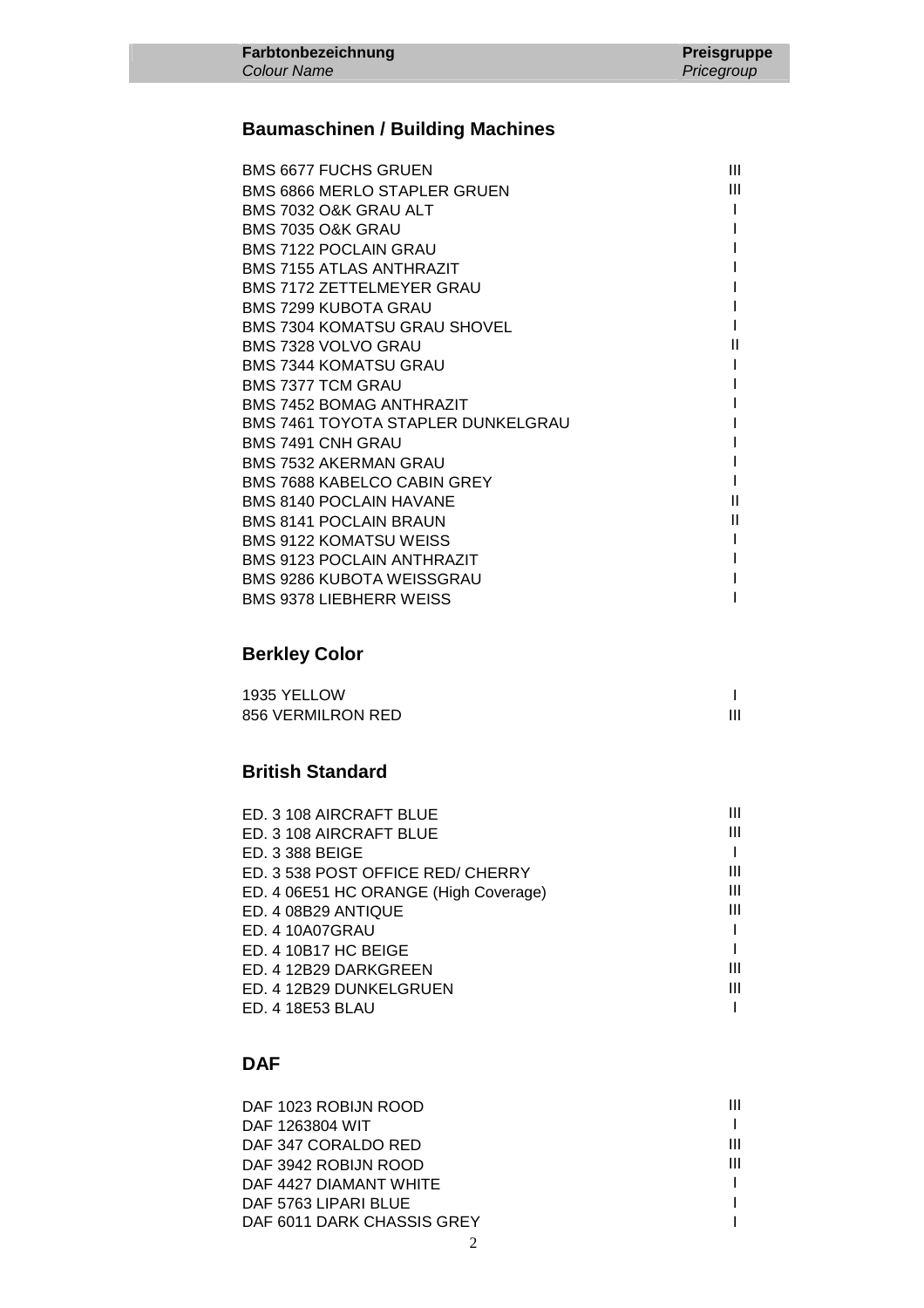## **Baumaschinen / Building Machines**

| <b>BMS 6677 FUCHS GRUEN</b>               | Ш |
|-------------------------------------------|---|
| <b>BMS 6866 MERLO STAPLER GRUEN</b>       | Ш |
| BMS 7032 O&K GRAU ALT                     |   |
| BMS 7035 O&K GRAU                         |   |
| <b>BMS 7122 POCLAIN GRAU</b>              |   |
| <b>BMS 7155 ATLAS ANTHRAZIT</b>           |   |
| <b>BMS 7172 ZETTELMEYER GRAU</b>          |   |
| <b>BMS 7299 KUBOTA GRAU</b>               |   |
| <b>BMS 7304 KOMATSU GRAU SHOVEL</b>       |   |
| BMS 7328 VOLVO GRAU                       | Ш |
| <b>BMS 7344 KOMATSU GRAU</b>              |   |
| <b>BMS 7377 TCM GRAU</b>                  |   |
| <b>BMS 7452 BOMAG ANTHRAZIT</b>           |   |
| <b>BMS 7461 TOYOTA STAPLER DUNKELGRAU</b> |   |
| BMS 7491 CNH GRAU                         |   |
| BMS 7532 AKERMAN GRAU                     |   |
| BMS 7688 KABELCO CABIN GREY               |   |
| <b>BMS 8140 POCLAIN HAVANE</b>            | Ш |
| <b>BMS 8141 POCLAIN BRAUN</b>             | Ш |
| <b>BMS 9122 KOMATSU WEISS</b>             |   |
| <b>BMS 9123 POCLAIN ANTHRAZIT</b>         |   |
| BMS 9286 KUBOTA WEISSGRAU                 |   |
| <b>BMS 9378 LIEBHERR WEISS</b>            |   |
|                                           |   |

### **Berkley Color**

| 1935 YELLOW       |  |
|-------------------|--|
| 856 VERMILRON RED |  |

### **British Standard**

| ED. 3 108 AIRCRAFT BLUE               |   |
|---------------------------------------|---|
| ED. 3 108 AIRCRAFT BLUE               |   |
| ED. 3 388 BEIGE                       |   |
| ED. 3 538 POST OFFICE RED/ CHERRY     | Ш |
| ED. 4 06E51 HC ORANGE (High Coverage) | Ш |
| ED. 4 08B29 ANTIQUE                   | Ш |
| ED. 4 10A07GRAU                       |   |
| ED. 4 10B17 HC BEIGE                  |   |
| ED. 4 12B29 DARKGREEN                 | ш |
| ED. 4 12B29 DUNKELGRUEN               | Ш |
| ED. 4 18E53 BLAU                      |   |

## **DAF**

| DAF 1023 ROBIJN ROOD       |   |
|----------------------------|---|
| DAF 1263804 WIT            |   |
| DAF 347 CORALDO RED        | Ш |
| DAF 3942 ROBIJN ROOD       | Ш |
| DAF 4427 DIAMANT WHITE     |   |
| DAF 5763 LIPARI BLUE       |   |
| DAF 6011 DARK CHASSIS GREY |   |
|                            |   |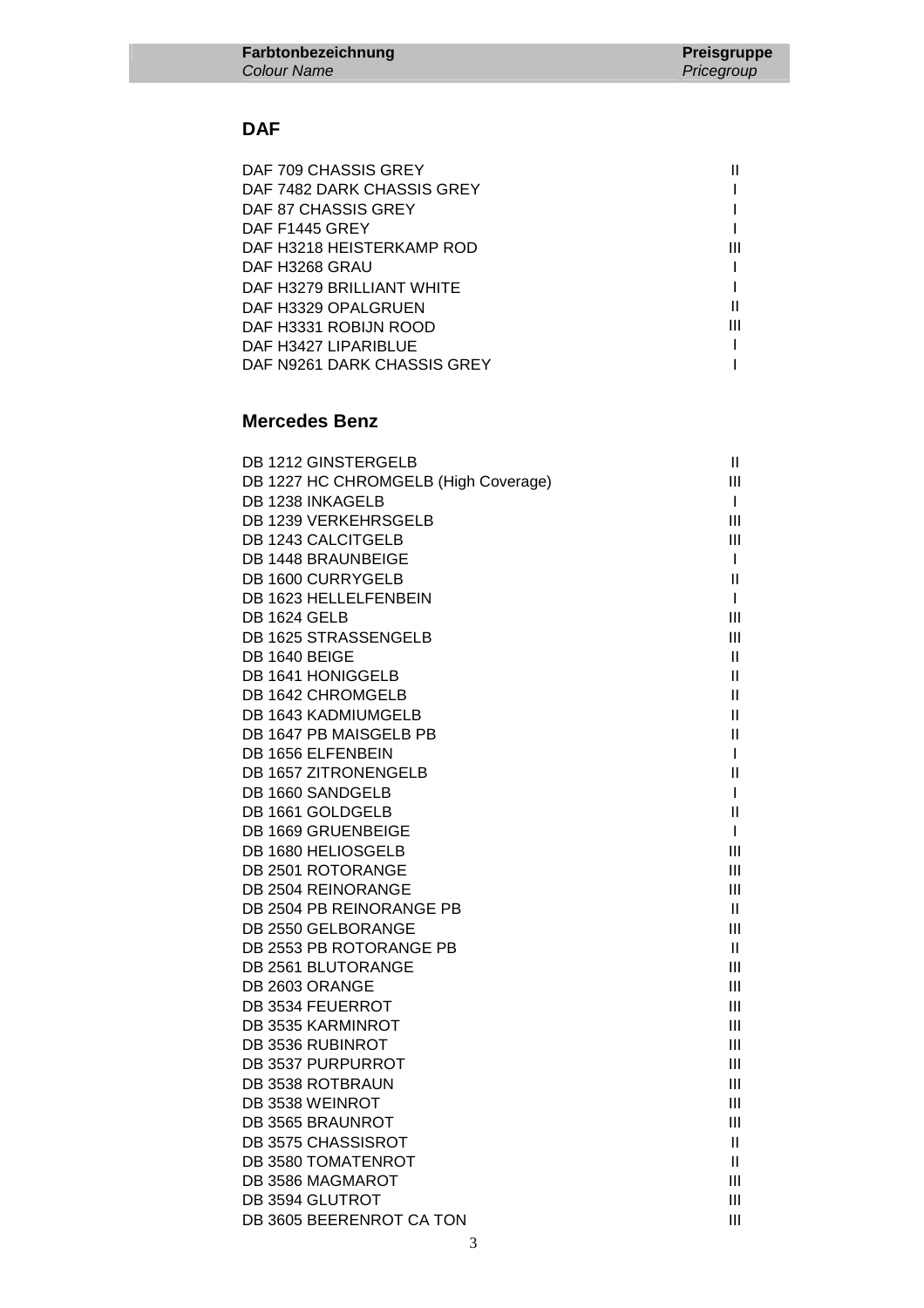### **DAF**

| Ш |
|---|
| Ш |
|   |
|   |
|   |

### **Mercedes Benz**

| DB 1212 GINSTERGELB                  | $\mathbf{II}$ |
|--------------------------------------|---------------|
| DB 1227 HC CHROMGELB (High Coverage) | III           |
| DB 1238 INKAGELB                     | $\mathbf{I}$  |
| DB 1239 VERKEHRSGELB                 | Ш             |
| DB 1243 CALCITGELB                   | Ш             |
| DB 1448 BRAUNBEIGE                   | $\mathbf{I}$  |
| DB 1600 CURRYGELB                    | $\mathbf{II}$ |
| DB 1623 HELLELFENBEIN                | $\mathbf{I}$  |
| <b>DB 1624 GELB</b>                  | III           |
| DB 1625 STRASSENGELB                 | Ш             |
| DB 1640 BEIGE                        | Ш             |
| DB 1641 HONIGGELB                    | Ш             |
| DB 1642 CHROMGELB                    | Ш             |
| DB 1643 KADMIUMGELB                  | $\mathbf{I}$  |
| DB 1647 PB MAISGELB PB               | $\mathbf{II}$ |
| DB 1656 ELFENBEIN                    | $\mathsf{I}$  |
| DB 1657 ZITRONENGELB                 | $\mathbf{I}$  |
| DB 1660 SANDGELB                     | T             |
| DB 1661 GOLDGELB                     | $\mathbf{I}$  |
| DB 1669 GRUENBEIGE                   | $\mathsf{I}$  |
| DB 1680 HELIOSGELB                   | III           |
| DB 2501 ROTORANGE                    | Ш             |
| DB 2504 REINORANGE                   | Ш             |
| DB 2504 PB REINORANGE PB             | $\mathbf{I}$  |
| DB 2550 GELBORANGE                   | Ш             |
| DB 2553 PB ROTORANGE PB              | $\mathbf{H}$  |
| DB 2561 BLUTORANGE                   | III           |
| DB 2603 ORANGE                       | Ш             |
| DB 3534 FEUERROT                     | Ш             |
| DB 3535 KARMINROT                    | Ш             |
| DB 3536 RUBINROT                     | Ш             |
| DB 3537 PURPURROT                    | III           |
| DB 3538 ROTBRAUN                     | Ш             |
| DB 3538 WEINROT                      | Ш             |
| DB 3565 BRAUNROT                     | Ш             |
| DB 3575 CHASSISROT                   | $\mathbf{I}$  |
| DB 3580 TOMATENROT                   | Ш             |
| DB 3586 MAGMAROT                     | Ш             |
| DB 3594 GLUTROT                      | Ш             |
| DB 3605 BEERENROT CA TON             | Ш             |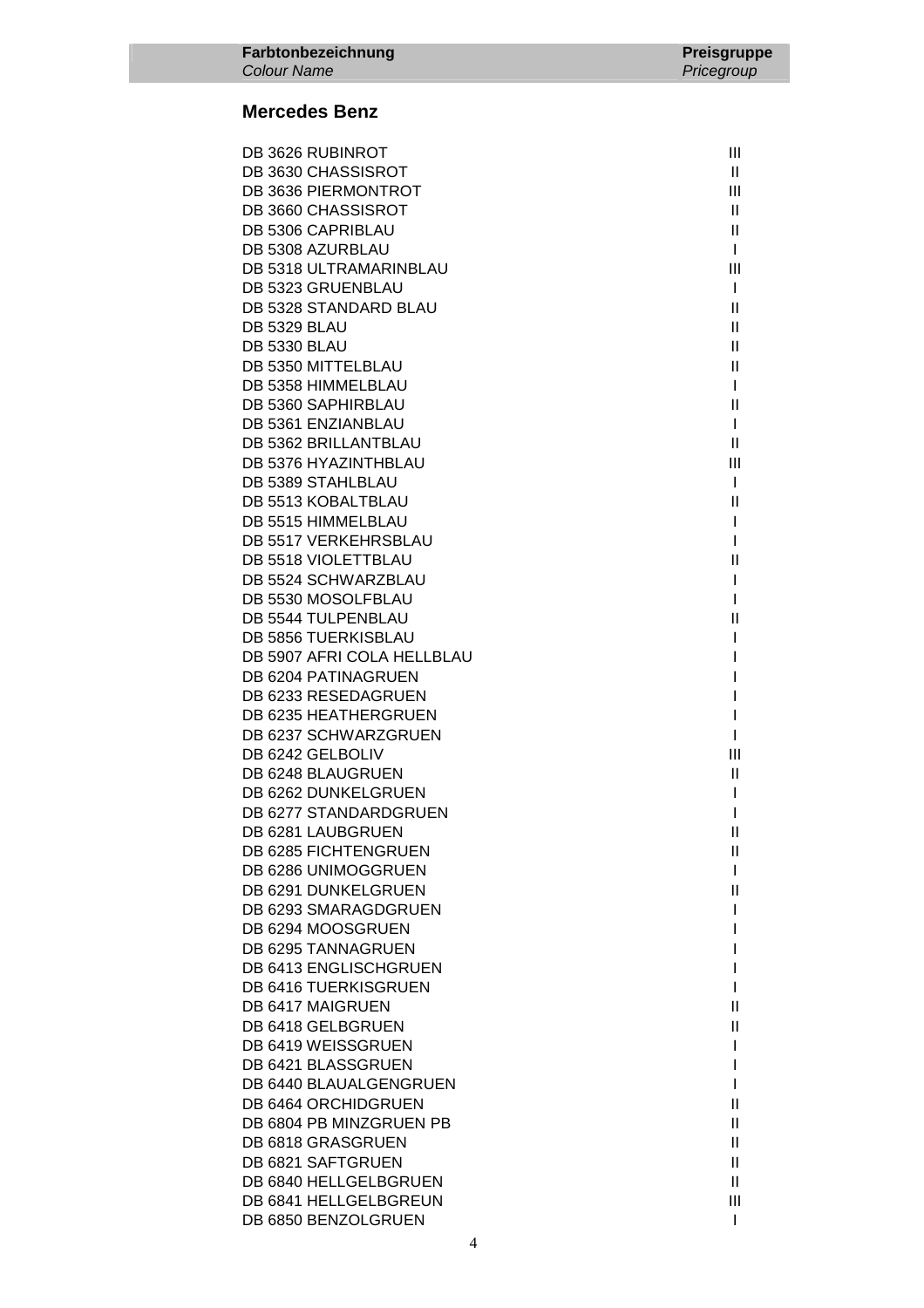### **Mercedes Benz**

| DB 3626 RUBINROT                             | Ш                          |
|----------------------------------------------|----------------------------|
| DB 3630 CHASSISROT                           | Ш.                         |
| <b>DB 3636 PIERMONTROT</b>                   | III                        |
| DB 3660 CHASSISROT                           | $\mathbf{H}$               |
| DB 5306 CAPRIBLAU                            | $\mathbf{II}$              |
| DB 5308 AZURBLAU                             | $\mathbf{I}$               |
| DB 5318 ULTRAMARINBLAU                       | Ш                          |
| DB 5323 GRUENBLAU                            | $\mathbf{I}$               |
| DB 5328 STANDARD BLAU                        | $\mathbf{II}$              |
| <b>DB 5329 BLAU</b>                          | $\mathbf{II}$              |
| <b>DB 5330 BLAU</b>                          | $\mathbf{II}$              |
| DB 5350 MITTELBLAU                           | $\mathbf{II}$              |
| DB 5358 HIMMELBLAU                           | $\mathbf{I}$               |
| DB 5360 SAPHIRBLAU                           | Ш                          |
| DB 5361 ENZIANBLAU                           | $\mathbf{I}$               |
| DB 5362 BRILLANTBLAU<br>DB 5376 HYAZINTHBLAU | $\mathbf{II}$<br>III       |
| DB 5389 STAHLBLAU                            | $\mathbf{I}$               |
| DB 5513 KOBALTBLAU                           | $\mathbf{II}$              |
| DB 5515 HIMMELBLAU                           | L                          |
| <b>DB 5517 VERKEHRSBLAU</b>                  | L                          |
| DB 5518 VIOLETTBLAU                          | Ш                          |
| DB 5524 SCHWARZBLAU                          | I                          |
| DB 5530 MOSOLFBLAU                           | L                          |
| DB 5544 TULPENBLAU                           | $\mathbf{II}$              |
| DB 5856 TUERKISBLAU                          | I                          |
| DB 5907 AFRI COLA HELLBLAU                   |                            |
| DB 6204 PATINAGRUEN                          |                            |
| DB 6233 RESEDAGRUEN                          | I                          |
| DB 6235 HEATHERGRUEN                         | I                          |
| DB 6237 SCHWARZGRUEN                         | I                          |
| DB 6242 GELBOLIV                             | Ш                          |
| DB 6248 BLAUGRUEN                            | Ш                          |
| DB 6262 DUNKELGRUEN                          | I.                         |
| DB 6277 STANDARDGRUEN                        | I                          |
| DB 6281 LAUBGRUEN                            | Ш                          |
| DB 6285 FICHTENGRUEN                         | Ш                          |
| DB 6286 UNIMOGGRUEN                          | $\mathbf{I}$               |
| DB 6291 DUNKELGRUEN<br>DB 6293 SMARAGDGRUEN  | $\mathbf{H}$<br>I          |
| DB 6294 MOOSGRUEN                            |                            |
| DB 6295 TANNAGRUEN                           |                            |
| DB 6413 ENGLISCHGRUEN                        |                            |
| DB 6416 TUERKISGRUEN                         |                            |
| DB 6417 MAIGRUEN                             | Ш                          |
| DB 6418 GELBGRUEN                            | Ш                          |
| DB 6419 WEISSGRUEN                           | I                          |
| DB 6421 BLASSGRUEN                           |                            |
| DB 6440 BLAUALGENGRUEN                       | I                          |
| DB 6464 ORCHIDGRUEN                          | Ш                          |
| DB 6804 PB MINZGRUEN PB                      | $\ensuremath{\mathsf{II}}$ |
| DB 6818 GRASGRUEN                            | $\mathbf{H}$               |
| DB 6821 SAFTGRUEN                            | $\mathbf{II}$              |
| DB 6840 HELLGELBGRUEN                        | $\mathbf{II}$              |
| DB 6841 HELLGELBGREUN                        | Ш                          |
| DB 6850 BENZOLGRUEN                          | $\mathbf{I}$               |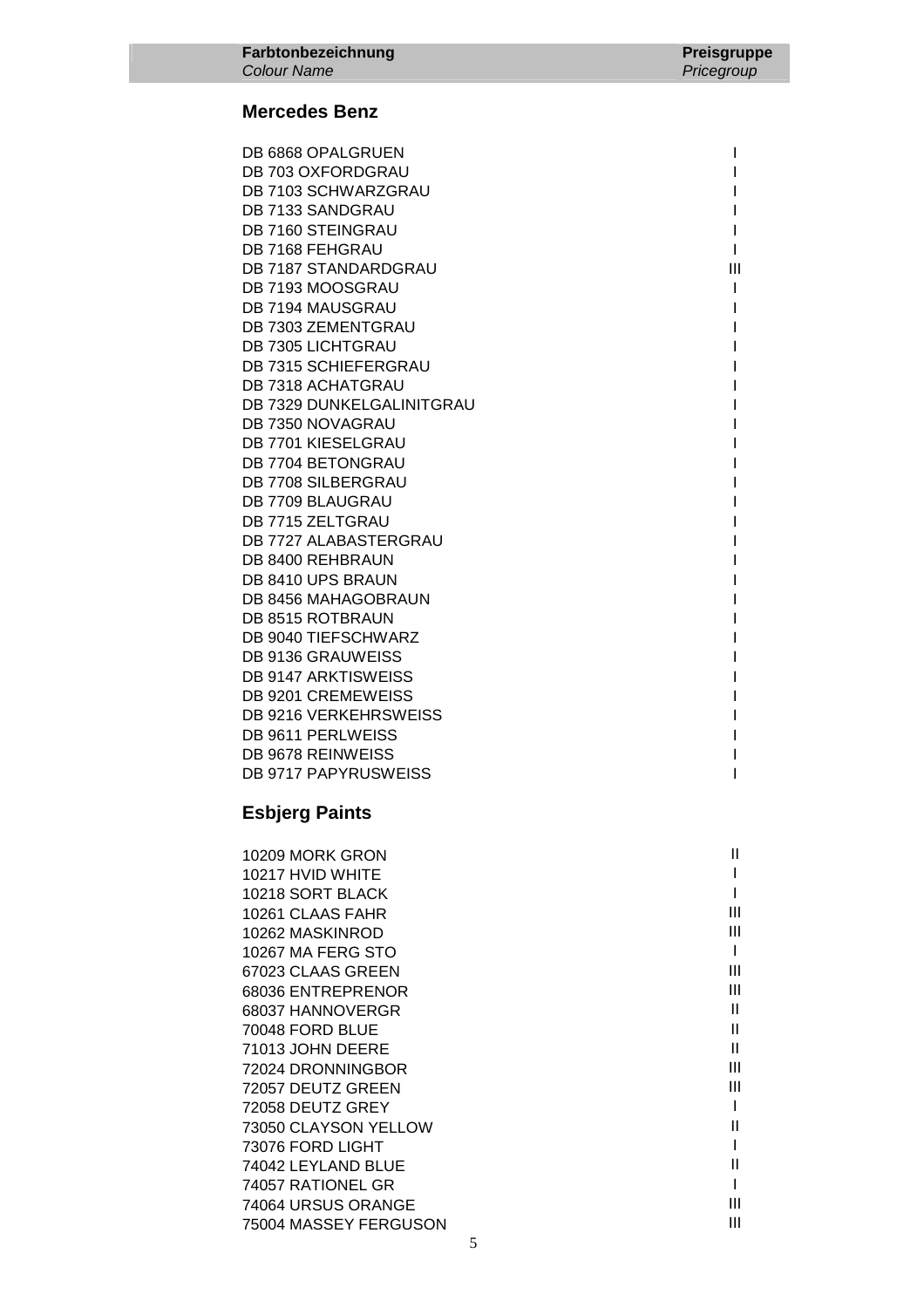#### **Mercedes Benz**

DB 6868 OPALGRUEN IN A SERIES OF A SERIES OF A SERIES OF A SERIES OF A SERIES OF A SERIES OF A SERIES OF A SERIES OF A SERIES OF A SERIES OF A SERIES OF A SERIES OF A SERIES OF A SERIES OF A SERIES OF A SERIES OF A SERIES DB 703 OXFORDGRAU AND THE SERVICE OF THE SERVICE OF THE SERVICE OF THE SERVICE OF THE SERVICE OF THE SERVICE O DB 7103 SCHWARZGRAU NEWSTER STATES OF THE RESERVE OF THE RESERVE OF THE RESERVE OF THE RESERVE OF THE RESERVE O DB 7133 SANDGRAU **International Contract Contract Contract Contract Contract Contract Contract Contract Contract Contract Contract Contract Contract Contract Contract Contract Contract Contract Contract Contract Contract C** DB 7160 STEINGRAU AND THE STEEL OF THE STEEL OF THE STEEL OF THE STEEL OF THE STEEL OF THE STEEL OF THE STEEL OF THE STEEL OF THE STEEL OF THE STEEL OF THE STEEL OF THE STEEL OF THE STEEL OF THE STEEL OF THE STEEL OF THE S DB 7168 FEHGRAU AND THE STATE OF THE STATE OF THE STATE OF THE STATE OF THE STATE OF THE STATE OF THE STATE OF THE STATE OF THE STATE OF THE STATE OF THE STATE OF THE STATE OF THE STATE OF THE STATE OF THE STATE OF THE STA DB 7187 STANDARDGRAU **III**III DB 7193 MOOSGRAU ISLAMING TO A LITTLE AND THE USE OF THE USE OF THE USE OF THE USE OF THE USE OF THE USE OF THE USE OF THE USE OF THE USE OF THE USE OF THE USE OF THE USE OF THE USE OF THE USE OF THE USE OF THE USE OF THE DB 7194 MAUSGRAU AND THE STATE OF THE STATE OF THE STATE OF THE STATE OF THE STATE OF THE STATE OF THE STATE O DB 7303 ZEMENTGRAU AND THE STATE OF THE STATE OF THE STATE OF THE STATE OF THE STATE OF THE STATE OF THE STATE OF THE STATE OF THE STATE OF THE STATE OF THE STATE OF THE STATE OF THE STATE OF THE STATE OF THE STATE OF THE DB 7305 LICHTGRAU AND THE STATE OF THE STATE OF THE STATE OF THE STATE OF THE STATE OF THE STATE OF THE STATE O DB 7315 SCHIEFERGRAU AND THE SCHIEFERGRAU DB 7318 ACHATGRAU **International Studies and Activity** and Activity and Activity and Activity and Activity and A DB 7329 DUNKELGALINITGRAU INTERNATIONALISMENT INTERNATIONALISMENT INTERNATIONALISMENT INTERNATIONALISMENT INTERNATIONALISMENT INTERNATIONALISMENT INTERNATIONALISMENT INTERNATIONALISMENT INTERNATIONALISMENT INTERNATIONALISM DB 7350 NOVAGRAU INTERNATIONAL ENTREMINATION IN A CHARGE IN A CHARGE INTERNATIONAL INTERNATIONAL INTERNATIONAL DB 7701 KIESELGRAU I DB 7704 BETONGRAU AND THE SERVICE OF THE SERVICE OF THE SERVICE OF THE SERVICE OF THE SERVICE OF THE SERVICE O DB 7708 SILBERGRAU I DB 7709 BLAUGRAU AND THE STATE OF THE STATE OF THE STATE OF THE STATE OF THE STATE OF THE STATE OF THE STATE O DB 7715 ZELTGRAU AND THE STATE OF THE STATE OF THE STATE OF THE STATE OF THE STATE OF THE STATE OF THE STATE O DB 7727 ALABASTERGRAU I DB 8400 REHBRAUN I DB 8410 UPS BRAUN IN A SERIES OF THE SERIES OF THE SERIES OF THE SERIES OF THE SERIES OF THE SERIES OF THE SERIES OF THE SERIES OF THE SERIES OF THE SERIES OF THE SERIES OF THE SERIES OF THE SERIES OF THE SERIES OF THE SER DB 8456 MAHAGOBRAUN I DB 8515 ROTBRAUN I DB 9040 TIEFSCHWARZ I DB 9136 GRAUWEISS AND THE SERVICE OF THE SERVICE OF THE SERVICE OF THE SERVICE OF THE SERVICE OF THE SERVICE OF THE SERVICE OF THE SERVICE OF THE SERVICE OF THE SERVICE OF THE SERVICE OF THE SERVICE OF THE SERVICE OF THE S DB 9147 ARKTISWEISS **In the US of the US of the US of the US of the US of the US of the US of the US of the US** DB 9201 CREMEWEISS **I** DB 9216 VERKEHRSWEISS AND INVESTIGATION OF THE UPS IN THE UPS IN THE UPS IN THE UPS IN THE UPS IN THE UPS IN THE UPS IN THE UPS IN THE UPS IN THE UPS IN THE UPS IN THE UPS IN THE UPS IN THE UPS IN THE UPS IN THE UPS IN THE DB 9611 PERLWEISS AND INVESTIGATION OF THE RESERVE OF THE RESERVE OF THE RESERVE OF THE RESERVE OF THE RESERVE OF THE RESERVE OF THE RESERVE OF THE RESERVE OF THE RESERVE OF THE RESERVE OF THE RESERVE OF THE RESERVE OF THE DB 9678 REINWEISS **In the US of the US of the US of the US of the US of the US of the US of the US of the US of the US of the US of the US of the US of the US of the US of the US of the US of the US of the US of the US of** DB 9717 PAPYRUSWEISS And the state of the state of the state of the state of the state of the state of the state of the state of the state of the state of the state of the state of the state of the state of the state of th

#### **Esbjerg Paints**

| 10209 MORK GRON       |   |
|-----------------------|---|
| 10217 HVID WHITE      |   |
| 10218 SORT BLACK      |   |
| 10261 CLAAS FAHR      | Ш |
| 10262 MASKINROD       | Ш |
| 10267 MA FERG STO     |   |
| 67023 CLAAS GREEN     | Ш |
| 68036 ENTREPRENOR     | Ш |
| 68037 HANNOVERGR      | Ш |
| 70048 FORD BLUE       | Ш |
| 71013 JOHN DEERE      | Ш |
| 72024 DRONNINGBOR     | Ш |
| 72057 DEUTZ GREEN     | Ш |
| 72058 DEUTZ GREY      |   |
| 73050 CLAYSON YELLOW  | Ш |
| 73076 FORD LIGHT      |   |
| 74042 LEYLAND BLUE    | Ш |
| 74057 RATIONEL GR     |   |
| 74064 URSUS ORANGE    | Ш |
| 75004 MASSEY FERGUSON | Ш |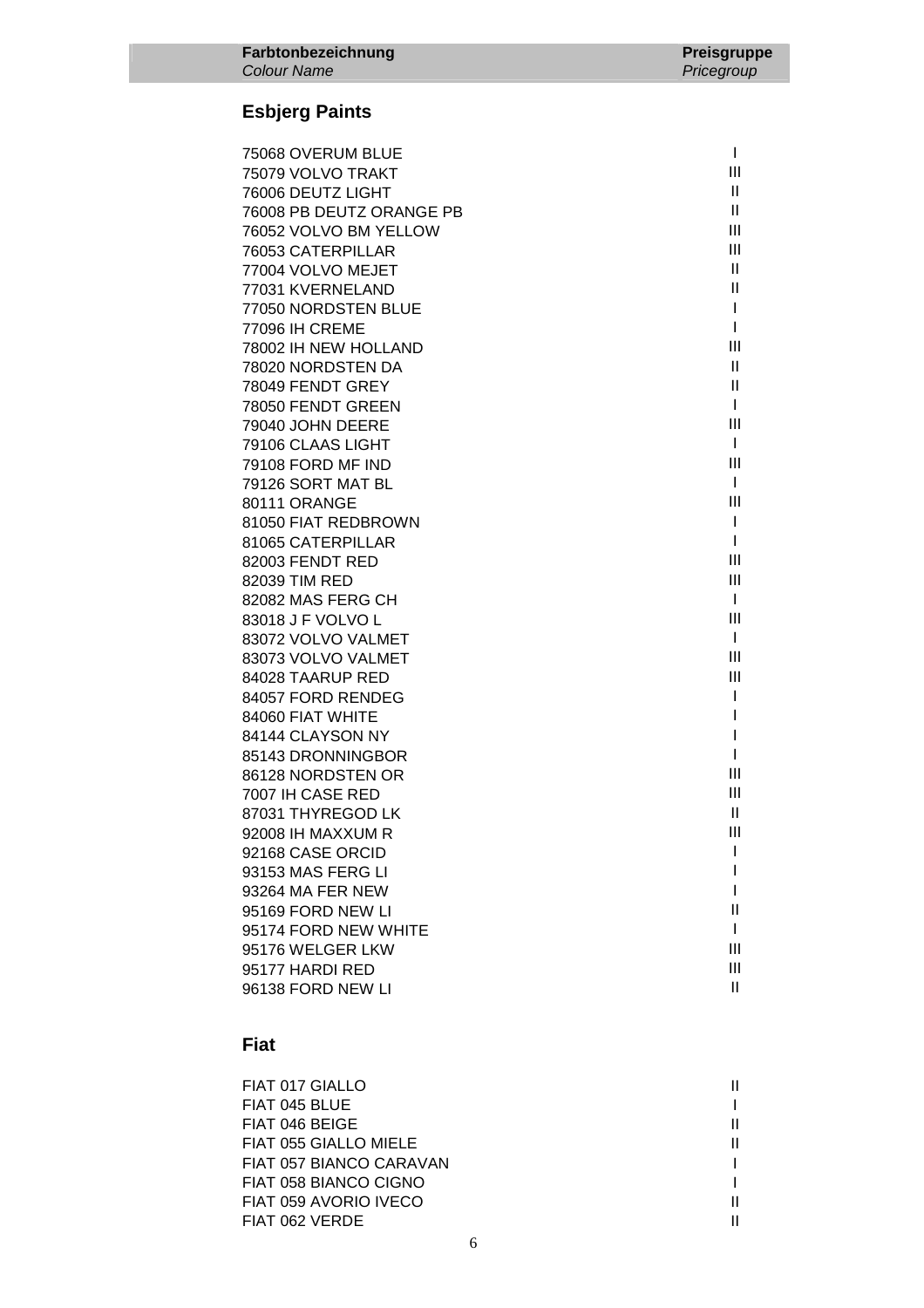## **Esbjerg Paints**

| 75068 OVERUM BLUE        | I            |
|--------------------------|--------------|
| 75079 VOLVO TRAKT        | Ш            |
| 76006 DEUTZ LIGHT        | $\mathbf{H}$ |
| 76008 PB DEUTZ ORANGE PB | Ш            |
| 76052 VOLVO BM YELLOW    | Ш            |
| 76053 CATERPILLAR        | Ш            |
| 77004 VOLVO MEJET        | H.           |
| 77031 KVERNELAND         | Ш            |
| 77050 NORDSTEN BLUE      | T            |
| 77096 IH CREME           | I            |
| 78002 IH NEW HOLLAND     | Ш            |
| 78020 NORDSTEN DA        | $\mathbf{H}$ |
| 78049 FENDT GREY         | Ш            |
| 78050 FENDT GREEN        | T            |
| 79040 JOHN DEERE         | Ш            |
| 79106 CLAAS LIGHT        | $\mathbf{I}$ |
| 79108 FORD MF IND        | Ш            |
| 79126 SORT MAT BL        | I            |
| 80111 ORANGE             | Ш            |
| 81050 FIAT REDBROWN      | I            |
| 81065 CATERPILLAR        | I            |
| 82003 FENDT RED          | Ш            |
| 82039 TIM RED            | Ш            |
| 82082 MAS FERG CH        | $\mathbf{I}$ |
| 83018 J F VOLVO L        | Ш            |
| 83072 VOLVO VALMET       | $\mathbf{I}$ |
| 83073 VOLVO VALMET       | Ш            |
| 84028 TAARUP RED         | Ш            |
| 84057 FORD RENDEG        | I            |
| 84060 FIAT WHITE         | I            |
| 84144 CLAYSON NY         | I            |
| 85143 DRONNINGBOR        | I            |
| 86128 NORDSTEN OR        | Ш            |
| 7007 IH CASE RED         | Ш            |
| 87031 THYREGOD LK        | $\mathbf{H}$ |
| 92008 IH MAXXUM R        | Ш            |
| 92168 CASE ORCID         | ı            |
| 93153 MAS FERG LI        |              |
| 93264 MA FER NEW         |              |
| 95169 FORD NEW LI        | Ш            |
| 95174 FORD NEW WHITE     | I            |
| 95176 WELGER LKW         | Ш            |
| 95177 HARDI RED          | Ш            |
| 96138 FORD NEW LI        | Ш            |

### **Fiat**

| FIAT 017 GIALLO         |  |
|-------------------------|--|
| FIAT 045 BLUE           |  |
| FIAT 046 BEIGE          |  |
| FIAT 055 GIALLO MIELE   |  |
| FIAT 057 BIANCO CARAVAN |  |
| FIAT 058 BIANCO CIGNO   |  |
| FIAT 059 AVORIO IVECO   |  |
| FIAT 062 VERDE          |  |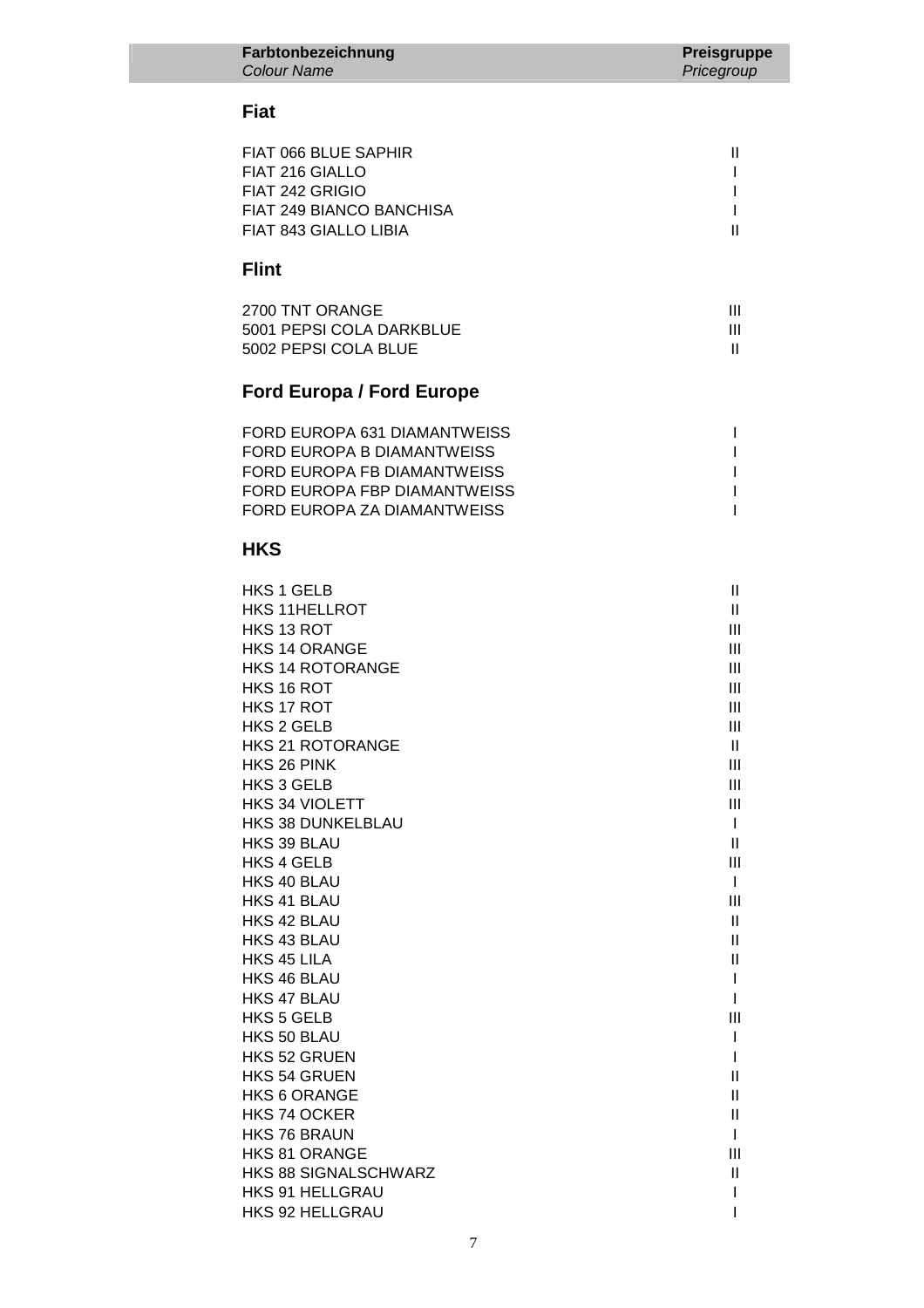#### **Fiat**

| FIAT 066 BLUE SAPHIR     |  |
|--------------------------|--|
| FIAT 216 GIALLO          |  |
| FIAT 242 GRIGIO          |  |
| FIAT 249 BIANCO BANCHISA |  |
| FIAT 843 GIALLO LIBIA    |  |

## **Flint**

| 2700 TNT ORANGE          |  |
|--------------------------|--|
| 5001 PEPSI COLA DARKBLUE |  |
| 5002 PEPSI COLA BLUE     |  |

# **Ford Europa / Ford Europe**

| FORD EUROPA 631 DIAMANTWEISS |  |
|------------------------------|--|
| FORD EUROPA B DIAMANTWEISS   |  |
| FORD EUROPA FB DIAMANTWEISS  |  |
| FORD EUROPA FBP DIAMANTWEISS |  |
| FORD EUROPA ZA DIAMANTWEISS  |  |

### **HKS**

| <b>HKS 1 GELB</b>       | $\mathbf{II}$  |
|-------------------------|----------------|
| <b>HKS 11HELLROT</b>    | $\mathbf{II}$  |
| HKS 13 ROT              | Ш              |
| <b>HKS 14 ORANGE</b>    | Ш              |
| <b>HKS 14 ROTORANGE</b> | Ш              |
| HKS 16 ROT              | $\mathbf{III}$ |
| HKS 17 ROT              | III            |
| <b>HKS 2 GELB</b>       | Ш              |
| <b>HKS 21 ROTORANGE</b> | Ш              |
| HKS 26 PINK             | Ш              |
| <b>HKS 3 GELB</b>       | Ш              |
| <b>HKS 34 VIOLETT</b>   | Ш              |
| HKS 38 DUNKELBLAU       | L              |
| HKS 39 BLAU             | $\mathbf{II}$  |
| <b>HKS 4 GELB</b>       | III            |
| HKS 40 BLAU             | L              |
| HKS 41 BLAU             | III            |
| HKS 42 BLAU             | $\mathbf{H}$   |
| HKS 43 BLAU             | Ш              |
| HKS 45 LILA             | $\mathbf{I}$   |
| HKS 46 BLAU             |                |
| HKS 47 BLAU             |                |
| <b>HKS 5 GELB</b>       | III            |
| HKS 50 BLAU             |                |
| HKS 52 GRUEN            |                |
| <b>HKS 54 GRUEN</b>     | Ш              |
| <b>HKS 6 ORANGE</b>     | Ш              |
| HKS 74 OCKER            | $\mathbf{  }$  |
| <b>HKS 76 BRAUN</b>     |                |
| HKS 81 ORANGE           | Ш              |
| HKS 88 SIGNALSCHWARZ    | $\mathbf{I}$   |
| <b>HKS 91 HELLGRAU</b>  |                |
| <b>HKS 92 HELLGRAU</b>  |                |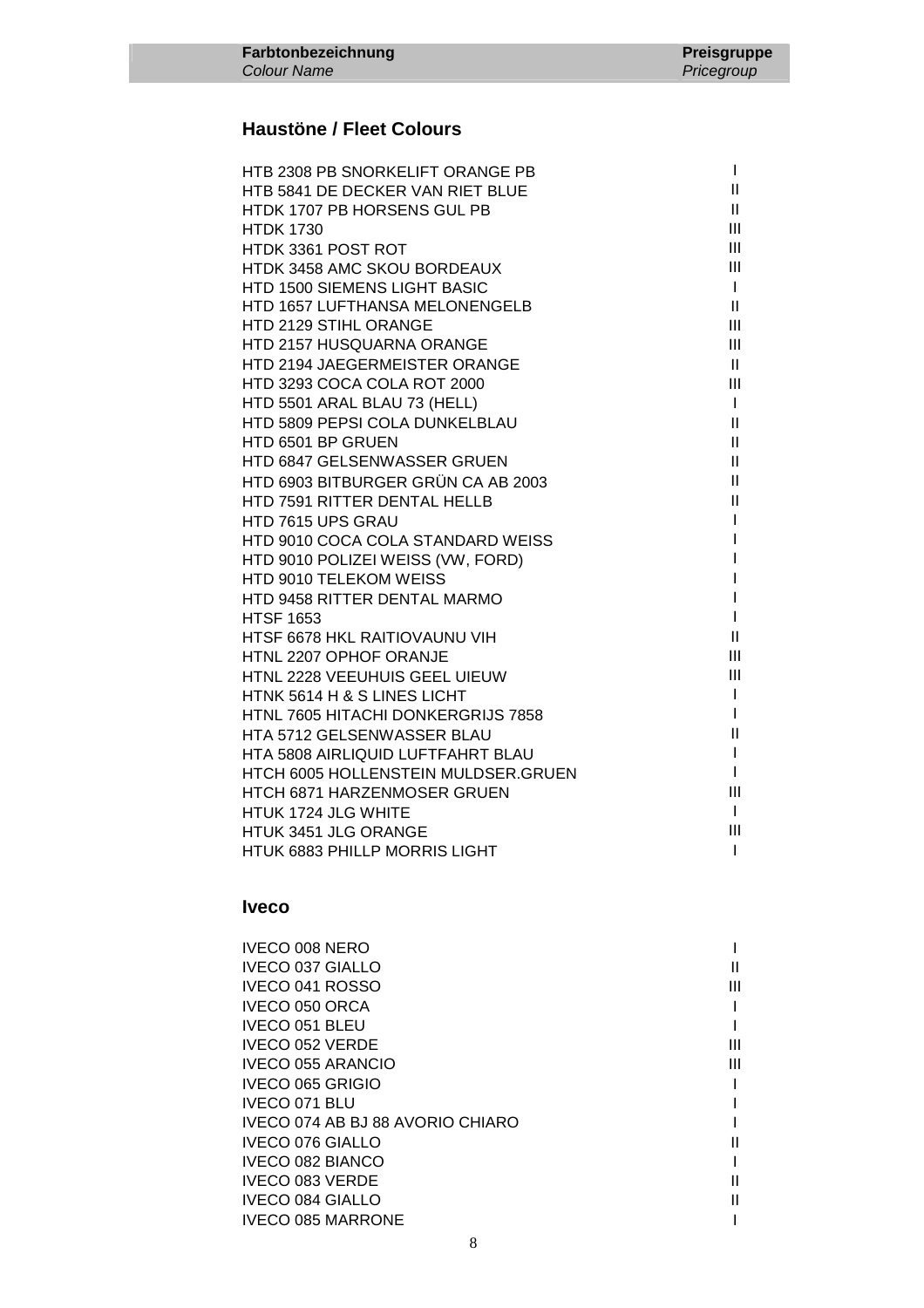### **Haustöne / Fleet Colours**

| HTB 2308 PB SNORKELIFT ORANGE PB    | $\mathbf{I}$               |
|-------------------------------------|----------------------------|
| HTB 5841 DE DECKER VAN RIET BLUE    | $\mathbf{II}$              |
| HTDK 1707 PB HORSENS GUL PB         | $\mathbf{II}$              |
| <b>HTDK 1730</b>                    | III                        |
| HTDK 3361 POST ROT                  | III                        |
| HTDK 3458 AMC SKOU BORDEAUX         | III                        |
| HTD 1500 SIEMENS LIGHT BASIC        | $\mathbf{I}$               |
| HTD 1657 LUFTHANSA MELONENGELB      | $\mathbf{II}$              |
| HTD 2129 STIHL ORANGE               | III                        |
| HTD 2157 HUSQUARNA ORANGE           | Ш                          |
| HTD 2194 JAEGERMEISTER ORANGE       | $\mathbf{II}$              |
| HTD 3293 COCA COLA ROT 2000         | Ш                          |
| HTD 5501 ARAL BLAU 73 (HELL)        | $\mathbf{I}$               |
| HTD 5809 PEPSI COLA DUNKELBLAU      | $\mathbf{II}$              |
| HTD 6501 BP GRUEN                   | $\mathbf{H}$               |
| HTD 6847 GELSENWASSER GRUEN         | $\mathbf{II}$              |
| HTD 6903 BITBURGER GRÜN CA AB 2003  | $\mathbf{II}$              |
| <b>HTD 7591 RITTER DENTAL HELLB</b> | $\ensuremath{\mathsf{II}}$ |
| HTD 7615 UPS GRAU                   |                            |
| HTD 9010 COCA COLA STANDARD WEISS   |                            |
| HTD 9010 POLIZEI WEISS (VW, FORD)   |                            |
| HTD 9010 TELEKOM WEISS              |                            |
| HTD 9458 RITTER DENTAL MARMO        |                            |
| <b>HTSF 1653</b>                    | L                          |
| HTSF 6678 HKL RAITIOVAUNU VIH       | $\mathbf{II}$              |
| HTNL 2207 OPHOF ORANJE              | III                        |
| HTNL 2228 VEEUHUIS GEEL UIEUW       | III                        |
| HTNK 5614 H & S LINES LICHT         | $\mathbf{I}$               |
| HTNL 7605 HITACHI DONKERGRIJS 7858  | $\mathbf{I}$               |
| HTA 5712 GELSENWASSER BLAU          | $\mathbf{II}$              |
| HTA 5808 AIRLIQUID LUFTFAHRT BLAU   | L                          |
| HTCH 6005 HOLLENSTEIN MULDSER.GRUEN | L                          |
| HTCH 6871 HARZENMOSER GRUEN         | Ш                          |
| HTUK 1724 JLG WHITE                 | $\mathbf{I}$               |
| HTUK 3451 JLG ORANGE                | III                        |
| HTUK 6883 PHILLP MORRIS LIGHT       | $\mathbf{I}$               |

#### **Iveco**

| <b>IVECO 008 NERO</b>            |   |
|----------------------------------|---|
| <b>IVECO 037 GIALLO</b>          |   |
| IVECO 041 ROSSO                  | Ш |
| IVECO 050 ORCA                   |   |
| <b>IVECO 051 BLEU</b>            |   |
| <b>IVECO 052 VERDE</b>           | Ш |
| <b>IVECO 055 ARANCIO</b>         | Ш |
| IVECO 065 GRIGIO                 |   |
| IVECO 071 BLU                    |   |
| IVECO 074 AB BJ 88 AVORIO CHIARO |   |
| <b>IVECO 076 GIALLO</b>          |   |
| <b>IVECO 082 BIANCO</b>          |   |
| <b>IVECO 083 VERDE</b>           |   |
| <b>IVECO 084 GIALLO</b>          |   |
| <b>IVECO 085 MARRONE</b>         |   |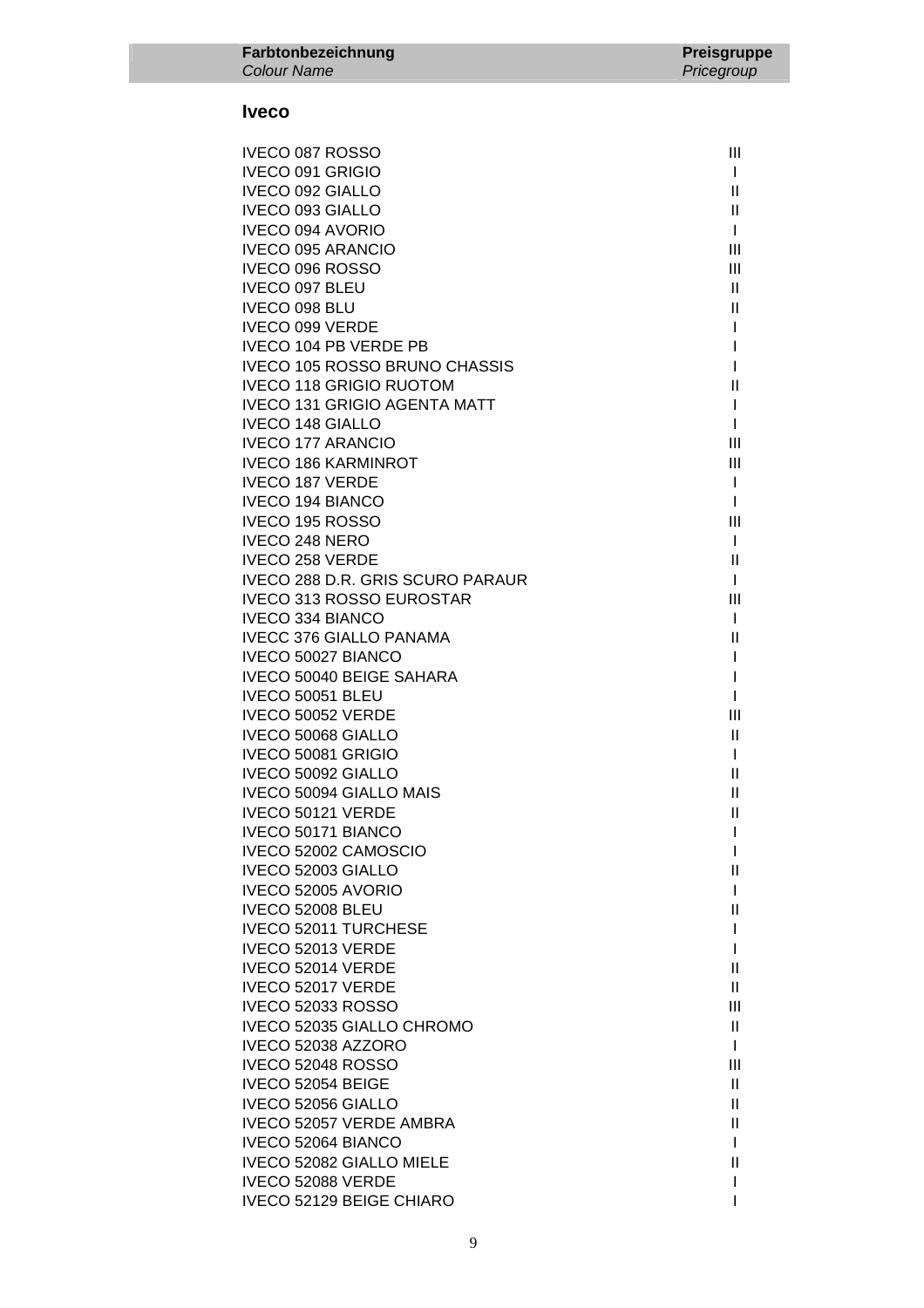#### **Iveco**

| IVECO 087 ROSSO                         | Ш                 |
|-----------------------------------------|-------------------|
| IVECO 091 GRIGIO                        | $\mathbf{I}$      |
| <b>IVECO 092 GIALLO</b>                 | Ш.                |
| <b>IVECO 093 GIALLO</b>                 | $\mathbf{H}$      |
| <b>IVECO 094 AVORIO</b>                 | $\mathbf{I}$      |
| <b>IVECO 095 ARANCIO</b>                | Ш                 |
| IVECO 096 ROSSO                         | III               |
| IVECO 097 BLEU                          | $\mathbf{H}$      |
| IVECO 098 BLU                           | $\mathbf{H}$      |
| <b>IVECO 099 VERDE</b>                  | $\mathbf{I}$      |
| <b>IVECO 104 PB VERDE PB</b>            | L                 |
| <b>IVECO 105 ROSSO BRUNO CHASSIS</b>    | $\mathbf{I}$      |
| <b>IVECO 118 GRIGIO RUOTOM</b>          | $\mathbf{H}$      |
| <b>IVECO 131 GRIGIO AGENTA MATT</b>     | $\mathbf{I}$      |
| <b>IVECO 148 GIALLO</b>                 | $\mathbf{I}$      |
| <b>IVECO 177 ARANCIO</b>                | Ш                 |
| <b>IVECO 186 KARMINROT</b>              | III               |
| <b>IVECO 187 VERDE</b>                  | $\mathbf{I}$      |
| <b>IVECO 194 BIANCO</b>                 | $\mathbf{I}$      |
| IVECO 195 ROSSO                         | Ш                 |
| <b>IVECO 248 NERO</b>                   | $\mathbf{I}$      |
| <b>IVECO 258 VERDE</b>                  | $\mathbf{H}$      |
| IVECO 288 D.R. GRIS SCURO PARAUR        | $\mathbf{I}$      |
| <b>IVECO 313 ROSSO EUROSTAR</b>         | Ш                 |
| <b>IVECO 334 BIANCO</b>                 | $\mathbf{I}$      |
| <b>IVECC 376 GIALLO PANAMA</b>          | Ш                 |
| IVECO 50027 BIANCO                      | $\mathbf{I}$      |
| IVECO 50040 BEIGE SAHARA                | I.                |
| IVECO 50051 BLEU                        | $\mathbf{I}$      |
| IVECO 50052 VERDE<br>IVECO 50068 GIALLO | Ш<br>$\mathbf{H}$ |
| IVECO 50081 GRIGIO                      | $\mathbf{I}$      |
| IVECO 50092 GIALLO                      | Ш                 |
| <b>IVECO 50094 GIALLO MAIS</b>          | $\mathbf{H}$      |
| IVECO 50121 VERDE                       | $\mathbf{H}$      |
| IVECO 50171 BIANCO                      | $\mathbf{I}$      |
| IVECO 52002 CAMOSCIO                    | I.                |
| IVECO 52003 GIALLO                      | Ш                 |
| IVECO 52005 AVORIO                      | L                 |
| <b>IVECO 52008 BLEU</b>                 | Ш                 |
| <b>IVECO 52011 TURCHESE</b>             | L                 |
| IVECO 52013 VERDE                       | I.                |
| IVECO 52014 VERDE                       | Ш                 |
| IVECO 52017 VERDE                       | Ш                 |
| <b>IVECO 52033 ROSSO</b>                | Ш                 |
| IVECO 52035 GIALLO CHROMO               | Ш                 |
| IVECO 52038 AZZORO                      | $\mathbf{I}$      |
| IVECO 52048 ROSSO                       | Ш                 |
| IVECO 52054 BEIGE                       | Ш.                |
| IVECO 52056 GIALLO                      | Ш                 |
| <b>IVECO 52057 VERDE AMBRA</b>          | H.                |
| IVECO 52064 BIANCO                      | I.                |
| <b>IVECO 52082 GIALLO MIELE</b>         | $\mathbf{H}$      |
| IVECO 52088 VERDE                       | I                 |
| IVECO 52129 BEIGE CHIARO                |                   |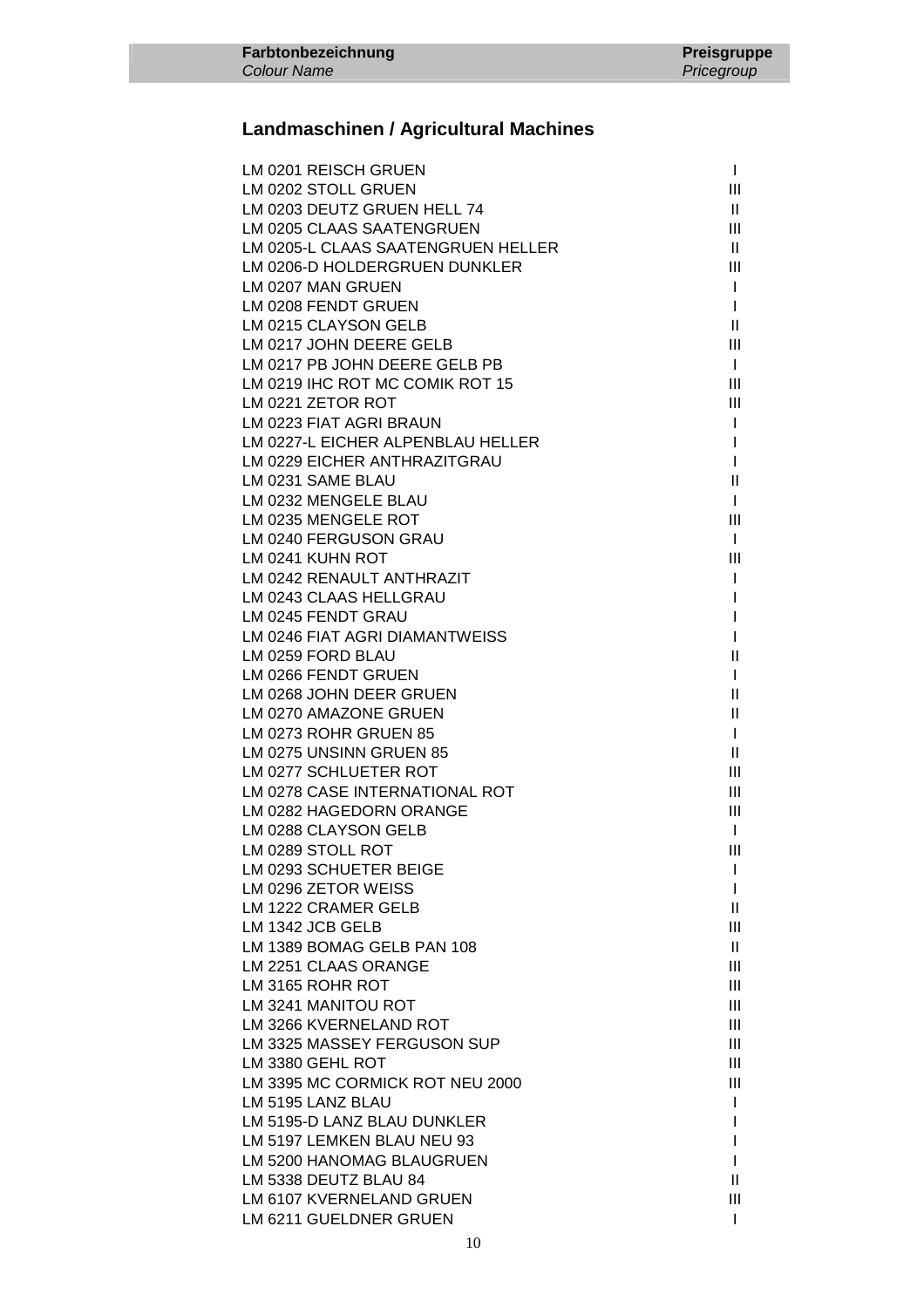# **Landmaschinen / Agricultural Machines**

| LM 0201 REISCH GRUEN               | $\mathbf{I}$  |
|------------------------------------|---------------|
| LM 0202 STOLL GRUEN                | III           |
| LM 0203 DEUTZ GRUEN HELL 74        | Ш             |
| LM 0205 CLAAS SAATENGRUEN          | Ш             |
| LM 0205-L CLAAS SAATENGRUEN HELLER | Ш             |
| LM 0206-D HOLDERGRUEN DUNKLER      | Ш             |
| LM 0207 MAN GRUEN                  | $\mathbf{I}$  |
| LM 0208 FENDT GRUEN                | $\mathbf{I}$  |
| LM 0215 CLAYSON GELB               | Ш             |
| LM 0217 JOHN DEERE GELB            | Ш             |
| LM 0217 PB JOHN DEERE GELB PB      | $\mathbf{I}$  |
| LM 0219 IHC ROT MC COMIK ROT 15    | Ш             |
| LM 0221 ZETOR ROT                  | Ш             |
| LM 0223 FIAT AGRI BRAUN            | L             |
| LM 0227-L EICHER ALPENBLAU HELLER  | L             |
| LM 0229 EICHER ANTHRAZITGRAU       | I             |
| LM 0231 SAME BLAU                  | $\mathbf{  }$ |
| LM 0232 MENGELE BLAU               | $\mathbf{I}$  |
| LM 0235 MENGELE ROT                | Ш             |
| LM 0240 FERGUSON GRAU              | $\mathbf{I}$  |
| LM 0241 KUHN ROT                   | Ш             |
| LM 0242 RENAULT ANTHRAZIT          | I             |
| LM 0243 CLAAS HELLGRAU             | I             |
| LM 0245 FENDT GRAU                 | I             |
| LM 0246 FIAT AGRI DIAMANTWEISS     |               |
| LM 0259 FORD BLAU                  | Ш             |
| LM 0266 FENDT GRUEN                | T             |
| LM 0268 JOHN DEER GRUEN            | Ш             |
| LM 0270 AMAZONE GRUEN              | Ш             |
| LM 0273 ROHR GRUEN 85              | $\mathbf{I}$  |
| LM 0275 UNSINN GRUEN 85            | Ш             |
| LM 0277 SCHLUETER ROT              | Ш             |
| LM 0278 CASE INTERNATIONAL ROT     | Ш             |
| LM 0282 HAGEDORN ORANGE            | Ш             |
| LM 0288 CLAYSON GELB               | $\mathbf{I}$  |
| LM 0289 STOLL ROT                  | III           |
| LM 0293 SCHUETER BEIGE             | I             |
| LM 0296 ZETOR WEISS                | L             |
| LM 1222 CRAMER GELB                | Ш             |
| LM 1342 JCB GELB                   | Ш             |
| LM 1389 BOMAG GELB PAN 108         | Ш             |
| LM 2251 CLAAS ORANGE               | Ш             |
| LM 3165 ROHR ROT                   | Ш             |
| LM 3241 MANITOU ROT                | Ш             |
| LM 3266 KVERNELAND ROT             | Ш             |
| LM 3325 MASSEY FERGUSON SUP        | Ш             |
| LM 3380 GEHL ROT                   | Ш             |
| LM 3395 MC CORMICK ROT NEU 2000    | Ш             |
| LM 5195 LANZ BLAU                  | L             |
| LM 5195-D LANZ BLAU DUNKLER        |               |
| LM 5197 LEMKEN BLAU NEU 93         | I             |
| LM 5200 HANOMAG BLAUGRUEN          |               |
| LM 5338 DEUTZ BLAU 84              | Ш             |
| LM 6107 KVERNELAND GRUEN           | Ш             |
| LM 6211 GUELDNER GRUEN             | I             |
|                                    |               |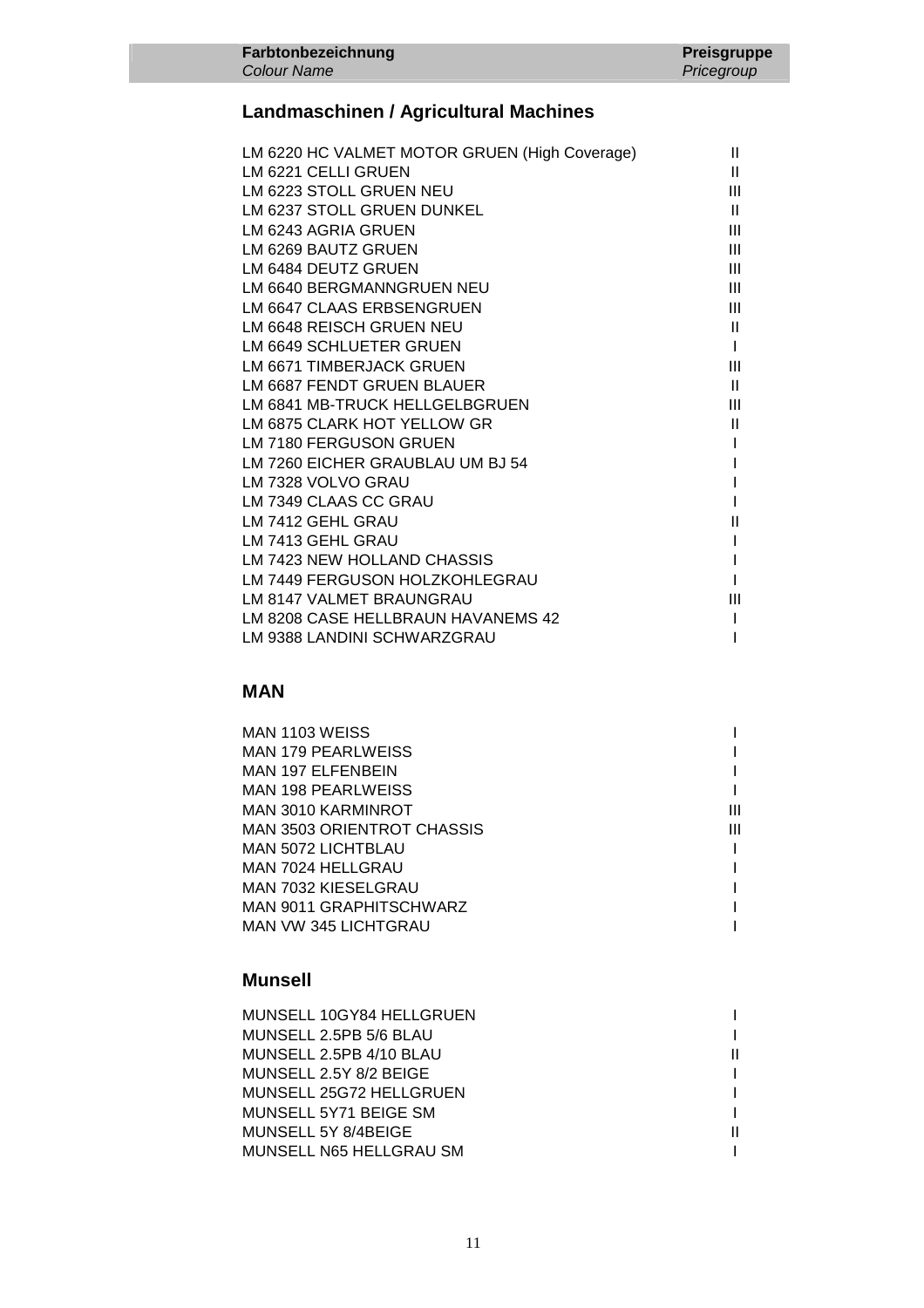## **Landmaschinen / Agricultural Machines**

**Farbtonbezeichnung** 

Colour Name

|                                  | LM 6220 HC VALMET MOTOR GRUEN (High Coverage) | Ш              |
|----------------------------------|-----------------------------------------------|----------------|
| LM 6221 CELLI GRUEN              |                                               | Ш              |
| LM 6223 STOLL GRUEN NEU          |                                               | Ш              |
| LM 6237 STOLL GRUEN DUNKEL       |                                               | $\mathbf{H}$   |
| LM 6243 AGRIA GRUEN              |                                               | Ш              |
| LM 6269 BAUTZ GRUEN              |                                               | III            |
| LM 6484 DEUTZ GRUEN              |                                               | Ш              |
| LM 6640 BERGMANNGRUEN NEU        |                                               | $\mathbf{III}$ |
| LM 6647 CLAAS ERBSENGRUEN        |                                               | $\mathbf{III}$ |
| LM 6648 REISCH GRUEN NEU         |                                               | $\mathbf{H}$   |
| LM 6649 SCHLUETER GRUEN          |                                               |                |
| LM 6671 TIMBERJACK GRUEN         |                                               | Ш              |
| LM 6687 FENDT GRUEN BLAUER       |                                               | $\mathbf{II}$  |
| LM 6841 MB-TRUCK HELLGELBGRUEN   |                                               | Ш              |
| LM 6875 CLARK HOT YELLOW GR      |                                               | Ш              |
| LM 7180 FERGUSON GRUEN           |                                               |                |
| LM 7260 EICHER GRAUBLAU UM BJ 54 |                                               |                |
| LM 7328 VOLVO GRAU               |                                               |                |
| LM 7349 CLAAS CC GRAU            |                                               |                |
| LM 7412 GEHL GRAU                |                                               | Ш              |
| LM 7413 GEHL GRAU                |                                               |                |
| LM 7423 NEW HOLLAND CHASSIS      |                                               |                |
| LM 7449 FERGUSON HOLZKOHLEGRAU   |                                               |                |
| LM 8147 VALMET BRAUNGRAU         |                                               | Ш              |
|                                  | LM 8208 CASE HELLBRAUN HAVANEMS 42            |                |
| LM 9388 LANDINI SCHWARZGRAU      |                                               |                |

#### **MAN**

| MAN 1103 WEISS                    |  |
|-----------------------------------|--|
| <b>MAN 179 PEARLWEISS</b>         |  |
| <b>MAN 197 ELFENBEIN</b>          |  |
| MAN 198 PEARLWEISS                |  |
| MAN 3010 KARMINROT                |  |
| <b>MAN 3503 ORIENTROT CHASSIS</b> |  |
| MAN 5072 LICHTBLAU                |  |
| MAN 7024 HELLGRAU                 |  |
| MAN 7032 KIESELGRAU               |  |
| MAN 9011 GRAPHITSCHWARZ           |  |
| MAN VW 345 LICHTGRAU              |  |

### **Munsell**

| MUNSELL 10GY84 HELLGRUEN |  |
|--------------------------|--|
| MUNSELL 2.5PB 5/6 BLAU   |  |
| MUNSELL 2.5PB 4/10 BLAU  |  |
| MUNSELL 2.5Y 8/2 BEIGE   |  |
| MUNSELL 25G72 HELLGRUEN  |  |
| MUNSELL 5Y71 BEIGE SM    |  |
| MUNSELL 5Y 8/4BEIGE      |  |
| MUNSELL N65 HELLGRAU SM  |  |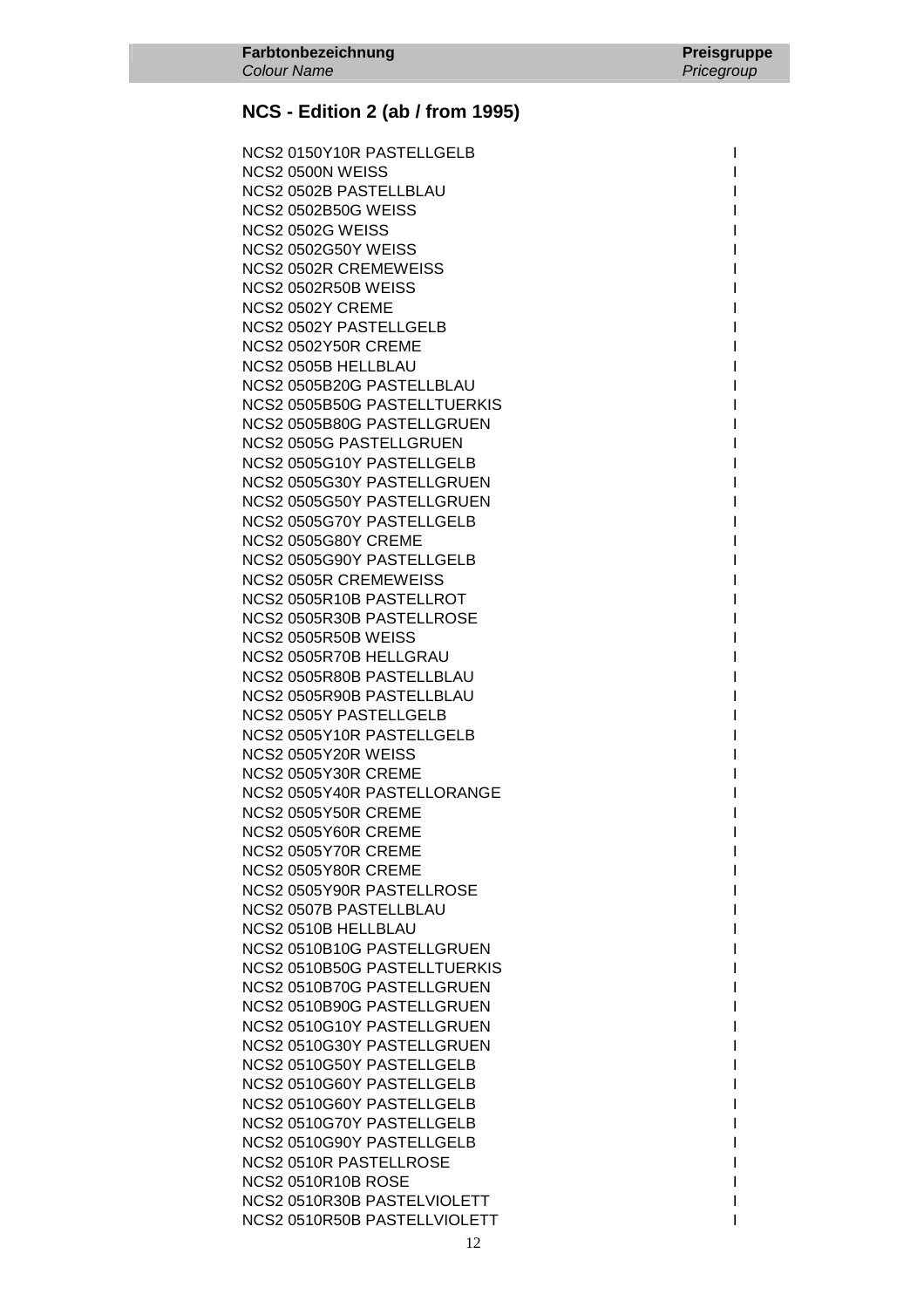NCS2 0150Y10R PASTELLGELB I NCS2 0500N WEISS **International Contract Contract Contract Contract Contract Contract Contract Contract Contract Contract Contract Contract Contract Contract Contract Contract Contract Contract Contract Contract Contract C**  NCS2 0502B PASTELLBLAU I NCS2 0502B50G WEISS I **NCS2 0502G WEISS** NCS2 0502G50Y WEISS INCS2 0502G50Y WEISS NCS2 0502R CREMEWEISS **NCS2 0502R50B WEISS** NCS2 0502Y CREME NCS2 0502Y PASTELLGELB **NCS2 0502Y50R CREME** NCS2 0505B HELLBLAU NCS2 0505B20G PASTELLBLAU NCS2 0505B50G PASTELLTUERKIS NCS2 0505B80G PASTELLGRUEN NCS2 0505G PASTELLGRUEN NCS2 0505G10Y PASTELLGELB NCS2 0505G30Y PASTELLGRUEN NCS2 0505G50Y PASTELLGRUEN I NCS2 0505G70Y PASTELLGELB **NCS2 0505G80Y CREME** NCS2 0505G90Y PASTELLGELB NCS2 0505R CREMEWEISS NCS2 0505R10B PASTELLROT NCS2 0505R30B PASTELLROSE NCS2 0505R50B WEISS NCS2 0505R70B HELLGRAU NCS2 0505R80B PASTELLBLAU NCS2 0505R90B PASTELLBLAU NCS2 0505Y PASTELLGELB NCS2 0505Y10R PASTELLGELB NCS2 0505Y20R WEISS NCS2 0505Y30R CREME NCS2 0505Y40R PASTELLORANGE **NCS2 0505Y50R CREME NCS2 0505Y60R CREME** NCS2 0505Y70R CREME **NCS2 0505Y80R CREME** NCS2 0505Y90R PASTELLROSE NCS2 0507B PASTELLBLAU NCS2 0510B HELLBLAU NCS2 0510B10G PASTELLGRUEN NCS2 0510B50G PASTELLTUERKIS NCS2 0510B70G PASTELLGRUEN NCS2 0510B90G PASTELLGRUEN NCS2 0510G10Y PASTELLGRUEN NCS2 0510G30Y PASTELLGRUEN NCS2 0510G50Y PASTELLGELB NCS2 0510G60Y PASTELLGELB NCS2 0510G60Y PASTELLGELB NCS2 0510G70Y PASTELLGELB NCS2 0510G90Y PASTELLGELB NCS2 0510R PASTELLROSE NCS2 0510R10B ROSE International and the set of the set of the set of the set of the set of the set of the set of the set of the set of the set of the set of the set of the set of the set of the set of the set of the set o NCS2 0510R30B PASTELVIOLETT AND INTERNATIONAL INTERNATIONAL INTERNATIONAL INTERNATIONAL INTERNATIONAL INTERNATIONAL NCS2 0510R50B PASTELLVIOLETT ISSUED: INCS2 0510R50B PASTELLVIOLETT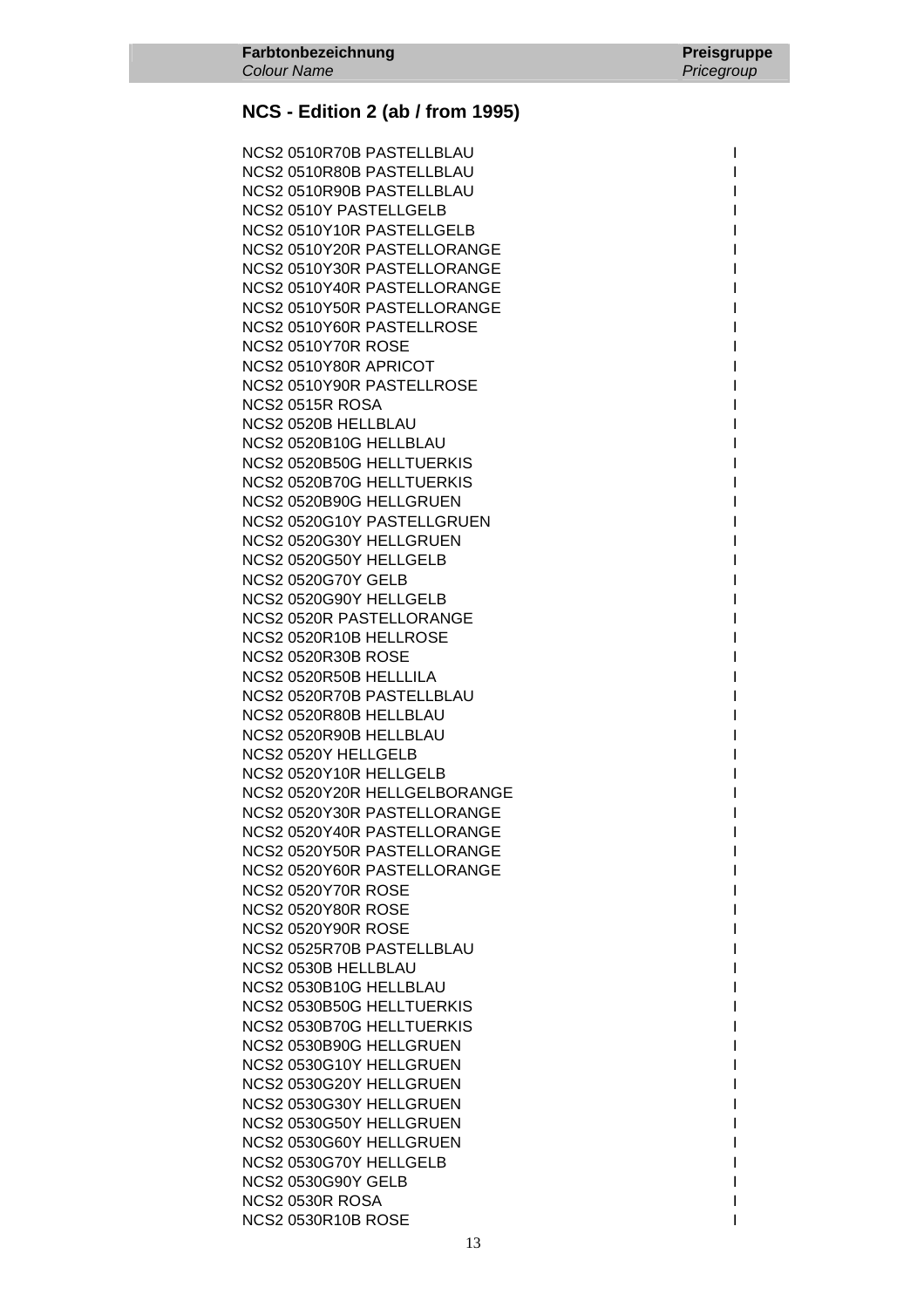NCS2 0510R70B PASTELLBLAU I NCS2 0510R80B PASTELLBLAU I NCS2 0510R90B PASTELLBLAU I NCS2 0510Y PASTELLGELB I NCS2 0510Y10R PASTELLGELB NCS2 0510Y20R PASTELLORANGE I NCS2 0510Y30R PASTELLORANGE NCS2 0510Y40R PASTELLORANGE NCS2 0510Y50R PASTELLORANGE NCS2 0510Y60R PASTELLROSE I **NCS2 0510Y70R ROSE** NCS2 0510Y80R APRICOT NCS2 0510Y90R PASTELLROSE NCS2 0515R ROSA NCS2 0520B HELLBLAU NCS2 0520B10G HELLBLAU NCS2 0520B50G HELLTUERKIS NCS2 0520B70G HELLTUERKIS NCS2 0520B90G HELLGRUEN I NCS2 0520G10Y PASTELLGRUEN NCS2 0520G30Y HELLGRUEN NCS2 0520G50Y HELLGELB NCS2 0520G70Y GELB I NCS2 0520G90Y HELLGELB NCS2 0520R PASTELLORANGE NCS2 0520R10B HELLROSE **NCS2 0520R30B ROSE** NCS2 0520R50B HELLLILA NCS2 0520R70B PASTELLBLAU NCS2 0520R80B HELLBLAU NCS2 0520R90B HELLBLAU NCS2 0520Y HELLGELB NCS2 0520Y10R HELLGELB NCS2 0520Y20R HELLGELBORANGE NCS2 0520Y30R PASTELLORANGE NCS2 0520Y40R PASTELLORANGE NCS2 0520Y50R PASTELLORANGE NCS2 0520Y60R PASTELLORANGE **NCS2 0520Y70R ROSE NCS2 0520Y80R ROSE** NCS2 0520Y90R ROSE NCS2 0525R70B PASTELLBLAU NCS2 0530B HELLBLAU NCS2 0530B10G HELLBLAU NCS2 0530B50G HELLTUERKIS NCS2 0530B70G HELLTUERKIS NCS2 0530B90G HELLGRUEN NCS2 0530G10Y HELLGRUEN NCS2 0530G20Y HELLGRUEN NCS2 0530G30Y HELLGRUEN I NCS2 0530G50Y HELLGRUEN NCS2 0530G60Y HELLGRUEN NCS2 0530G70Y HELLGELB I NCS2 0530G90Y GELB International and the state of the state of the state of the state of the state of the state of the state of the state of the state of the state of the state of the state of the state of the state of the NCS2 0530R ROSA International and the contract of the contract of the contract of the contract of the contract of the contract of the contract of the contract of the contract of the contract of the contract of the contract NCS2 0530R10B ROSE Interval and the set of the set of the set of the set of the set of the set of the set of the set of the set of the set of the set of the set of the set of the set of the set of the set of the set of the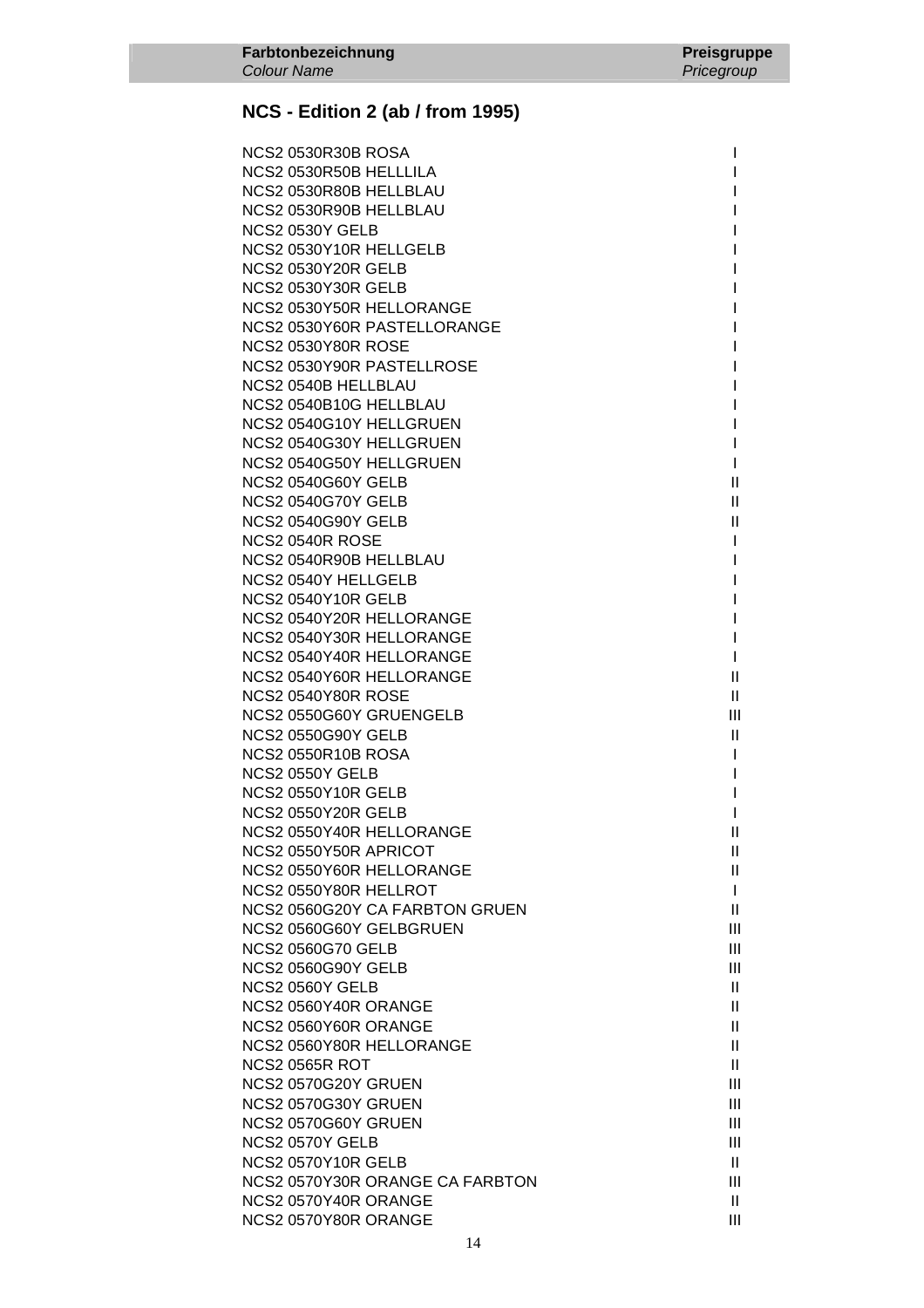| NCS2 0530R30B ROSA              |                                           |
|---------------------------------|-------------------------------------------|
| NCS2 0530R50B HELLLILA          |                                           |
| NCS2 0530R80B HELLBLAU          |                                           |
| NCS2 0530R90B HELLBLAU          |                                           |
| <b>NCS2 0530Y GELB</b>          |                                           |
| NCS2 0530Y10R HELLGELB          |                                           |
| <b>NCS2 0530Y20R GELB</b>       |                                           |
| <b>NCS2 0530Y30R GELB</b>       |                                           |
| NCS2 0530Y50R HELLORANGE        |                                           |
| NCS2 0530Y60R PASTELLORANGE     |                                           |
| <b>NCS2 0530Y80R ROSE</b>       |                                           |
| NCS2 0530Y90R PASTELLROSE       |                                           |
| NCS2 0540B HELLBLAU             |                                           |
| NCS2 0540B10G HELLBLAU          |                                           |
| NCS2 0540G10Y HELLGRUEN         |                                           |
| NCS2 0540G30Y HELLGRUEN         |                                           |
| NCS2 0540G50Y HELLGRUEN         | I.                                        |
| <b>NCS2 0540G60Y GELB</b>       | $\mathbf{II}$                             |
| <b>NCS2 0540G70Y GELB</b>       | $\mathbf{II}$                             |
| <b>NCS2 0540G90Y GELB</b>       | $\label{eq:1} \prod_{i=1}^n \mathbb{I}^i$ |
| <b>NCS2 0540R ROSE</b>          | L                                         |
| NCS2 0540R90B HELLBLAU          | I                                         |
| NCS2 0540Y HELLGELB             |                                           |
| <b>NCS2 0540Y10R GELB</b>       |                                           |
| NCS2 0540Y20R HELLORANGE        |                                           |
| NCS2 0540Y30R HELLORANGE        | I                                         |
| NCS2 0540Y40R HELLORANGE        | L                                         |
| NCS2 0540Y60R HELLORANGE        | $\mathbf{II}$                             |
| <b>NCS2 0540Y80R ROSE</b>       | $\mathbf{II}$                             |
| NCS2 0550G60Y GRUENGELB         | $\mathbf{III}$                            |
| <b>NCS2 0550G90Y GELB</b>       | Ш                                         |
| <b>NCS2 0550R10B ROSA</b>       |                                           |
| <b>NCS2 0550Y GELB</b>          |                                           |
| <b>NCS2 0550Y10R GELB</b>       |                                           |
| <b>NCS2 0550Y20R GELB</b>       |                                           |
| NCS2 0550Y40R HELLORANGE        | Ш                                         |
| NCS2 0550Y50R APRICOT           | $\mathbf{H}$                              |
| NCS2 0550Y60R HELLORANGE        | $\mathbf{H}$                              |
| NCS2 0550Y80R HELLROT           | $\mathbf{I}$                              |
| NCS2 0560G20Y CA FARBTON GRUEN  | $\mathbf{H}$                              |
| NCS2 0560G60Y GELBGRUEN         | III                                       |
| <b>NCS2 0560G70 GELB</b>        | III                                       |
| <b>NCS2 0560G90Y GELB</b>       | III                                       |
| <b>NCS2 0560Y GELB</b>          | $\mathbf{H}$                              |
| NCS2 0560Y40R ORANGE            | $\mathbf{H}$                              |
| NCS2 0560Y60R ORANGE            | Ш                                         |
| NCS2 0560Y80R HELLORANGE        | $\mathbf{H}$                              |
| <b>NCS2 0565R ROT</b>           | $\mathbf{H}$                              |
| NCS2 0570G20Y GRUEN             | Ш                                         |
| NCS2 0570G30Y GRUEN             | Ш                                         |
| NCS2 0570G60Y GRUEN             | Ш                                         |
| <b>NCS2 0570Y GELB</b>          | Ш                                         |
| <b>NCS2 0570Y10R GELB</b>       | $\mathbf{H}$                              |
| NCS2 0570Y30R ORANGE CA FARBTON | Ш                                         |
| NCS2 0570Y40R ORANGE            | $\mathbf{H}$                              |
| NCS2 0570Y80R ORANGE            | III                                       |
|                                 |                                           |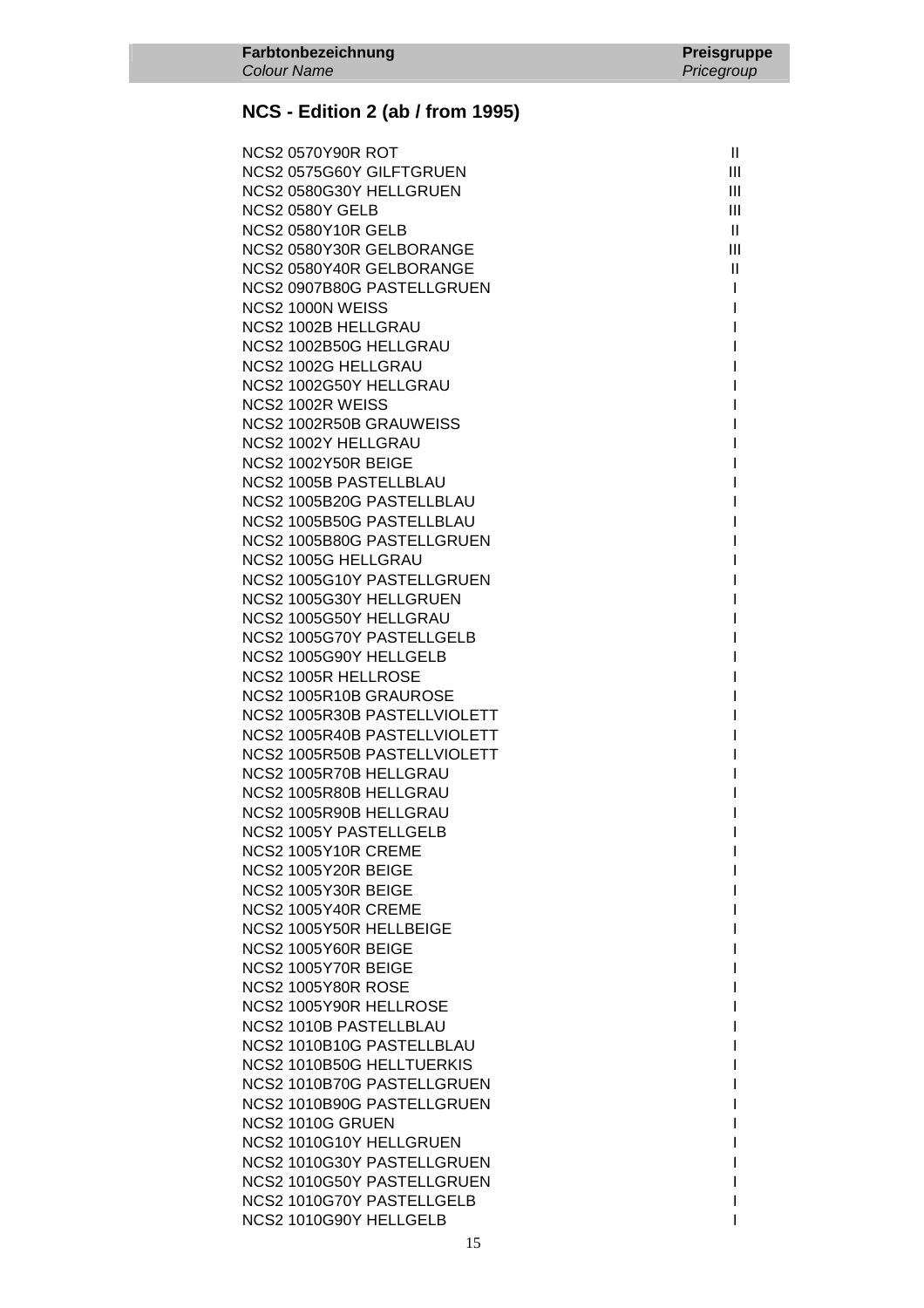| <b>NCS2 0570Y90R ROT</b>                         | $\mathbf{H}$ |
|--------------------------------------------------|--------------|
| NCS2 0575G60Y GILFTGRUEN                         | Ш            |
| NCS2 0580G30Y HELLGRUEN                          | Ш            |
| <b>NCS2 0580Y GELB</b>                           | Ш            |
| <b>NCS2 0580Y10R GELB</b>                        | $\mathbf{H}$ |
| NCS2 0580Y30R GELBORANGE                         | III          |
| NCS2 0580Y40R GELBORANGE                         | $\mathbf{H}$ |
| NCS2 0907B80G PASTELLGRUEN                       | $\mathbf{I}$ |
| NCS2 1000N WEISS                                 | $\mathbf{I}$ |
| NCS2 1002B HELLGRAU                              | $\mathbf{I}$ |
| NCS2 1002B50G HELLGRAU                           | T            |
| NCS2 1002G HELLGRAU                              | L            |
| NCS2 1002G50Y HELLGRAU                           | $\mathbf{I}$ |
| NCS2 1002R WEISS                                 | L            |
| NCS2 1002R50B GRAUWEISS                          | L            |
| NCS2 1002Y HELLGRAU                              | L            |
| NCS2 1002Y50R BEIGE                              | L            |
| <b>NCS2 1005B PASTELLBLAU</b>                    | $\mathbf{I}$ |
| NCS2 1005B20G PASTELLBLAU                        | $\mathbf{I}$ |
| NCS2 1005B50G PASTELLBLAU                        | I            |
| NCS2 1005B80G PASTELLGRUEN                       | L            |
| <b>NCS2 1005G HELLGRAU</b>                       | L            |
| NCS2 1005G10Y PASTELLGRUEN                       | L            |
| NCS2 1005G30Y HELLGRUEN                          | L            |
| NCS2 1005G50Y HELLGRAU                           | L            |
| NCS2 1005G70Y PASTELLGELB                        | L            |
| NCS2 1005G90Y HELLGELB                           | L            |
| <b>NCS2 1005R HELLROSE</b>                       | I            |
| NCS2 1005R10B GRAUROSE                           | I            |
| NCS2 1005R30B PASTELLVIOLETT                     | I            |
| NCS2 1005R40B PASTELLVIOLETT                     | I            |
| NCS2 1005R50B PASTELLVIOLETT                     | I            |
| NCS2 1005R70B HELLGRAU<br>NCS2 1005R80B HELLGRAU | I<br>I       |
| NCS2 1005R90B HELLGRAU                           |              |
| <b>NCS2 1005Y PASTELLGELB</b>                    | L            |
| NCS2 1005Y10R CREME                              |              |
| NCS2 1005Y20R BEIGE                              |              |
| NCS2 1005Y30R BEIGE                              |              |
| NCS2 1005Y40R CREME                              |              |
| NCS2 1005Y50R HELLBEIGE                          |              |
| NCS2 1005Y60R BEIGE                              |              |
| NCS2 1005Y70R BEIGE                              |              |
| <b>NCS2 1005Y80R ROSE</b>                        |              |
| NCS2 1005Y90R HELLROSE                           |              |
| NCS2 1010B PASTELLBLAU                           |              |
| NCS2 1010B10G PASTELLBLAU                        |              |
| NCS2 1010B50G HELLTUERKIS                        |              |
| NCS2 1010B70G PASTELLGRUEN                       |              |
| NCS2 1010B90G PASTELLGRUEN                       |              |
| NCS2 1010G GRUEN                                 |              |
| NCS2 1010G10Y HELLGRUEN                          |              |
| NCS2 1010G30Y PASTELLGRUEN                       |              |
| NCS2 1010G50Y PASTELLGRUEN                       |              |
| NCS2 1010G70Y PASTELLGELB                        |              |
| NCS2 1010G90Y HELLGELB                           | I            |
|                                                  |              |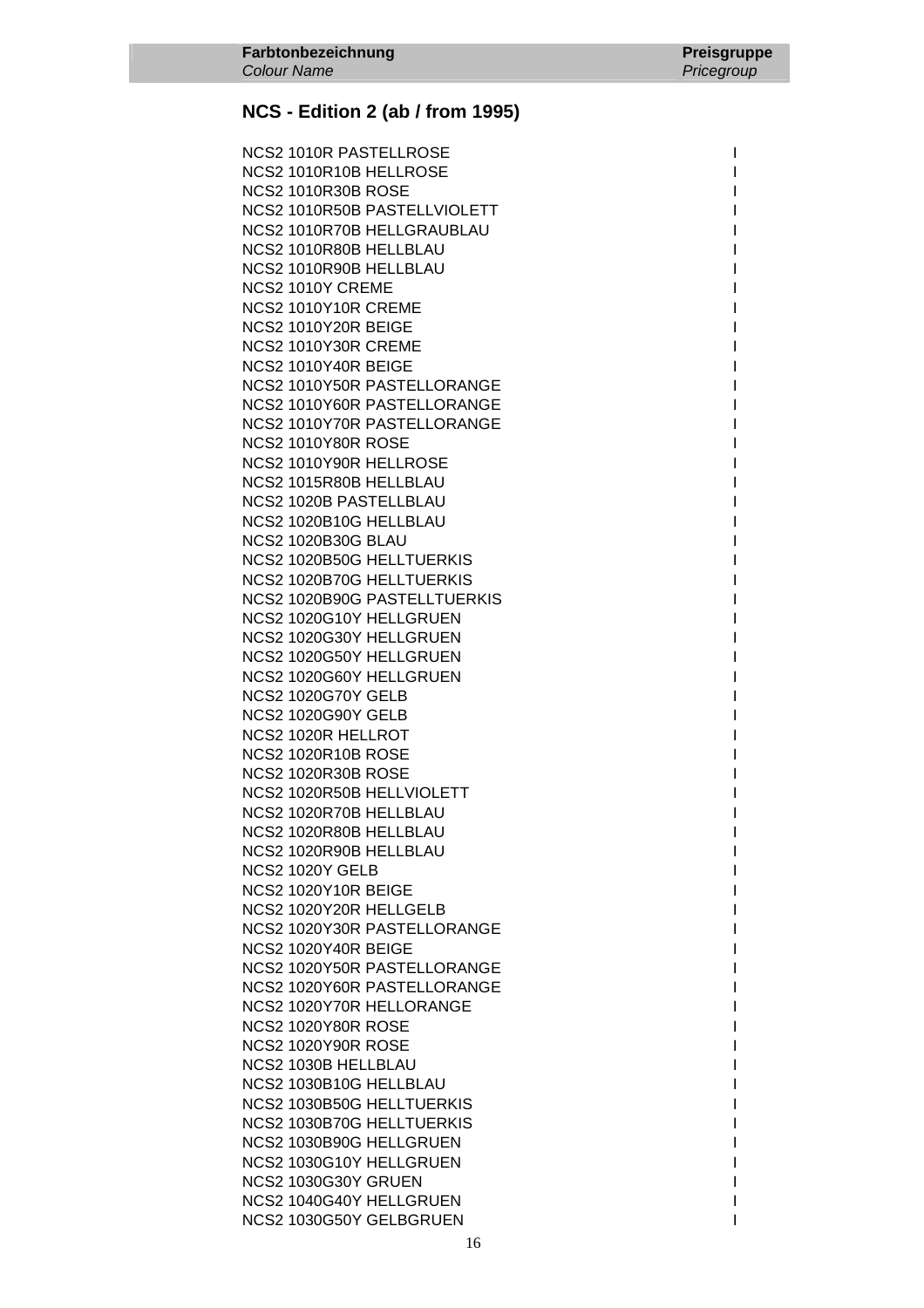NCS2 1010R PASTELLROSE I NCS2 1010R10B HELLROSE **International CONTRACT CONTRACT INCORPORATION** NCS2 1010R30B ROSE International and the set of the set of the set of the set of the set of the set of the set of the set of the set of the set of the set of the set of the set of the set of the set of the set of the set o NCS2 1010R50B PASTELLVIOLETT I NCS2 1010R70B HELLGRAUBLAU **International International International International International International I** NCS2 1010R80B HELLBLAU **INCS2** 1010R80B HELLBLAU NCS2 1010R90B HELLBLAU NCS2 1010Y CREME **NCS2 1010Y10R CREME NCS2 1010Y20R BEIGE NCS2 1010Y30R CREME** NCS2 1010Y40R BEIGE NCS2 1010Y50R PASTELLORANGE NCS2 1010Y60R PASTELLORANGE NCS2 1010Y70R PASTELLORANGE **NCS2 1010Y80R ROSE** NCS2 1010Y90R HELLROSE NCS2 1015R80B HELLBLAU NCS2 1020B PASTELLBLAU I NCS2 1020B10G HELLBLAU **NCS2 1020B30G BLAU** NCS2 1020B50G HELLTUERKIS NCS2 1020B70G HELLTUERKIS NCS2 1020B90G PASTELLTUERKIS NCS2 1020G10Y HELLGRUEN NCS2 1020G30Y HELLGRUEN NCS2 1020G50Y HELLGRUEN NCS2 1020G60Y HELLGRUEN NCS2 1020G70Y GELB I NCS2 1020G90Y GELB I NCS2 1020R HELLROT **NCS2 1020R10B ROSE NCS2 1020R30B ROSE** NCS2 1020R50B HELLVIOLETT NCS2 1020R70B HELLBLAU NCS2 1020R80B HELLBLAU NCS2 1020R90B HELLBLAU NCS2 1020Y GELB I **NCS2 1020Y10R BEIGE** NCS2 1020Y20R HELLGELB NCS2 1020Y30R PASTELLORANGE **NCS2 1020Y40R BEIGE** NCS2 1020Y50R PASTELLORANGE NCS2 1020Y60R PASTELLORANGE NCS2 1020Y70R HELLORANGE **NCS2 1020Y80R ROSE NCS2 1020Y90R ROSE** NCS2 1030B HELLBLAU NCS2 1030B10G HELLBLAU NCS2 1030B50G HELLTUERKIS NCS2 1030B70G HELLTUERKIS NCS2 1030B90G HELLGRUEN NCS2 1030G10Y HELLGRUEN NCS2 1030G30Y GRUEN INTERNATIONAL CONTROL INTERNATIONAL INTERNATIONAL INTERNATIONAL INTERNATIONAL INTERNATIONAL NCS2 1040G40Y HELLGRUEN I NCS2 1030G50Y GELBGRUEN I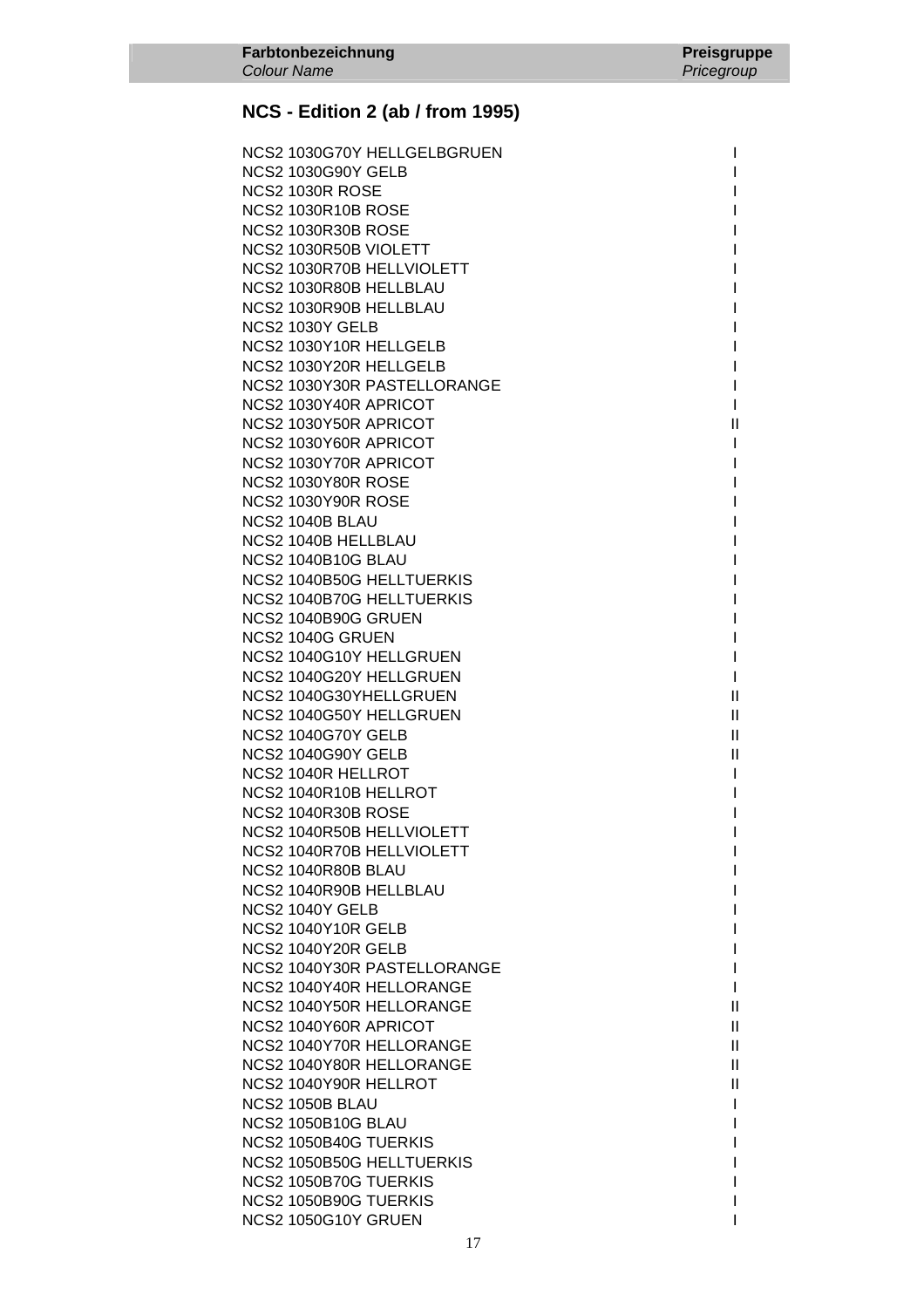NCS2 1030G70Y HELLGELBGRUEN I NCS2 1030G90Y GELB International and the state of the state of the state of the state of the state of the state of the state of the state of the state of the state of the state of the state of the state of the state of the NCS2 1030R ROSE International and the set of the set of the set of the set of the set of the set of the set of the set of the set of the set of the set of the set of the set of the set of the set of the set of the set of t NCS2 1030R10B ROSE International and the set of the set of the set of the set of the set of the set of the set of the set of the set of the set of the set of the set of the set of the set of the set of the set of the set o **NCS2 1030R30B ROSE** NCS2 1030R50B VIOLETT NEWSFILM AND THE RESERVE OF THE RESERVE OF THE RESERVE OF THE RESERVE OF THE RESERVE OF THE RESERVE OF THE RESERVE OF THE RESERVE OF THE RESERVE OF THE RESERVE OF THE RESERVE OF THE RESERVE OF THE RES NCS2 1030R70B HELLVIOLETT NCS2 1030R80B HELLBLAU NCS2 1030R90B HELLBLAU NCS2 1030Y GELB International and the set of the set of the set of the set of the set of the set of the set of the set of the set of the set of the set of the set of the set of the set of the set of the set of the set of t NCS2 1030Y10R HELLGELB NCS2 1030Y20R HELLGELB I NCS2 1030Y30R PASTELLORANGE I NCS2 1030Y40R APRICOT And the state of the state of the state of the state of the state of the state of the state of the state of the state of the state of the state of the state of the state of the state of the state of t NCS2 1030Y50R APRICOT **III** NCS2 1030Y60R APRICOT NOTE: 1 NCS2 1030Y70R APRICOT **International Studies** NCS2 1030Y80R ROSE Interval and the set of the set of the set of the set of the set of the set of the set of the set of the set of the set of the set of the set of the set of the set of the set of the set of the set of the NCS2 1030Y90R ROSE Interval and the set of the set of the set of the set of the set of the set of the set of the set of the set of the set of the set of the set of the set of the set of the set of the set of the set of the **NCS2 1040B BLAU** NCS2 1040B HELLBLAU **NCS2 1040B10G BLAU** NCS2 1040B50G HELLTUERKIS NCS2 1040B70G HELLTUERKIS I NCS2 1040B90G GRUEN NCS2 1040G GRUEN I NCS2 1040G10Y HELLGRUEN **INCS2** NCS2 1040G20Y HELLGRUEN I NCS2 1040G30YHELLGRUEN II NCS2 1040G50Y HELLGRUEN **III** NCS2 1040G70Y GELB II NCS2 1040G90Y GELB III and the state of the state of the state of the state of the state of the state of the state of the state of the state of the state of the state of the state of the state of the state of the state of NCS2 1040R HELLROT **International CONTRACT CONTRACT IN A STATE OF A STATE OF A STATE OF A STATE OF A STATE OF A ST** NCS2 1040R10B HELLROT **International CONTRACT CONTRACT I** NCS2 1040R30B ROSE I NCS2 1040R50B HELLVIOLETT NCS2 1040R70B HELLVIOLETT NEWSFILM OF THE STATE OF THE STATE OF THE STATE OF THE STATE OF THE STATE OF THE STA **NCS2 1040R80B BLAU** NCS2 1040R90B HELLBLAU NCS2 1040Y GELB I NCS2 1040Y10R GELB I NCS2 1040Y20R GELB International and the state of the state of the state of the state of the state of the state of the state of the state of the state of the state of the state of the state of the state of the state of the NCS2 1040Y30R PASTELLORANGE NCS2 1040Y40R HELLORANGE I NCS2 1040Y50R HELLORANGE II NCS2 1040Y60R APRICOT III NCS2 1040Y70R HELLORANGE II NCS2 1040Y80R HELLORANGE II NCS2 1040Y90R HELLROT **III**  NCS2 1050B BLAU I NCS2 1050B10G BLAU International and the set of the set of the set of the set of the set of the set of the set of the set of the set of the set of the set of the set of the set of the set of the set of the set of the set o NCS2 1050B40G TUERKIS I NCS2 1050B50G HELLTUERKIS **International State International International International International International International International International International International International International Interna** NCS2 1050B70G TUERKIS I NCS2 1050B90G TUERKIS I NCS2 1050G10Y GRUEN INCS2 1050G10Y GRUEN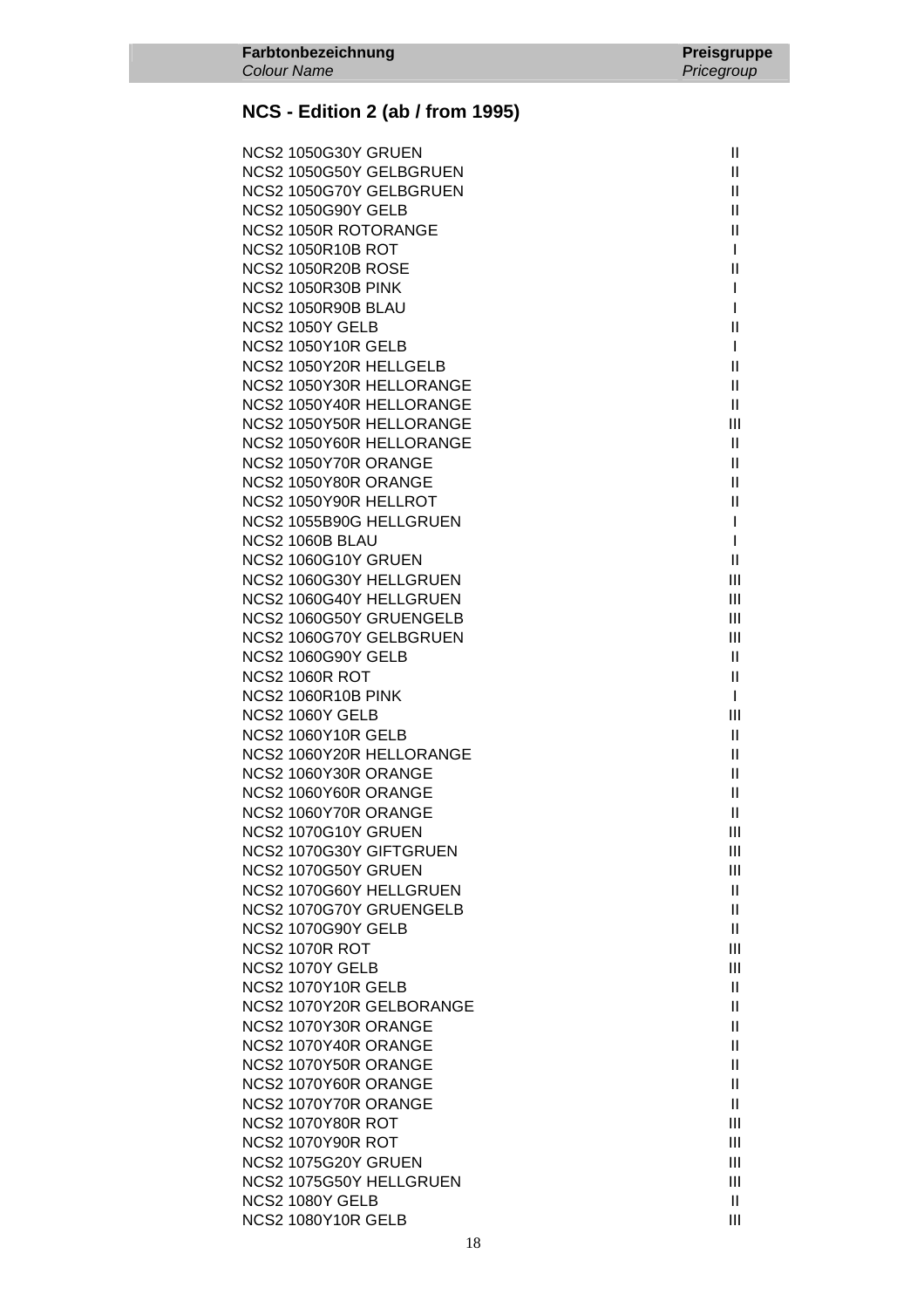| <b>NCS2 1050G30Y GRUEN</b>  | $\mathbf{II}$ |
|-----------------------------|---------------|
| NCS2 1050G50Y GELBGRUEN     | Ш             |
| NCS2 1050G70Y GELBGRUEN     | $\mathbf{H}$  |
| <b>NCS2 1050G90Y GELB</b>   | $\mathbf{H}$  |
| <b>NCS2 1050R ROTORANGE</b> | $\mathbf{H}$  |
| <b>NCS2 1050R10B ROT</b>    | $\mathbf{I}$  |
| <b>NCS2 1050R20B ROSE</b>   | Ш             |
| <b>NCS2 1050R30B PINK</b>   | I             |
| NCS2 1050R90B BLAU          | $\mathbf{I}$  |
| <b>NCS2 1050Y GELB</b>      | Ш             |
| <b>NCS2 1050Y10R GELB</b>   | $\mathbf{I}$  |
| NCS2 1050Y20R HELLGELB      | $\mathbf{II}$ |
| NCS2 1050Y30R HELLORANGE    | $\mathbf{H}$  |
| NCS2 1050Y40R HELLORANGE    | Ш             |
| NCS2 1050Y50R HELLORANGE    | Ш             |
| NCS2 1050Y60R HELLORANGE    | $\mathbf{H}$  |
| NCS2 1050Y70R ORANGE        | $\mathbf{H}$  |
| NCS2 1050Y80R ORANGE        | $\mathbf{H}$  |
| NCS2 1050Y90R HELLROT       | $\mathbf{H}$  |
| NCS2 1055B90G HELLGRUEN     | $\mathbf{I}$  |
| NCS2 1060B BLAU             | $\mathbf{I}$  |
| NCS2 1060G10Y GRUEN         | Ш             |
| NCS2 1060G30Y HELLGRUEN     | Ш             |
| NCS2 1060G40Y HELLGRUEN     | III           |
| NCS2 1060G50Y GRUENGELB     | III           |
| NCS2 1060G70Y GELBGRUEN     | Ш             |
| <b>NCS2 1060G90Y GELB</b>   | $\mathbf{H}$  |
| NCS2 1060R ROT              | $\mathbf{H}$  |
| NCS2 1060R10B PINK          | $\mathbf{I}$  |
| NCS2 1060Y GELB             | Ш             |
| NCS2 1060Y10R GELB          | $\mathbf{H}$  |
| NCS2 1060Y20R HELLORANGE    | $\mathbf{H}$  |
| NCS2 1060Y30R ORANGE        | $\mathbf{H}$  |
| NCS2 1060Y60R ORANGE        | $\mathbf{H}$  |
| NCS2 1060Y70R ORANGE        | $\mathbf{II}$ |
| NCS2 1070G10Y GRUEN         | Ш             |
| NCS2 1070G30Y GIFTGRUEN     | Ш             |
| NCS2 1070G50Y GRUEN         | Ш             |
| NCS2 1070G60Y HELLGRUEN     | $\mathbf{H}$  |
| NCS2 1070G70Y GRUENGELB     | H.            |
| <b>NCS2 1070G90Y GELB</b>   | $\mathbf{H}$  |
| NCS2 1070R ROT              | Ш             |
| NCS2 1070Y GELB             | Ш             |
| <b>NCS2 1070Y10R GELB</b>   | $\mathbf{H}$  |
| NCS2 1070Y20R GELBORANGE    | H.            |
| NCS2 1070Y30R ORANGE        | H.            |
| NCS2 1070Y40R ORANGE        | $\mathbf{H}$  |
| NCS2 1070Y50R ORANGE        | Ш             |
| NCS2 1070Y60R ORANGE        | Ш             |
| NCS2 1070Y70R ORANGE        | $\mathbf{II}$ |
| <b>NCS2 1070Y80R ROT</b>    | Ш             |
| <b>NCS2 1070Y90R ROT</b>    | Ш             |
| NCS2 1075G20Y GRUEN         | Ш             |
| NCS2 1075G50Y HELLGRUEN     | Ш             |
| NCS2 1080Y GELB             | $\mathbf{H}$  |
| NCS2 1080Y10R GELB          | Ш             |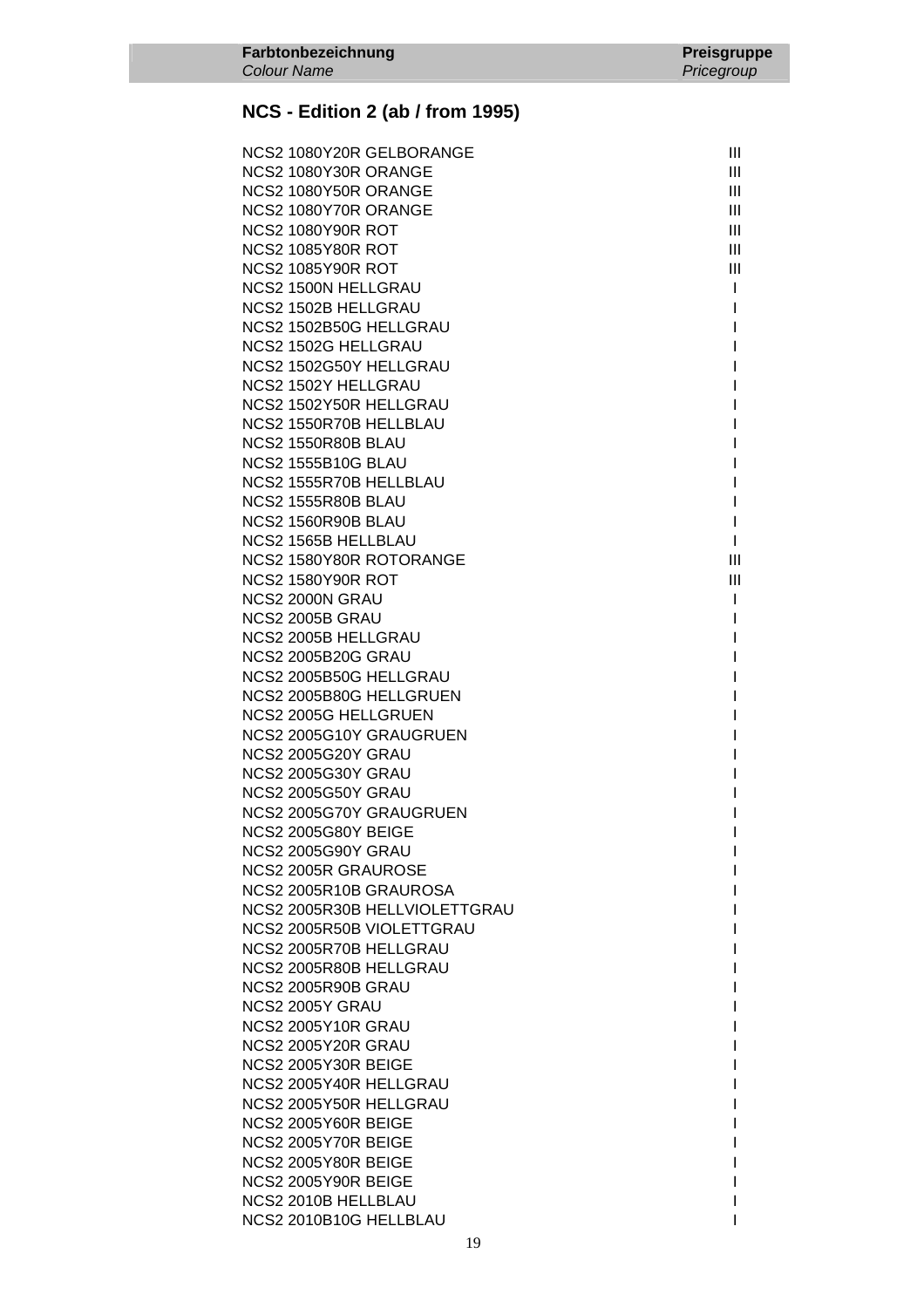Colour Name

| NCS2 1080Y20R GELBORANGE      | Ш              |
|-------------------------------|----------------|
| NCS2 1080Y30R ORANGE          | III            |
| NCS2 1080Y50R ORANGE          | Ш              |
| NCS2 1080Y70R ORANGE          | Ш              |
| <b>NCS2 1080Y90R ROT</b>      | III            |
| <b>NCS2 1085Y80R ROT</b>      | III            |
| <b>NCS2 1085Y90R ROT</b>      | Ш              |
| NCS2 1500N HELLGRAU           | $\mathbf{I}$   |
| <b>NCS2 1502B HELLGRAU</b>    | I              |
| NCS2 1502B50G HELLGRAU        | I              |
| NCS2 1502G HELLGRAU           |                |
| NCS2 1502G50Y HELLGRAU        |                |
| <b>NCS2 1502Y HELLGRAU</b>    |                |
| NCS2 1502Y50R HELLGRAU        |                |
| NCS2 1550R70B HELLBLAU        |                |
| NCS2 1550R80B BLAU            |                |
| <b>NCS2 1555B10G BLAU</b>     |                |
| NCS2 1555R70B HELLBLAU        |                |
| <b>NCS2 1555R80B BLAU</b>     |                |
| NCS2 1560R90B BLAU            | I              |
| <b>NCS2 1565B HELLBLAU</b>    | L              |
| NCS2 1580Y80R ROTORANGE       | $\mathbf{III}$ |
| <b>NCS2 1580Y90R ROT</b>      | $\mathbf{III}$ |
| NCS2 2000N GRAU               |                |
| NCS2 2005B GRAU               |                |
| <b>NCS2 2005B HELLGRAU</b>    |                |
| <b>NCS2 2005B20G GRAU</b>     |                |
| NCS2 2005B50G HELLGRAU        |                |
| NCS2 2005B80G HELLGRUEN       |                |
| <b>NCS2 2005G HELLGRUEN</b>   |                |
| NCS2 2005G10Y GRAUGRUEN       |                |
| <b>NCS2 2005G20Y GRAU</b>     |                |
| <b>NCS2 2005G30Y GRAU</b>     |                |
| <b>NCS2 2005G50Y GRAU</b>     |                |
| NCS2 2005G70Y GRAUGRUEN       |                |
| NCS2 2005G80Y BEIGE           |                |
| <b>NCS2 2005G90Y GRAU</b>     |                |
|                               |                |
| NCS2 2005R GRAUROSE           |                |
| NCS2 2005R10B GRAUROSA        |                |
| NCS2 2005R30B HELLVIOLETTGRAU |                |
| NCS2 2005R50B VIOLETTGRAU     |                |
| NCS2 2005R70B HELLGRAU        |                |
| NCS2 2005R80B HELLGRAU        |                |
| <b>NCS2 2005R90B GRAU</b>     |                |
| NCS2 2005Y GRAU               |                |
| <b>NCS2 2005Y10R GRAU</b>     |                |
| <b>NCS2 2005Y20R GRAU</b>     |                |
| NCS2 2005Y30R BEIGE           |                |
| NCS2 2005Y40R HELLGRAU        |                |
| NCS2 2005Y50R HELLGRAU        |                |
| NCS2 2005Y60R BEIGE           |                |
| NCS2 2005Y70R BEIGE           |                |
| <b>NCS2 2005Y80R BEIGE</b>    |                |
| <b>NCS2 2005Y90R BEIGE</b>    |                |
| NCS2 2010B HELLBLAU           |                |
| NCS2 2010B10G HELLBLAU        |                |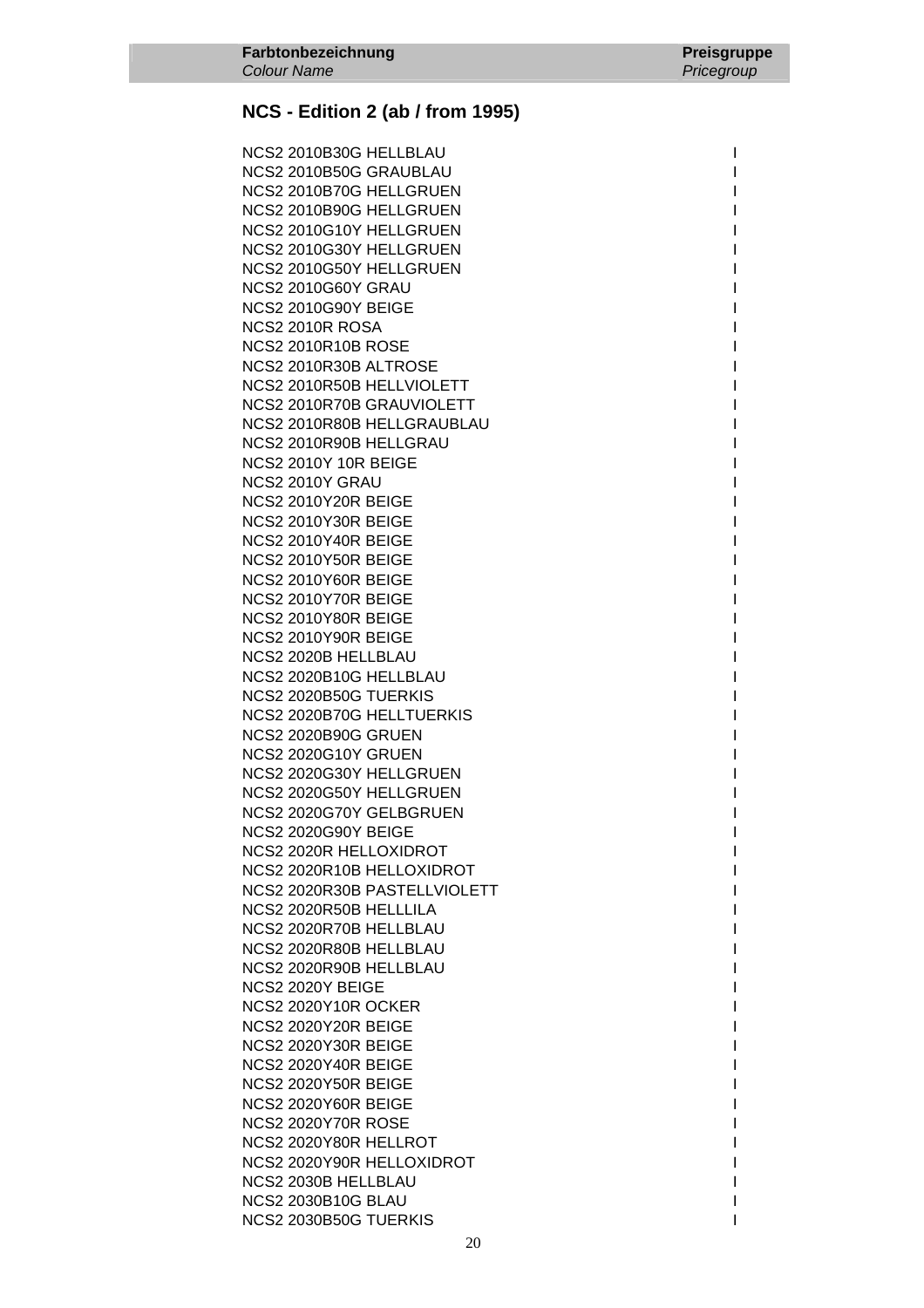NCS2 2010B30G HELLBLAU **International International International International International International International International International International International International International International In**  NCS2 2010B50G GRAUBLAU I NCS2 2010B70G HELLGRUEN I NCS2 2010B90G HELLGRUEN I NCS2 2010G10Y HELLGRUEN I NCS2 2010G30Y HELLGRUEN I NCS2 2010G50Y HELLGRUEN **NCS2 2010G60Y GRAU NCS2 2010G90Y BEIGE** NCS2 2010R ROSA **International Contract Contract Contract Contract Contract Contract Contract Contract Contract Contract Contract Contract Contract Contract Contract Contract Contract Contract Contract Contract Contract Co NCS2 2010R10B ROSE** NCS2 2010R30B ALTROSE NCS2 2010R50B HELLVIOLETT NCS2 2010R70B GRAUVIOLETT NCS2 2010R80B HELLGRAUBLAU **International International International International International International I** NCS2 2010R90B HELLGRAU **NCS2 2010Y 10R BEIGE** NCS2 2010Y GRAU NCS2 2010Y20R BEIGE IN A SERVICE IN A SERVICE IN A SERVICE IN A SERVICE IN A SERVICE IN A SERVICE IN A SERVICE **NCS2 2010Y30R BEIGE NCS2 2010Y40R BEIGE NCS2 2010Y50R BEIGE NCS2 2010Y60R BEIGE** NCS2 2010Y70R BEIGE **NCS2 2010Y80R BEIGE NCS2 2010Y90R BEIGE** NCS2 2020B HELLBLAU NCS2 2020B10G HELLBLAU International and the contract of the contract of the contract of the contract of the c NCS2 2020B50G TUERKIS NCS2 2020B70G HELLTUERKIS **NCS2 2020B90G GRUEN NCS2 2020G10Y GRUEN** NCS2 2020G30Y HELLGRUEN NCS2 2020G50Y HELLGRUEN NCS2 2020G70Y GELBGRUEN **NCS2 2020G90Y BEIGE** NCS2 2020R HELLOXIDROT NCS2 2020R10B HELLOXIDROT NCS2 2020R30B PASTELLVIOLETT NCS2 2020R50B HELLLILA NCS2 2020R70B HELLBLAU NCS2 2020R80B HELLBLAU NCS2 2020R90B HELLBLAU NCS2 2020Y BEIGE **NCS2 2020Y10R OCKER NCS2 2020Y20R BEIGE NCS2 2020Y30R BEIGE NCS2 2020Y40R BEIGE NCS2 2020Y50R BEIGE NCS2 2020Y60R BEIGE NCS2 2020Y70R ROSE** NCS2 2020Y80R HELLROT NCS2 2020Y90R HELLOXIDROT NOTED THAT IS A RESERVE TO A RESERVE THE RESERVE TO A RESERVE THE RESERVE TO A RESERVE THE RESERVE TO A RESERVE THAT IS A RESERVE TO A RESERVE THAT A RESERVE THAT A RESERVE THAT A RESERVE THAT A R NCS2 2030B HELLBLAU **International International International International International International International International International International International International International International Inter** NCS2 2030B10G BLAU **International International International International International International International International International International International International International International Intern** NCS2 2030B50G TUERKIS I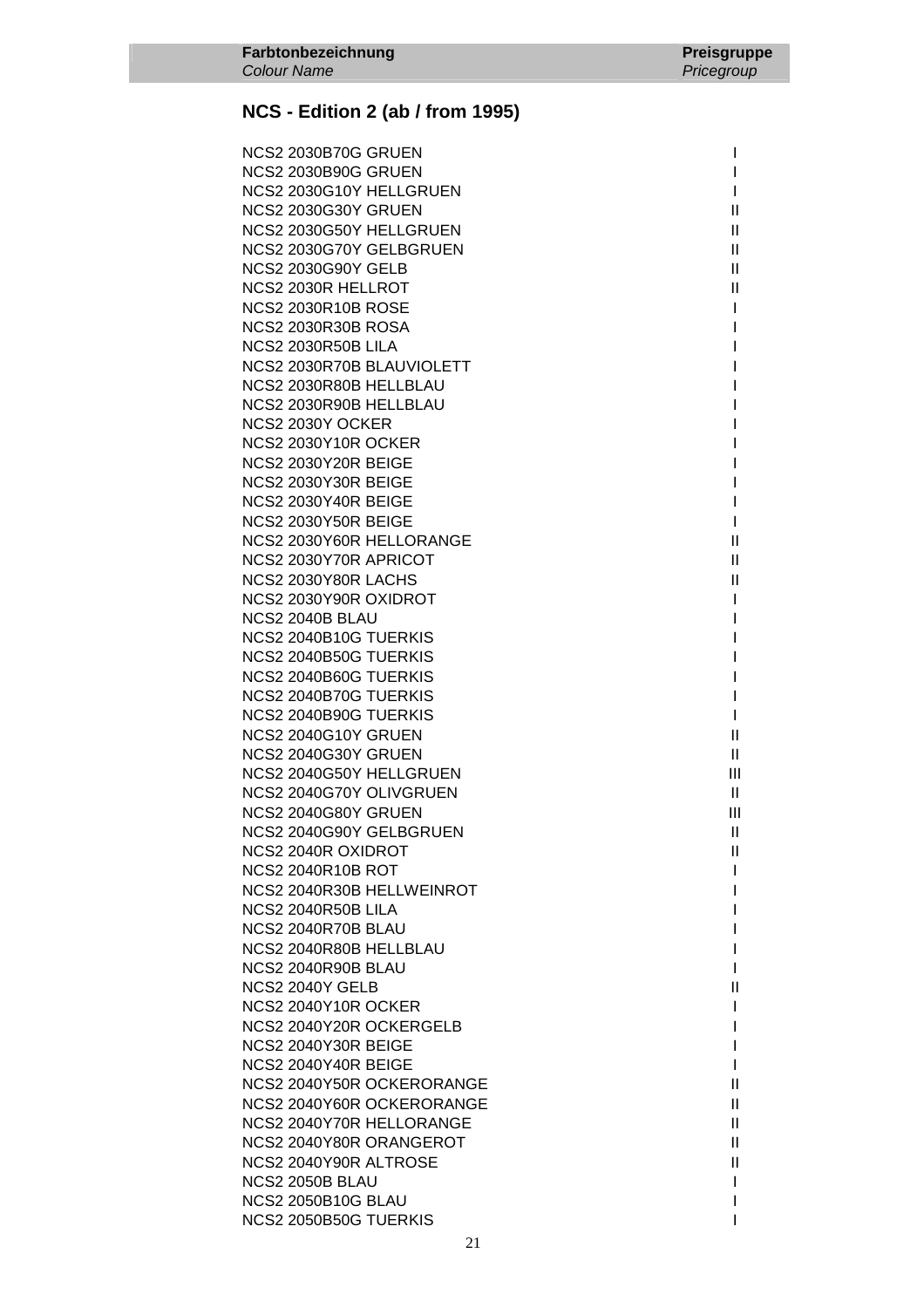| NCS2 2030B70G GRUEN        |                |
|----------------------------|----------------|
| NCS2 2030B90G GRUEN        |                |
| NCS2 2030G10Y HELLGRUEN    | L              |
| NCS2 2030G30Y GRUEN        | $\mathbf{II}$  |
|                            |                |
| NCS2 2030G50Y HELLGRUEN    | Ш              |
| NCS2 2030G70Y GELBGRUEN    | Ш              |
| <b>NCS2 2030G90Y GELB</b>  | $\mathbf{II}$  |
| NCS2 2030R HELLROT         | $\mathbf{II}$  |
| <b>NCS2 2030R10B ROSE</b>  | I              |
| <b>NCS2 2030R30B ROSA</b>  | I              |
| <b>NCS2 2030R50B LILA</b>  |                |
| NCS2 2030R70B BLAUVIOLETT  |                |
| NCS2 2030R80B HELLBLAU     |                |
| NCS2 2030R90B HELLBLAU     |                |
| NCS2 2030Y OCKER           |                |
| <b>NCS2 2030Y10R OCKER</b> |                |
|                            |                |
| NCS2 2030Y20R BEIGE        |                |
| <b>NCS2 2030Y30R BEIGE</b> |                |
| NCS2 2030Y40R BEIGE        |                |
| <b>NCS2 2030Y50R BEIGE</b> | I.             |
| NCS2 2030Y60R HELLORANGE   | $\mathbf{II}$  |
| NCS2 2030Y70R APRICOT      | $\mathbf{II}$  |
| NCS2 2030Y80R LACHS        | Ш              |
| NCS2 2030Y90R OXIDROT      | L              |
| NCS2 2040B BLAU            |                |
| NCS2 2040B10G TUERKIS      |                |
| NCS2 2040B50G TUERKIS      |                |
| NCS2 2040B60G TUERKIS      |                |
| NCS2 2040B70G TUERKIS      | I              |
| NCS2 2040B90G TUERKIS      | I              |
| NCS2 2040G10Y GRUEN        | Ш              |
| <b>NCS2 2040G30Y GRUEN</b> | $\mathbf{II}$  |
| NCS2 2040G50Y HELLGRUEN    | III            |
| NCS2 2040G70Y OLIVGRUEN    | $\mathbf{II}$  |
|                            |                |
| NCS2 2040G80Y GRUEN        | $\mathbf{III}$ |
| NCS2 2040G90Y GELBGRUEN    | $\mathbf{H}$   |
| NCS2 2040R OXIDROT         | $\mathbf{H}$   |
| <b>NCS2 2040R10B ROT</b>   |                |
| NCS2 2040R30B HELLWEINROT  |                |
| NCS2 2040R50B LILA         |                |
| NCS2 2040R70B BLAU         |                |
| NCS2 2040R80B HELLBLAU     |                |
| NCS2 2040R90B BLAU         |                |
| <b>NCS2 2040Y GELB</b>     | $\mathsf{I}$   |
| <b>NCS2 2040Y10R OCKER</b> |                |
| NCS2 2040Y20R OCKERGELB    |                |
| NCS2 2040Y30R BEIGE        |                |
| NCS2 2040Y40R BEIGE        | L              |
| NCS2 2040Y50R OCKERORANGE  | Ш              |
| NCS2 2040Y60R OCKERORANGE  | Ш              |
| NCS2 2040Y70R HELLORANGE   | Ш              |
|                            |                |
| NCS2 2040Y80R ORANGEROT    | $\mathbf{H}$   |
| NCS2 2040Y90R ALTROSE      | Ш              |
| <b>NCS2 2050B BLAU</b>     | I              |
| <b>NCS2 2050B10G BLAU</b>  |                |
| NCS2 2050B50G TUERKIS      |                |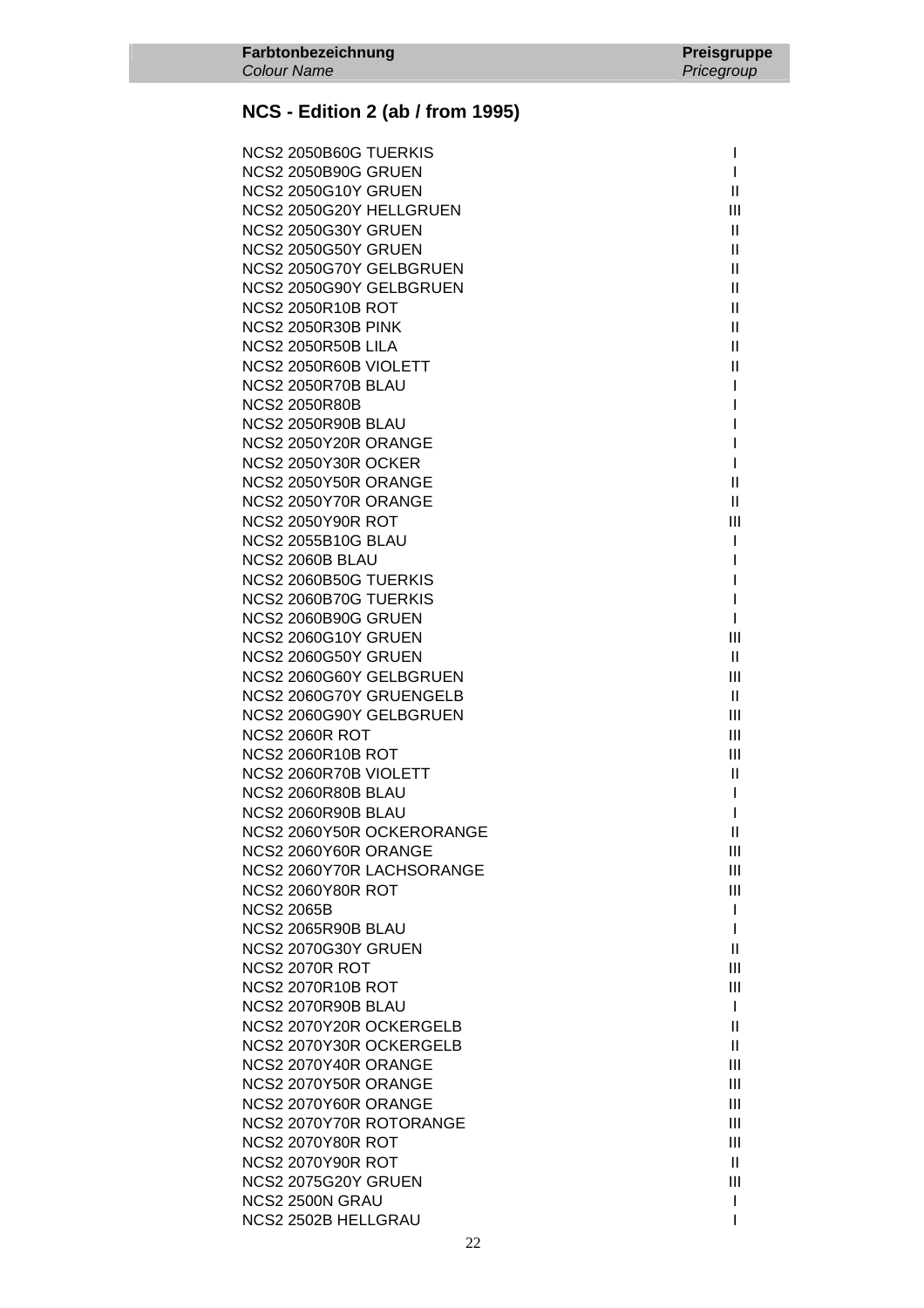| NCS2 2050B60G TUERKIS      | I.           |
|----------------------------|--------------|
| <b>NCS2 2050B90G GRUEN</b> | I.           |
| <b>NCS2 2050G10Y GRUEN</b> | Ш            |
| NCS2 2050G20Y HELLGRUEN    | Ш            |
| NCS2 2050G30Y GRUEN        | Ш            |
| NCS2 2050G50Y GRUEN        | $\mathbf{H}$ |
| NCS2 2050G70Y GELBGRUEN    | $\mathbf{H}$ |
| NCS2 2050G90Y GELBGRUEN    | $\mathbf{H}$ |
| <b>NCS2 2050R10B ROT</b>   | Ш            |
| <b>NCS2 2050R30B PINK</b>  | $\mathbf{H}$ |
| NCS2 2050R50B LILA         | Ш            |
| NCS2 2050R60B VIOLETT      | Ш            |
| NCS2 2050R70B BLAU         | L            |
| <b>NCS2 2050R80B</b>       | I            |
| NCS2 2050R90B BLAU         | I            |
| NCS2 2050Y20R ORANGE       | I            |
| NCS2 2050Y30R OCKER        | I.           |
| NCS2 2050Y50R ORANGE       | Ш            |
| NCS2 2050Y70R ORANGE       | $\mathbf{H}$ |
| <b>NCS2 2050Y90R ROT</b>   | III          |
| <b>NCS2 2055B10G BLAU</b>  | T            |
| NCS2 2060B BLAU            | I            |
| NCS2 2060B50G TUERKIS      | I            |
| NCS2 2060B70G TUERKIS      | I            |
| <b>NCS2 2060B90G GRUEN</b> | I.           |
| NCS2 2060G10Y GRUEN        | Ш            |
| NCS2 2060G50Y GRUEN        | Ш            |
| NCS2 2060G60Y GELBGRUEN    | Ш            |
| NCS2 2060G70Y GRUENGELB    | Ш            |
| NCS2 2060G90Y GELBGRUEN    | Ш            |
| <b>NCS2 2060R ROT</b>      | Ш            |
| <b>NCS2 2060R10B ROT</b>   | Ш            |
| NCS2 2060R70B VIOLETT      | Ш            |
| NCS2 2060R80B BLAU         | T            |
| NCS2 2060R90B BLAU         | I            |
| NCS2 2060Y50R OCKERORANGE  | Ш            |
| NCS2 2060Y60R ORANGE       | Ш            |
| NCS2 2060Y70R LACHSORANGE  | Ш            |
| <b>NCS2 2060Y80R ROT</b>   | Ш            |
| <b>NCS2 2065B</b>          | $\mathbf{I}$ |
| NCS2 2065R90B BLAU         | I.           |
| NCS2 2070G30Y GRUEN        | Ш            |
| <b>NCS2 2070R ROT</b>      | Ш            |
| <b>NCS2 2070R10B ROT</b>   | Ш            |
| NCS2 2070R90B BLAU         | $\mathbf{I}$ |
| NCS2 2070Y20R OCKERGELB    | $\mathbf{I}$ |
| NCS2 2070Y30R OCKERGELB    | Ш            |
| NCS2 2070Y40R ORANGE       | Ш            |
| NCS2 2070Y50R ORANGE       | Ш            |
| NCS2 2070Y60R ORANGE       | Ш            |
| NCS2 2070Y70R ROTORANGE    | Ш            |
| <b>NCS2 2070Y80R ROT</b>   | Ш            |
| <b>NCS2 2070Y90R ROT</b>   | $\mathbf{H}$ |
| NCS2 2075G20Y GRUEN        | Ш            |
| NCS2 2500N GRAU            | I            |
| NCS2 2502B HELLGRAU        | ı            |
|                            |              |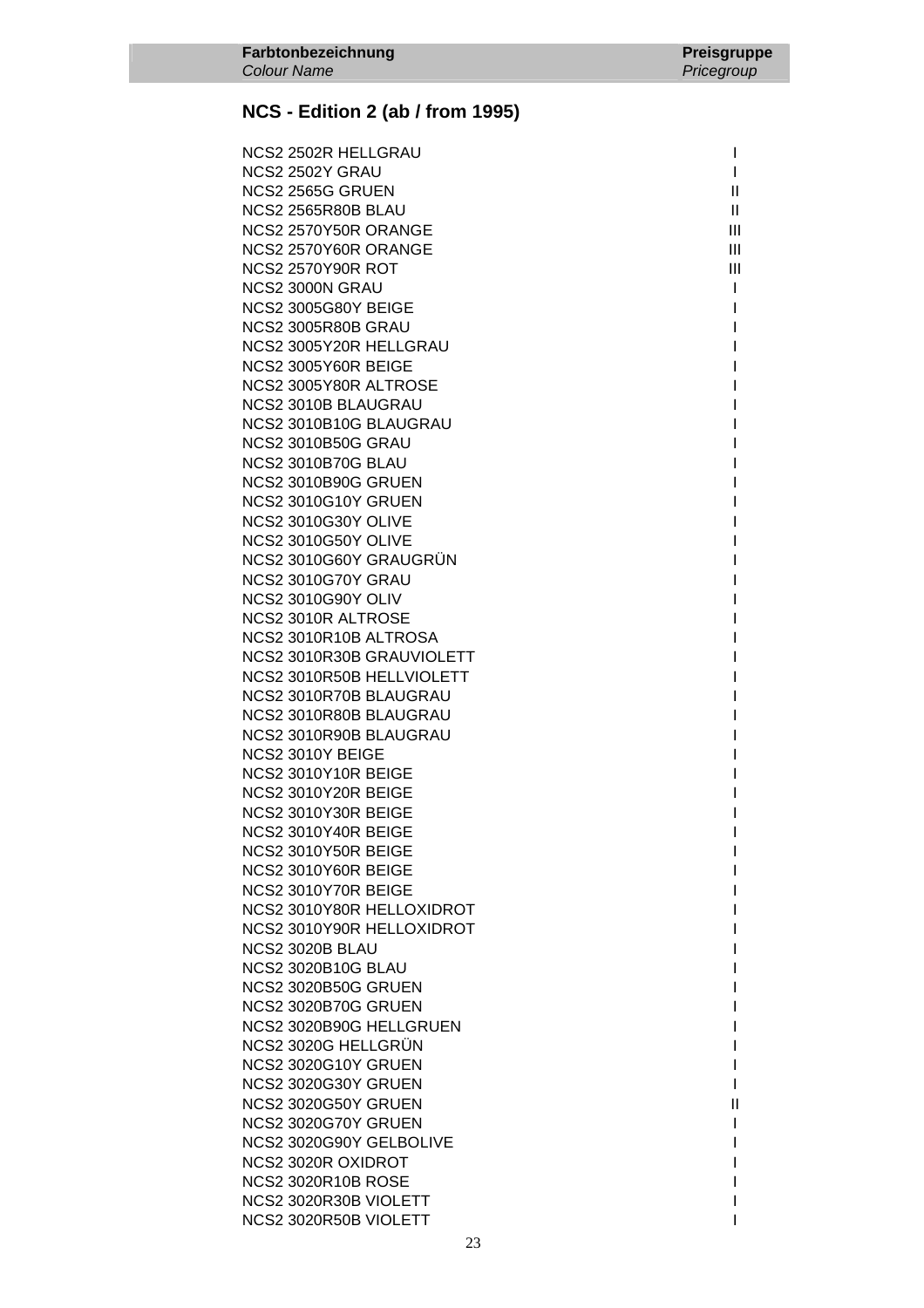| NCS2 2502R HELLGRAU                                      |                |
|----------------------------------------------------------|----------------|
| NCS2 2502Y GRAU                                          | L              |
| NCS2 2565G GRUEN                                         | $\mathbf{H}$   |
| <b>NCS2 2565R80B BLAU</b>                                | $\mathbf{H}$   |
| NCS2 2570Y50R ORANGE                                     | III            |
| NCS2 2570Y60R ORANGE                                     | III            |
| <b>NCS2 2570Y90R ROT</b>                                 | $\mathbf{III}$ |
| NCS2 3000N GRAU                                          | $\mathbf{I}$   |
| <b>NCS2 3005G80Y BEIGE</b>                               |                |
| NCS2 3005R80B GRAU                                       |                |
| NCS2 3005Y20R HELLGRAU                                   |                |
| NCS2 3005Y60R BEIGE                                      |                |
| NCS2 3005Y80R ALTROSE                                    |                |
| NCS2 3010B BLAUGRAU                                      |                |
| NCS2 3010B10G BLAUGRAU                                   |                |
| <b>NCS2 3010B50G GRAU</b>                                |                |
| <b>NCS2 3010B70G BLAU</b>                                |                |
| NCS2 3010B90G GRUEN                                      |                |
| NCS2 3010G10Y GRUEN                                      |                |
| <b>NCS2 3010G30Y OLIVE</b>                               |                |
| <b>NCS2 3010G50Y OLIVE</b>                               |                |
| NCS2 3010G60Y GRAUGRUN                                   |                |
| NCS2 3010G70Y GRAU                                       |                |
| <b>NCS2 3010G90Y OLIV</b>                                |                |
| NCS2 3010R ALTROSE                                       |                |
| NCS2 3010R10B ALTROSA                                    |                |
| NCS2 3010R30B GRAUVIOLETT                                |                |
| NCS2 3010R50B HELLVIOLETT                                |                |
| NCS2 3010R70B BLAUGRAU                                   |                |
| NCS2 3010R80B BLAUGRAU                                   |                |
| NCS2 3010R90B BLAUGRAU                                   |                |
| NCS2 3010Y BEIGE                                         |                |
| NCS2 3010Y10R BEIGE                                      |                |
| NCS2 3010Y20R BEIGE                                      |                |
| NCS2 3010Y30R BEIGE                                      |                |
| NCS2 3010Y40R BEIGE                                      |                |
| NCS2 3010Y50R BEIGE                                      |                |
| NCS2 3010Y60R BEIGE                                      |                |
| NCS2 3010Y70R BEIGE<br>NCS2 3010Y80R HELLOXIDROT         |                |
| NCS2 3010Y90R HELLOXIDROT                                |                |
| NCS2 3020B BLAU                                          |                |
|                                                          |                |
| <b>NCS2 3020B10G BLAU</b><br><b>NCS2 3020B50G GRUEN</b>  |                |
| <b>NCS2 3020B70G GRUEN</b>                               |                |
| NCS2 3020B90G HELLGRUEN                                  |                |
| NCS2 3020G HELLGRUN                                      |                |
|                                                          |                |
| <b>NCS2 3020G10Y GRUEN</b><br><b>NCS2 3020G30Y GRUEN</b> |                |
| <b>NCS2 3020G50Y GRUEN</b>                               | Ш              |
| NCS2 3020G70Y GRUEN                                      |                |
| NCS2 3020G90Y GELBOLIVE                                  |                |
| NCS2 3020R OXIDROT                                       |                |
| <b>NCS2 3020R10B ROSE</b>                                |                |
| NCS2 3020R30B VIOLETT                                    |                |
| NCS2 3020R50B VIOLETT                                    |                |
|                                                          |                |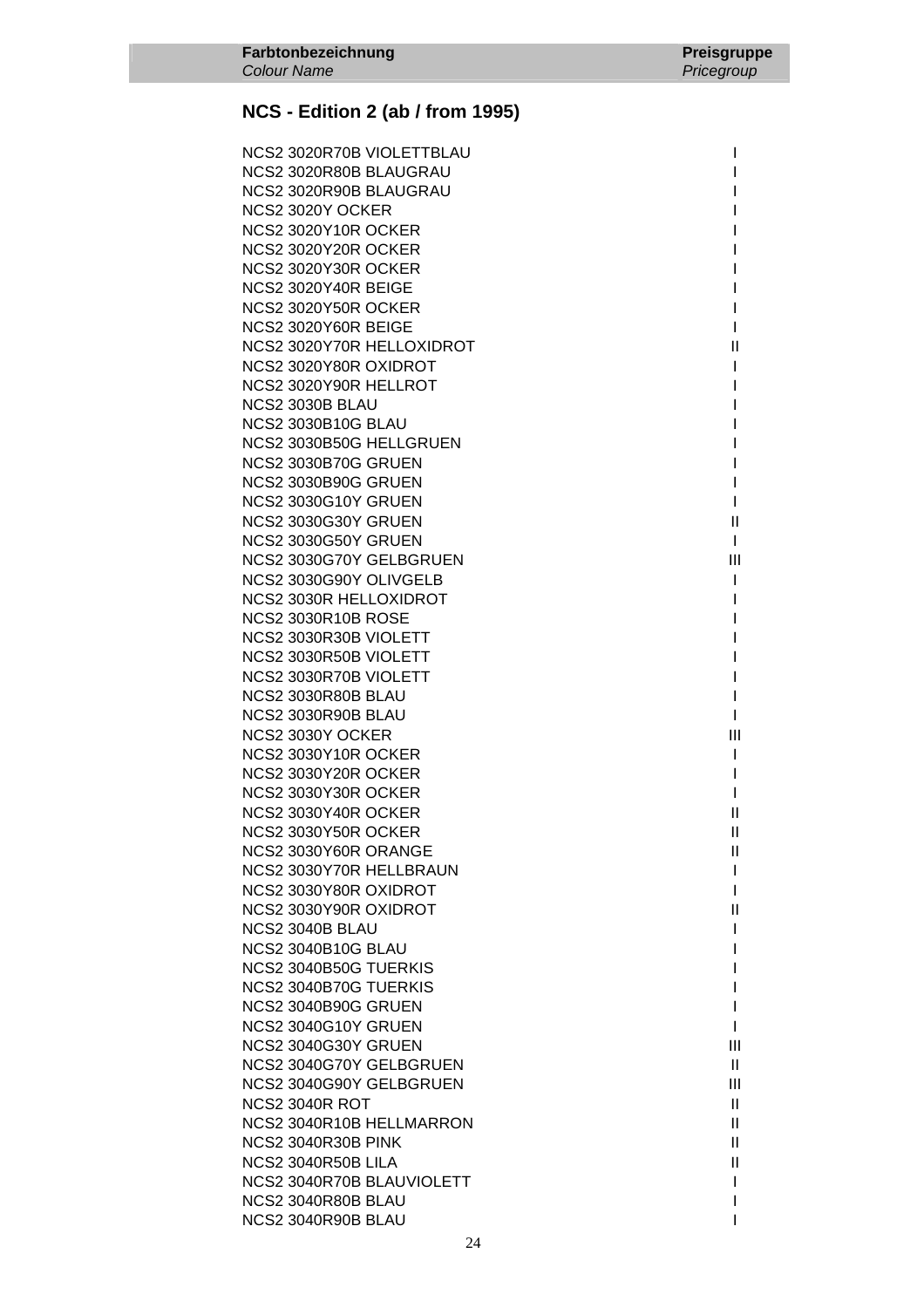| NCS2 3020R70B VIOLETTBLAU  |              |
|----------------------------|--------------|
| NCS2 3020R80B BLAUGRAU     |              |
| NCS2 3020R90B BLAUGRAU     |              |
| NCS2 3020Y OCKER           |              |
| NCS2 3020Y10R OCKER        |              |
| NCS2 3020Y20R OCKER        |              |
| NCS2 3020Y30R OCKER        |              |
| NCS2 3020Y40R BEIGE        |              |
|                            |              |
| NCS2 3020Y50R OCKER        |              |
| NCS2 3020Y60R BEIGE        |              |
| NCS2 3020Y70R HELLOXIDROT  | Ш            |
| NCS2 3020Y80R OXIDROT      | L            |
| NCS2 3020Y90R HELLROT      |              |
| NCS2 3030B BLAU            |              |
| <b>NCS2 3030B10G BLAU</b>  |              |
| NCS2 3030B50G HELLGRUEN    |              |
| <b>NCS2 3030B70G GRUEN</b> |              |
| <b>NCS2 3030B90G GRUEN</b> |              |
| <b>NCS2 3030G10Y GRUEN</b> |              |
| <b>NCS2 3030G30Y GRUEN</b> | $\mathbf{I}$ |
| NCS2 3030G50Y GRUEN        | L            |
| NCS2 3030G70Y GELBGRUEN    | III          |
| NCS2 3030G90Y OLIVGELB     | L            |
| NCS2 3030R HELLOXIDROT     |              |
| <b>NCS2 3030R10B ROSE</b>  |              |
| NCS2 3030R30B VIOLETT      |              |
| NCS2 3030R50B VIOLETT      |              |
| NCS2 3030R70B VIOLETT      |              |
| NCS2 3030R80B BLAU         |              |
| NCS2 3030R90B BLAU         |              |
| NCS2 3030Y OCKER           | Ш            |
| NCS2 3030Y10R OCKER        |              |
| NCS2 3030Y20R OCKER        | I            |
| NCS2 3030Y30R OCKER        |              |
| NCS2 3030Y40R OCKER        | $\mathbf{I}$ |
| NCS2 3030Y50R OCKER        | $\mathbf{H}$ |
| NCS2 3030Y60R ORANGE       | Ш            |
| NCS2 3030Y70R HELLBRAUN    | L            |
| NCS2 3030Y80R OXIDROT      | I            |
| NCS2 3030Y90R OXIDROT      | $\mathbf{I}$ |
| NCS2 3040B BLAU            |              |
| <b>NCS2 3040B10G BLAU</b>  |              |
| NCS2 3040B50G TUERKIS      |              |
| NCS2 3040B70G TUERKIS      |              |
| NCS2 3040B90G GRUEN        |              |
| NCS2 3040G10Y GRUEN        | I            |
| <b>NCS2 3040G30Y GRUEN</b> | Ш            |
| NCS2 3040G70Y GELBGRUEN    | Ш            |
|                            |              |
| NCS2 3040G90Y GELBGRUEN    | Ш            |
| <b>NCS2 3040R ROT</b>      | Ш            |
| NCS2 3040R10B HELLMARRON   | $\mathbf{H}$ |
| <b>NCS2 3040R30B PINK</b>  | $\mathbf{H}$ |
| NCS2 3040R50B LILA         | Ш            |
| NCS2 3040R70B BLAUVIOLETT  | I            |
| NCS2 3040R80B BLAU         |              |
| NCS2 3040R90B BLAU         |              |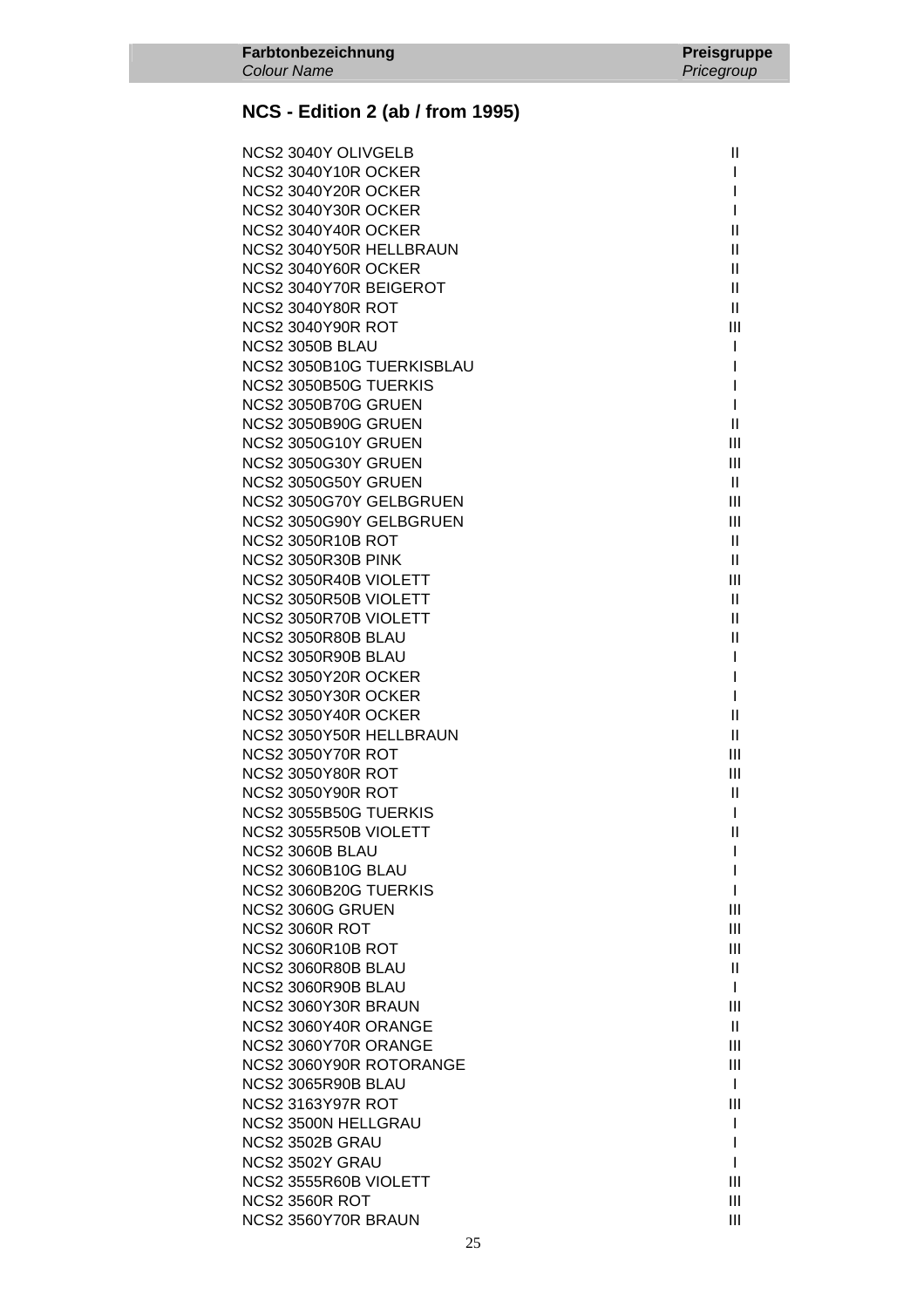| NCS2 3040Y OLIVGELB        | Ш              |
|----------------------------|----------------|
| NCS2 3040Y10R OCKER        | L              |
| NCS2 3040Y20R OCKER        |                |
| NCS2 3040Y30R OCKER        | L              |
| NCS2 3040Y40R OCKER        | Ш              |
| NCS2 3040Y50R HELLBRAUN    | Ш              |
| NCS2 3040Y60R OCKER        | $\mathbf{II}$  |
| NCS2 3040Y70R BEIGEROT     | $\mathbf{II}$  |
| <b>NCS2 3040Y80R ROT</b>   | $\mathbf{II}$  |
| <b>NCS2 3040Y90R ROT</b>   | Ш              |
| NCS2 3050B BLAU            | L              |
| NCS2 3050B10G TUERKISBLAU  | L              |
| NCS2 3050B50G TUERKIS      | L              |
| NCS2 3050B70G GRUEN        | L              |
| NCS2 3050B90G GRUEN        | $\mathbf{II}$  |
| NCS2 3050G10Y GRUEN        | Ш              |
| NCS2 3050G30Y GRUEN        | Ш              |
| NCS2 3050G50Y GRUEN        | $\mathbf{H}$   |
| NCS2 3050G70Y GELBGRUEN    | Ш              |
| NCS2 3050G90Y GELBGRUEN    | Ш              |
| <b>NCS2 3050R10B ROT</b>   | $\mathbf{H}$   |
| <b>NCS2 3050R30B PINK</b>  | $\mathbf{II}$  |
| NCS2 3050R40B VIOLETT      | Ш              |
| NCS2 3050R50B VIOLETT      | $\mathbf{II}$  |
| NCS2 3050R70B VIOLETT      | $\mathbf{H}$   |
| NCS2 3050R80B BLAU         | Ш              |
| NCS2 3050R90B BLAU         | L              |
| NCS2 3050Y20R OCKER        | L              |
| NCS2 3050Y30R OCKER        | L              |
| NCS2 3050Y40R OCKER        | Ш              |
| NCS2 3050Y50R HELLBRAUN    | $\mathbf{II}$  |
| <b>NCS2 3050Y70R ROT</b>   | Ш              |
| <b>NCS2 3050Y80R ROT</b>   | Ш              |
| <b>NCS2 3050Y90R ROT</b>   | $\mathbf{II}$  |
| NCS2 3055B50G TUERKIS      | I              |
| NCS2 3055R50B VIOLETT      | $\mathbf{  }$  |
| NCS2 3060B BLAU            |                |
| <b>NCS2 3060B10G BLAU</b>  |                |
| NCS2 3060B20G TUERKIS      | I              |
| NCS2 3060G GRUEN           | Ш              |
| <b>NCS2 3060R ROT</b>      | Ш              |
| <b>NCS2 3060R10B ROT</b>   | Ш              |
| NCS2 3060R80B BLAU         | $\mathbf{II}$  |
| NCS2 3060R90B BLAU         | L              |
| NCS2 3060Y30R BRAUN        | Ш              |
| NCS2 3060Y40R ORANGE       | $\mathbf{H}$   |
| NCS2 3060Y70R ORANGE       | Ш              |
| NCS2 3060Y90R ROTORANGE    | $\mathbf{III}$ |
| NCS2 3065R90B BLAU         | L              |
| <b>NCS2 3163Y97R ROT</b>   | $\mathbf{III}$ |
| <b>NCS2 3500N HELLGRAU</b> | L              |
| NCS2 3502B GRAU            | L              |
| NCS2 3502Y GRAU            | L              |
| NCS2 3555R60B VIOLETT      | Ш              |
| <b>NCS2 3560R ROT</b>      | Ш              |
| NCS2 3560Y70R BRAUN        | Ш              |
|                            |                |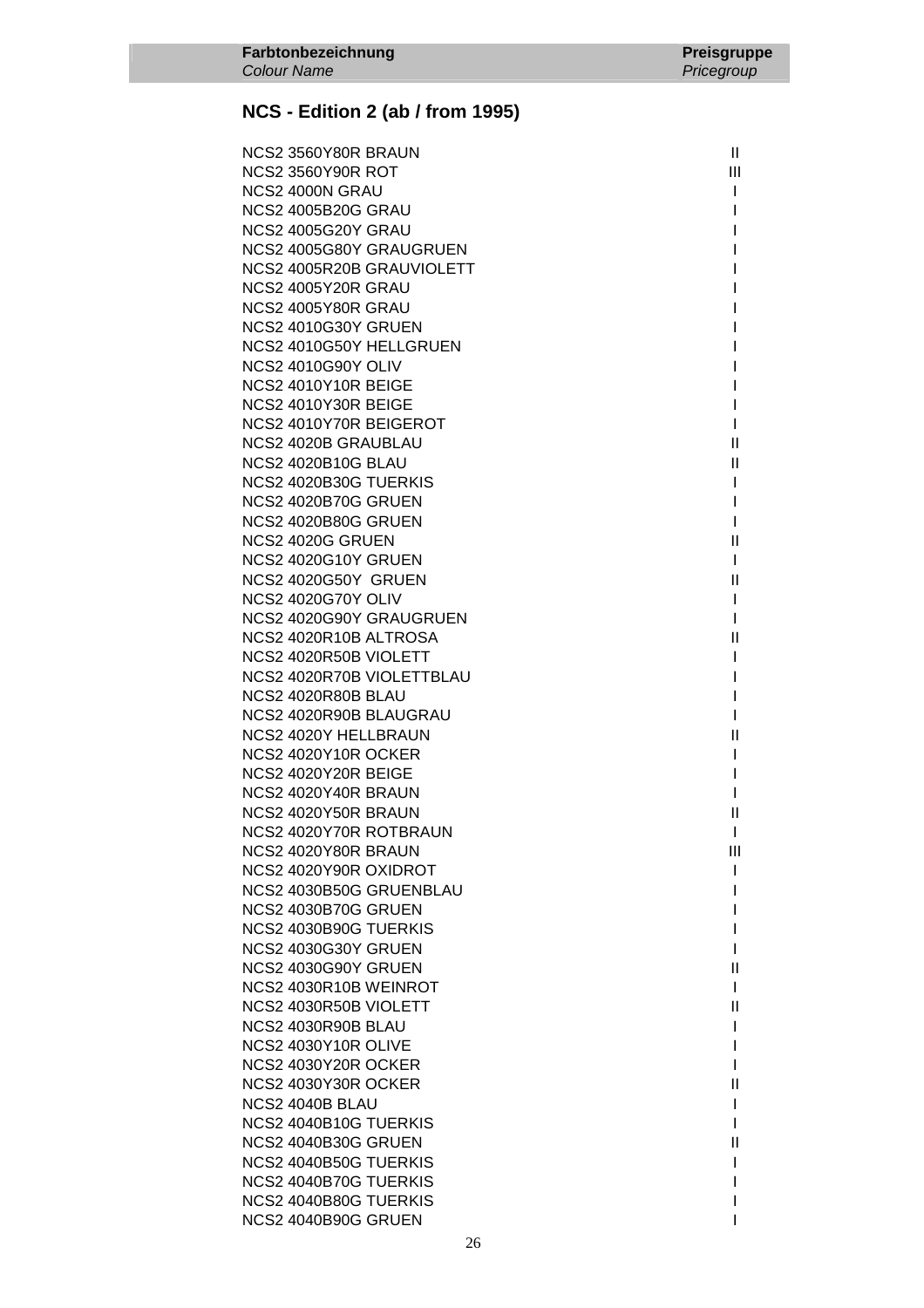| NCS2 3560Y80R BRAUN        | $\mathbf{II}$ |
|----------------------------|---------------|
| <b>NCS2 3560Y90R ROT</b>   | Ш             |
| NCS2 4000N GRAU            | L             |
| <b>NCS2 4005B20G GRAU</b>  | I             |
| <b>NCS2 4005G20Y GRAU</b>  |               |
| NCS2 4005G80Y GRAUGRUEN    |               |
| NCS2 4005R20B GRAUVIOLETT  |               |
| NCS2 4005Y20R GRAU         |               |
| NCS2 4005Y80R GRAU         |               |
| NCS2 4010G30Y GRUEN        |               |
| NCS2 4010G50Y HELLGRUEN    |               |
| <b>NCS2 4010G90Y OLIV</b>  |               |
| NCS2 4010Y10R BEIGE        |               |
| NCS2 4010Y30R BEIGE        | I             |
| NCS2 4010Y70R BEIGEROT     | I.            |
|                            | Ш             |
| <b>NCS2 4020B GRAUBLAU</b> |               |
| <b>NCS2 4020B10G BLAU</b>  | Ш             |
| NCS2 4020B30G TUERKIS      | L             |
| NCS2 4020B70G GRUEN        | L             |
| <b>NCS2 4020B80G GRUEN</b> | L             |
| NCS2 4020G GRUEN           | Ш             |
| <b>NCS2 4020G10Y GRUEN</b> | $\mathbf{I}$  |
| NCS2 4020G50Y GRUEN        | Ш             |
| <b>NCS2 4020G70Y OLIV</b>  | $\mathbf{I}$  |
| NCS2 4020G90Y GRAUGRUEN    | L             |
| NCS2 4020R10B ALTROSA      | Ш             |
| NCS2 4020R50B VIOLETT      | L             |
| NCS2 4020R70B VIOLETTBLAU  | L             |
| NCS2 4020R80B BLAU         | I             |
| NCS2 4020R90B BLAUGRAU     | L             |
| NCS2 4020Y HELLBRAUN       | $\mathbf{II}$ |
| NCS2 4020Y10R OCKER        | $\mathbf{I}$  |
| NCS2 4020Y20R BEIGE        | L             |
| NCS2 4020Y40R BRAUN        | L             |
| NCS2 4020Y50R BRAUN        | Ш             |
| NCS2 4020Y70R ROTBRAUN     | $\mathbf{L}$  |
| NCS2 4020Y80R BRAUN        | Ш             |
| NCS2 4020Y90R OXIDROT      |               |
| NCS2 4030B50G GRUENBLAU    |               |
| NCS2 4030B70G GRUEN        |               |
| NCS2 4030B90G TUERKIS      |               |
| <b>NCS2 4030G30Y GRUEN</b> |               |
| NCS2 4030G90Y GRUEN        | Ш             |
| NCS2 4030R10B WEINROT      | L             |
| NCS2 4030R50B VIOLETT      | Ш             |
| NCS2 4030R90B BLAU         |               |
| NCS2 4030Y10R OLIVE        |               |
| NCS2 4030Y20R OCKER        |               |
| NCS2 4030Y30R OCKER        | Ш             |
| NCS2 4040B BLAU            |               |
| NCS2 4040B10G TUERKIS      |               |
| <b>NCS2 4040B30G GRUEN</b> | Ш             |
| NCS2 4040B50G TUERKIS      |               |
| NCS2 4040B70G TUERKIS      |               |
| NCS2 4040B80G TUERKIS      |               |
| NCS2 4040B90G GRUEN        |               |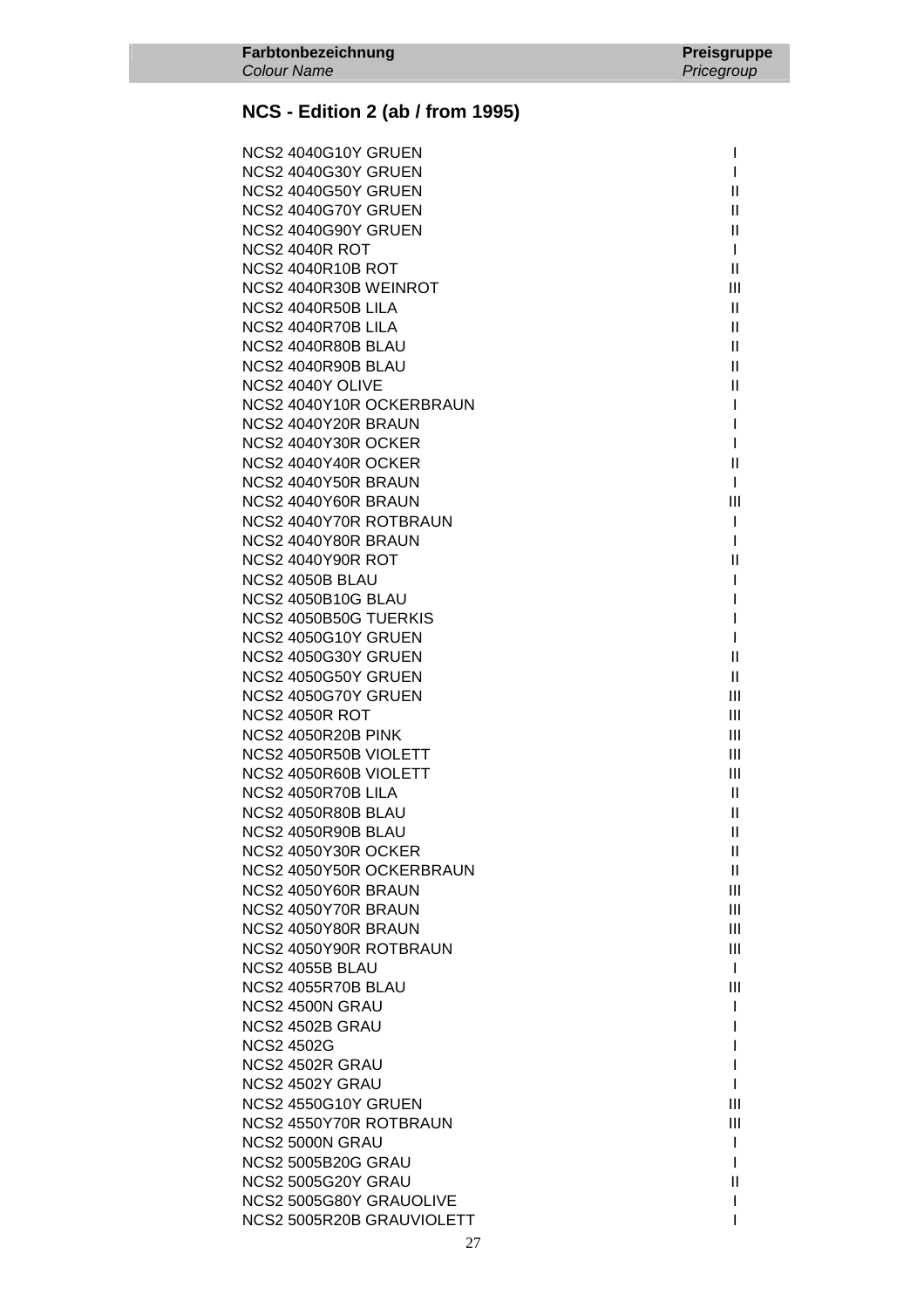| NCS2 4040G10Y GRUEN       |              |
|---------------------------|--------------|
| NCS2 4040G30Y GRUEN       | I            |
| NCS2 4040G50Y GRUEN       | $\mathbf{H}$ |
| NCS2 4040G70Y GRUEN       | Ш            |
| NCS2 4040G90Y GRUEN       | Ш            |
| <b>NCS2 4040R ROT</b>     | L            |
| <b>NCS2 4040R10B ROT</b>  | Ш            |
| NCS2 4040R30B WEINROT     | Ш            |
| NCS2 4040R50B LILA        | $\mathbf{H}$ |
| NCS2 4040R70B LILA        | Ш            |
| NCS2 4040R80B BLAU        | Ш            |
| NCS2 4040R90B BLAU        | Ш            |
| NCS2 4040Y OLIVE          | $\mathbf{H}$ |
| NCS2 4040Y10R OCKERBRAUN  | I            |
| NCS2 4040Y20R BRAUN       | I            |
| NCS2 4040Y30R OCKER       | L            |
| NCS2 4040Y40R OCKER       | Ш            |
| NCS2 4040Y50R BRAUN       | L            |
| NCS2 4040Y60R BRAUN       | Ш            |
| NCS2 4040Y70R ROTBRAUN    | L            |
| NCS2 4040Y80R BRAUN       | L            |
| <b>NCS2 4040Y90R ROT</b>  | $\mathbf{H}$ |
| NCS2 4050B BLAU           |              |
| <b>NCS2 4050B10G BLAU</b> |              |
| NCS2 4050B50G TUERKIS     | I            |
| NCS2 4050G10Y GRUEN       | L            |
| NCS2 4050G30Y GRUEN       | Ш            |
| NCS2 4050G50Y GRUEN       | Ш            |
| NCS2 4050G70Y GRUEN       | Ш            |
| <b>NCS2 4050R ROT</b>     | Ш            |
| <b>NCS2 4050R20B PINK</b> | III          |
| NCS2 4050R50B VIOLETT     | III          |
| NCS2 4050R60B VIOLETT     | Ш            |
| NCS2 4050R70B LILA        | $\mathbf{H}$ |
| NCS2 4050R80B BLAU        | Ш            |
| NCS2 4050R90B BLAU        | $\mathbf{H}$ |
| NCS2 4050Y30R OCKER       | $\mathbf{H}$ |
| NCS2 4050Y50R OCKERBRAUN  | Ш            |
| NCS2 4050Y60R BRAUN       | Ш            |
| NCS2 4050Y70R BRAUN       | Ш            |
| NCS2 4050Y80R BRAUN       | Ш            |
| NCS2 4050Y90R ROTBRAUN    | Ш            |
| NCS2 4055B BLAU           | L            |
| NCS2 4055R70B BLAU        | Ш            |
| NCS2 4500N GRAU           | L            |
| NCS2 4502B GRAU           | I            |
| <b>NCS2 4502G</b>         |              |
| NCS2 4502R GRAU           |              |
| NCS2 4502Y GRAU           |              |
| NCS2 4550G10Y GRUEN       | Ш            |
| NCS2 4550Y70R ROTBRAUN    | Ш            |
| NCS2 5000N GRAU           | L            |
| <b>NCS2 5005B20G GRAU</b> | L            |
| NCS2 5005G20Y GRAU        | $\mathbf{H}$ |
| NCS2 5005G80Y GRAUOLIVE   |              |
| NCS2 5005R20B GRAUVIOLETT | I            |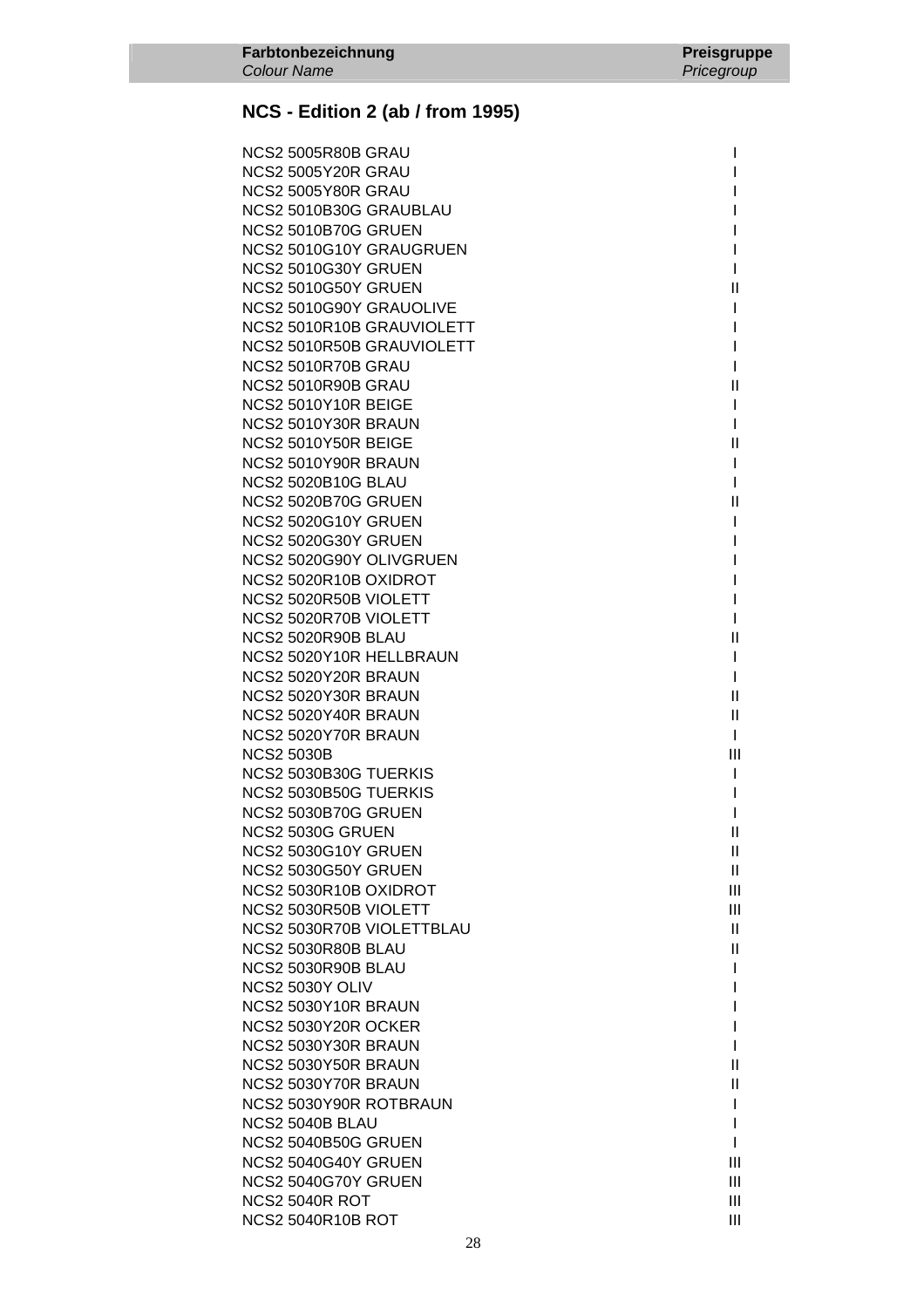| NCS2 5005R80B GRAU         |                                           |
|----------------------------|-------------------------------------------|
| <b>NCS2 5005Y20R GRAU</b>  |                                           |
| NCS2 5005Y80R GRAU         |                                           |
| NCS2 5010B30G GRAUBLAU     |                                           |
| NCS2 5010B70G GRUEN        |                                           |
| NCS2 5010G10Y GRAUGRUEN    |                                           |
| NCS2 5010G30Y GRUEN        |                                           |
| NCS2 5010G50Y GRUEN        | $\mathbf{H}$                              |
| NCS2 5010G90Y GRAUOLIVE    |                                           |
| NCS2 5010R10B GRAUVIOLETT  | I                                         |
| NCS2 5010R50B GRAUVIOLETT  | I                                         |
| NCS2 5010R70B GRAU         | I                                         |
| NCS2 5010R90B GRAU         | $\mathbf{I}$                              |
| NCS2 5010Y10R BEIGE        | L                                         |
| NCS2 5010Y30R BRAUN        | L                                         |
| NCS2 5010Y50R BEIGE        | Ш                                         |
| NCS2 5010Y90R BRAUN        | L                                         |
| <b>NCS2 5020B10G BLAU</b>  | I                                         |
| <b>NCS2 5020B70G GRUEN</b> | Ш                                         |
| NCS2 5020G10Y GRUEN        |                                           |
| NCS2 5020G30Y GRUEN        |                                           |
| NCS2 5020G90Y OLIVGRUEN    |                                           |
| NCS2 5020R10B OXIDROT      |                                           |
| NCS2 5020R50B VIOLETT      |                                           |
| NCS2 5020R70B VIOLETT      | I                                         |
| NCS2 5020R90B BLAU         | $\label{eq:1} \prod_{i=1}^n \mathbb{I}^i$ |
| NCS2 5020Y10R HELLBRAUN    | L                                         |
| NCS2 5020Y20R BRAUN        | L                                         |
| NCS2 5020Y30R BRAUN        | $\mathbf{H}$                              |
| NCS2 5020Y40R BRAUN        | Ш                                         |
| NCS2 5020Y70R BRAUN        | $\mathbf{I}$                              |
| <b>NCS2 5030B</b>          | III                                       |
| NCS2 5030B30G TUERKIS      | I.                                        |
| NCS2 5030B50G TUERKIS      | I                                         |
| NCS2 5030B70G GRUEN        | I                                         |
| NCS2 5030G GRUEN           | $\mathbf{H}$                              |
| NCS2 5030G10Y GRUEN        | $\mathbf{H}$                              |
| <b>NCS2 5030G50Y GRUEN</b> | $\mathbf{H}$                              |
| NCS2 5030R10B OXIDROT      | III                                       |
| NCS2 5030R50B VIOLETT      | III                                       |
| NCS2 5030R70B VIOLETTBLAU  | $\mathbf{H}$                              |
| NCS2 5030R80B BLAU         | Ш                                         |
| NCS2 5030R90B BLAU         | I                                         |
| NCS2 5030Y OLIV            | I                                         |
| NCS2 5030Y10R BRAUN        |                                           |
| <b>NCS2 5030Y20R OCKER</b> | I                                         |
| NCS2 5030Y30R BRAUN        | I                                         |
| NCS2 5030Y50R BRAUN        | $\mathbf{I}$                              |
| NCS2 5030Y70R BRAUN        | $\label{eq:1} \prod_{i=1}^n \mathbb{I}^i$ |
| NCS2 5030Y90R ROTBRAUN     | L                                         |
| NCS2 5040B BLAU            | L                                         |
| <b>NCS2 5040B50G GRUEN</b> | I                                         |
| NCS2 5040G40Y GRUEN        | III                                       |
| NCS2 5040G70Y GRUEN        | III                                       |
| NCS2 5040R ROT             | III                                       |
| <b>NCS2 5040R10B ROT</b>   | III                                       |
|                            |                                           |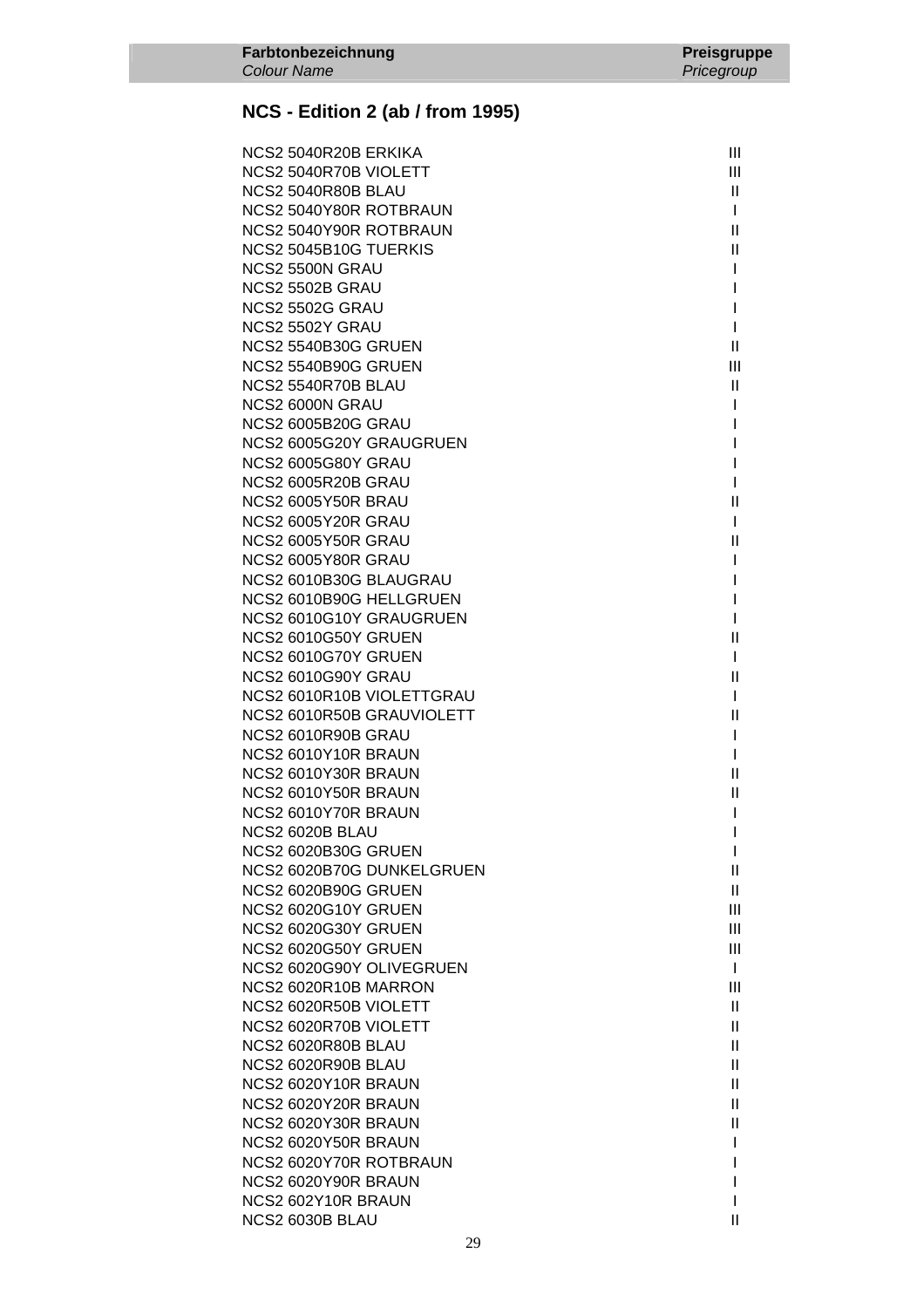| NCS2 5040R20B ERKIKA       | Ш              |
|----------------------------|----------------|
| NCS2 5040R70B VIOLETT      | Ш              |
| NCS2 5040R80B BLAU         | II.            |
| NCS2 5040Y80R ROTBRAUN     | L              |
| NCS2 5040Y90R ROTBRAUN     | $\mathbf{H}$   |
| NCS2 5045B10G TUERKIS      | $\mathbf{H}$   |
| NCS2 5500N GRAU            | L              |
| NCS2 5502B GRAU            |                |
| <b>NCS2 5502G GRAU</b>     |                |
| NCS2 5502Y GRAU            | L              |
| <b>NCS2 5540B30G GRUEN</b> | $\mathbf{H}$   |
| <b>NCS2 5540B90G GRUEN</b> | $\mathbf{III}$ |
| NCS2 5540R70B BLAU         | Ш              |
| NCS2 6000N GRAU            |                |
| <b>NCS2 6005B20G GRAU</b>  |                |
| NCS2 6005G20Y GRAUGRUEN    |                |
| NCS2 6005G80Y GRAU         |                |
| NCS2 6005R20B GRAU         |                |
| <b>NCS2 6005Y50R BRAU</b>  | Ш              |
| NCS2 6005Y20R GRAU         |                |
| NCS2 6005Y50R GRAU         | Ш              |
| NCS2 6005Y80R GRAU         |                |
| NCS2 6010B30G BLAUGRAU     |                |
| NCS2 6010B90G HELLGRUEN    |                |
| NCS2 6010G10Y GRAUGRUEN    |                |
| NCS2 6010G50Y GRUEN        | $\mathbf{H}$   |
| NCS2 6010G70Y GRUEN        | L              |
| NCS2 6010G90Y GRAU         | $\mathbf{H}$   |
| NCS2 6010R10B VIOLETTGRAU  | L              |
| NCS2 6010R50B GRAUVIOLETT  | $\mathbf{H}$   |
| NCS2 6010R90B GRAU         | L              |
| NCS2 6010Y10R BRAUN        |                |
| NCS2 6010Y30R BRAUN        | Ш              |
| NCS2 6010Y50R BRAUN        | Ш              |
| NCS2 6010Y70R BRAUN        |                |
| NCS2 6020B BLAU            |                |
| <b>NCS2 6020B30G GRUEN</b> | ı              |
| NCS2 6020B70G DUNKELGRUEN  | Ш              |
| <b>NCS2 6020B90G GRUEN</b> | Ш              |
| <b>NCS2 6020G10Y GRUEN</b> | Ш              |
| <b>NCS2 6020G30Y GRUEN</b> | Ш              |
| <b>NCS2 6020G50Y GRUEN</b> | Ш              |
| NCS2 6020G90Y OLIVEGRUEN   | $\mathbf{I}$   |
| NCS2 6020R10B MARRON       | $\mathbf{III}$ |
| NCS2 6020R50B VIOLETT      | Ш              |
| NCS2 6020R70B VIOLETT      | Ш              |
| NCS2 6020R80B BLAU         | Ш              |
| NCS2 6020R90B BLAU         | Ш              |
| NCS2 6020Y10R BRAUN        | $\mathbf{H}$   |
| NCS2 6020Y20R BRAUN        | Ш              |
| NCS2 6020Y30R BRAUN        | Ш              |
| NCS2 6020Y50R BRAUN        |                |
|                            |                |
| NCS2 6020Y70R ROTBRAUN     | ı              |
| NCS2 6020Y90R BRAUN        |                |
| NCS2 602Y10R BRAUN         |                |
| NCS2 6030B BLAU            | Ш              |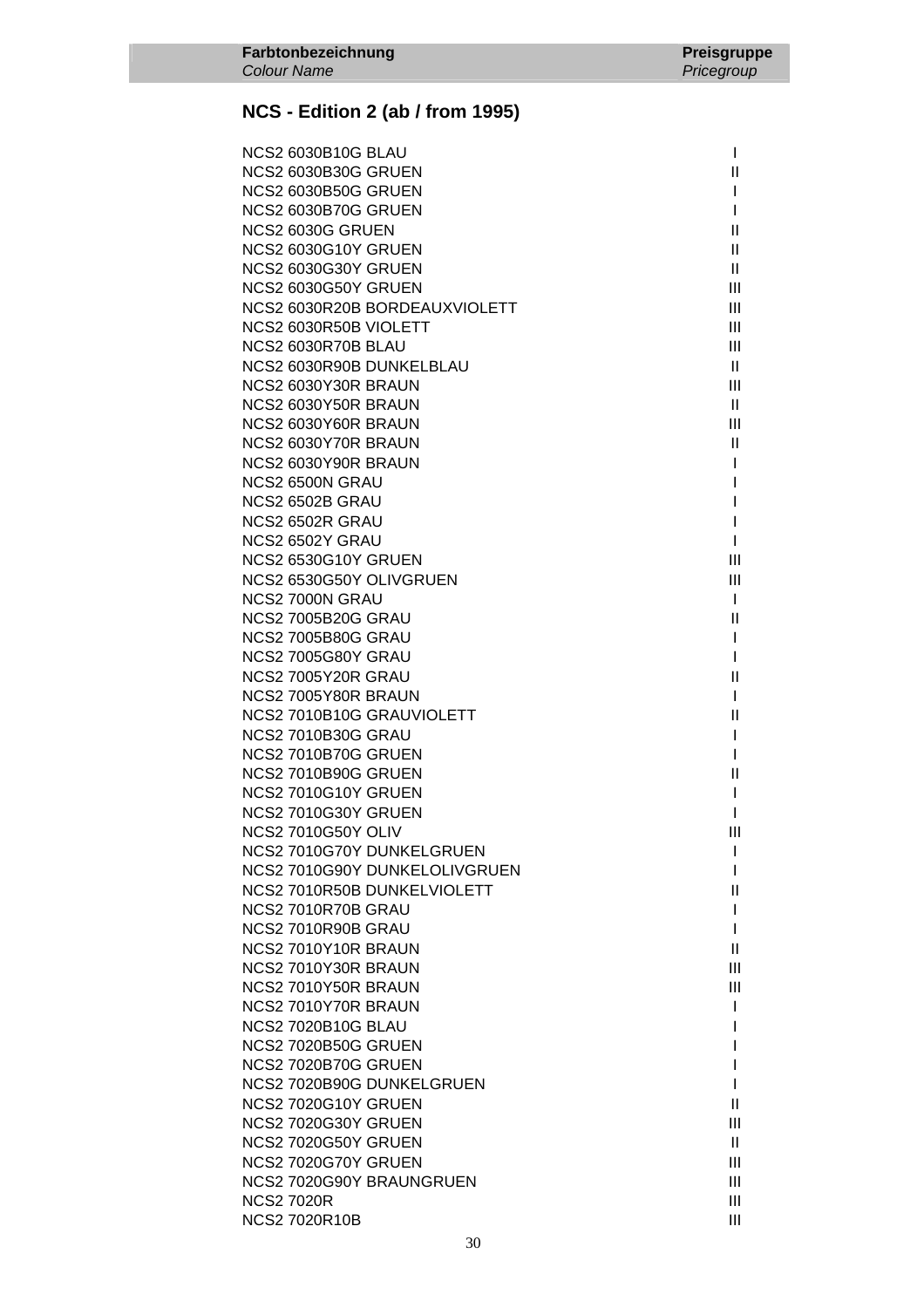| <b>NCS2 6030B10G BLAU</b>     | $\mathbf{I}$   |
|-------------------------------|----------------|
| <b>NCS2 6030B30G GRUEN</b>    | Ш              |
| NCS2 6030B50G GRUEN           | I              |
| NCS2 6030B70G GRUEN           | L              |
| NCS2 6030G GRUEN              | $\mathbf{H}$   |
| NCS2 6030G10Y GRUEN           | Ш              |
| NCS2 6030G30Y GRUEN           | $\mathbf{H}$   |
| NCS2 6030G50Y GRUEN           | Ш              |
| NCS2 6030R20B BORDEAUXVIOLETT | Ш              |
| NCS2 6030R50B VIOLETT         | Ш              |
| NCS2 6030R70B BLAU            | $\mathbf{III}$ |
| NCS2 6030R90B DUNKELBLAU      | $\mathbf{H}$   |
| NCS2 6030Y30R BRAUN           | Ш              |
| NCS2 6030Y50R BRAUN           | $\mathbf{II}$  |
| NCS2 6030Y60R BRAUN           | III            |
| NCS2 6030Y70R BRAUN           | Ш              |
| NCS2 6030Y90R BRAUN           | L              |
| NCS2 6500N GRAU               |                |
| NCS2 6502B GRAU               | I              |
| NCS2 6502R GRAU               | I              |
| NCS2 6502Y GRAU               | L              |
| NCS2 6530G10Y GRUEN           | Ш              |
| NCS2 6530G50Y OLIVGRUEN       | III            |
| NCS2 7000N GRAU               | $\mathbf{I}$   |
| <b>NCS2 7005B20G GRAU</b>     | Ш              |
| <b>NCS2 7005B80G GRAU</b>     | T              |
| <b>NCS2 7005G80Y GRAU</b>     | I.             |
| NCS2 7005Y20R GRAU            | $\mathsf{II}$  |
| NCS2 7005Y80R BRAUN           | L              |
| NCS2 7010B10G GRAUVIOLETT     | Ш              |
| <b>NCS2 7010B30G GRAU</b>     | L              |
| NCS2 7010B70G GRUEN           | L              |
| NCS2 7010B90G GRUEN           | Ш              |
| NCS2 7010G10Y GRUEN           | L              |
| NCS2 7010G30Y GRUEN           | I              |
| <b>NCS2 7010G50Y OLIV</b>     | Ш              |
| NCS2 7010G70Y DUNKELGRUEN     | $\mathbf{I}$   |
| NCS2 7010G90Y DUNKELOLIVGRUEN | I.             |
| NCS2 7010R50B DUNKELVIOLETT   | $\mathbf{I}$   |
| NCS2 7010R70B GRAU            | L              |
| NCS2 7010R90B GRAU            | L              |
| NCS2 7010Y10R BRAUN           | Ш              |
| NCS2 7010Y30R BRAUN           | Ш              |
| NCS2 7010Y50R BRAUN           | Ш              |
| NCS2 7010Y70R BRAUN           | L              |
| <b>NCS2 7020B10G BLAU</b>     | I              |
| <b>NCS2 7020B50G GRUEN</b>    | I              |
| <b>NCS2 7020B70G GRUEN</b>    | I              |
| NCS2 7020B90G DUNKELGRUEN     | T              |
| NCS2 7020G10Y GRUEN           | Ш              |
| <b>NCS2 7020G30Y GRUEN</b>    | Ш              |
| <b>NCS2 7020G50Y GRUEN</b>    | Ш              |
| NCS2 7020G70Y GRUEN           | Ш              |
| NCS2 7020G90Y BRAUNGRUEN      | Ш              |
| <b>NCS2 7020R</b>             | Ш              |
| <b>NCS2 7020R10B</b>          | III            |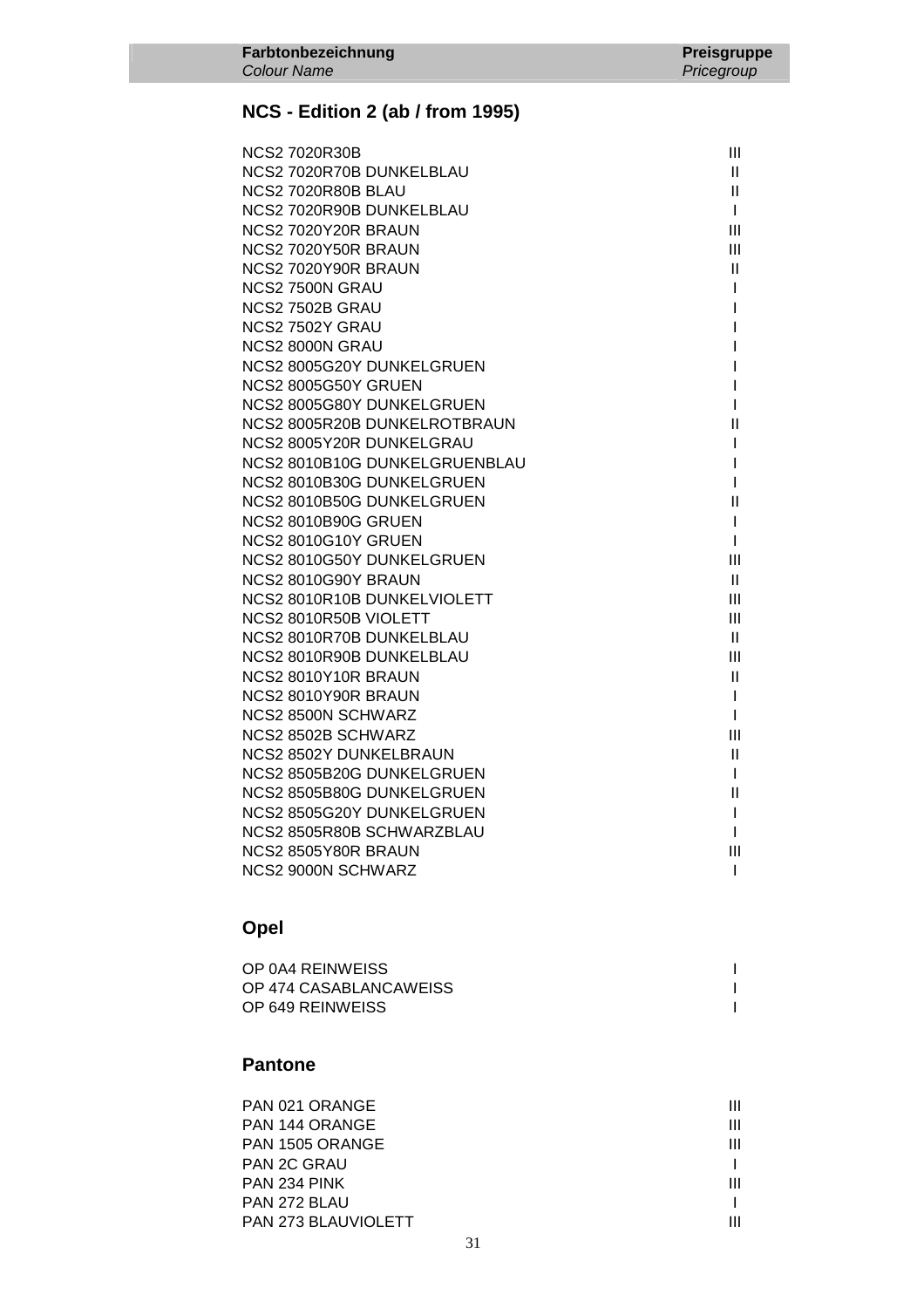| <b>NCS2 7020R30B</b>          | Ш            |
|-------------------------------|--------------|
| NCS2 7020R70B DUNKELBLAU      | Ш            |
| NCS2 7020R80B BLAU            | $\mathbf{H}$ |
| NCS2 7020R90B DUNKELBLAU      | $\mathbf{I}$ |
| NCS2 7020Y20R BRAUN           | Ш            |
| NCS2 7020Y50R BRAUN           | III          |
| NCS2 7020Y90R BRAUN           | Ш            |
| NCS2 7500N GRAU               | L            |
| NCS2 7502B GRAU               | L            |
| NCS2 7502Y GRAU               | L            |
| NCS2 8000N GRAU               |              |
| NCS2 8005G20Y DUNKELGRUEN     | L            |
| NCS2 8005G50Y GRUEN           | L            |
| NCS2 8005G80Y DUNKELGRUEN     | L            |
| NCS2 8005R20B DUNKELROTBRAUN  | Ш            |
| NCS2 8005Y20R DUNKELGRAU      | $\mathbf{I}$ |
| NCS2 8010B10G DUNKELGRUENBLAU | L            |
| NCS2 8010B30G DUNKELGRUEN     | $\mathbf{I}$ |
| NCS2 8010B50G DUNKELGRUEN     | Ш            |
| NCS2 8010B90G GRUEN           | $\mathbf{I}$ |
| NCS2 8010G10Y GRUEN           | $\mathbf{I}$ |
| NCS2 8010G50Y DUNKELGRUEN     | Ш            |
| NCS2 8010G90Y BRAUN           | Ш            |
| NCS2 8010R10B DUNKELVIOLETT   | Ш            |
| NCS2 8010R50B VIOLETT         | Ш            |
| NCS2 8010R70B DUNKELBLAU      | $\mathbf{H}$ |
| NCS2 8010R90B DUNKELBLAU      | III          |
| NCS2 8010Y10R BRAUN           | Ш            |
| NCS2 8010Y90R BRAUN           | $\mathbf{I}$ |
| NCS2 8500N SCHWARZ            | $\mathbf{I}$ |
| NCS2 8502B SCHWARZ            | III          |
| NCS2 8502Y DUNKELBRAUN        | $\mathbf{I}$ |
| NCS2 8505B20G DUNKELGRUEN     | $\mathbf{I}$ |
| NCS2 8505B80G DUNKELGRUEN     | $\mathbf{I}$ |
| NCS2 8505G20Y DUNKELGRUEN     | $\mathbf{I}$ |
| NCS2 8505R80B SCHWARZBLAU     | I.           |
| NCS2 8505Y80R BRAUN           | III          |
| NCS2 9000N SCHWARZ            | T            |

### **Opel**

| OP 0A4 REINWEISS       |  |
|------------------------|--|
| OP 474 CASABLANCAWEISS |  |
| OP 649 REINWEISS       |  |

#### **Pantone**

| PAN 021 ORANGE             | Ш |
|----------------------------|---|
| PAN 144 ORANGE             | Ш |
| PAN 1505 ORANGE            | Ш |
| <b>PAN 2C GRAU</b>         |   |
| PAN 234 PINK               | Ш |
| PAN 272 BLAU               |   |
| <b>PAN 273 BLAUVIOLETT</b> | Ш |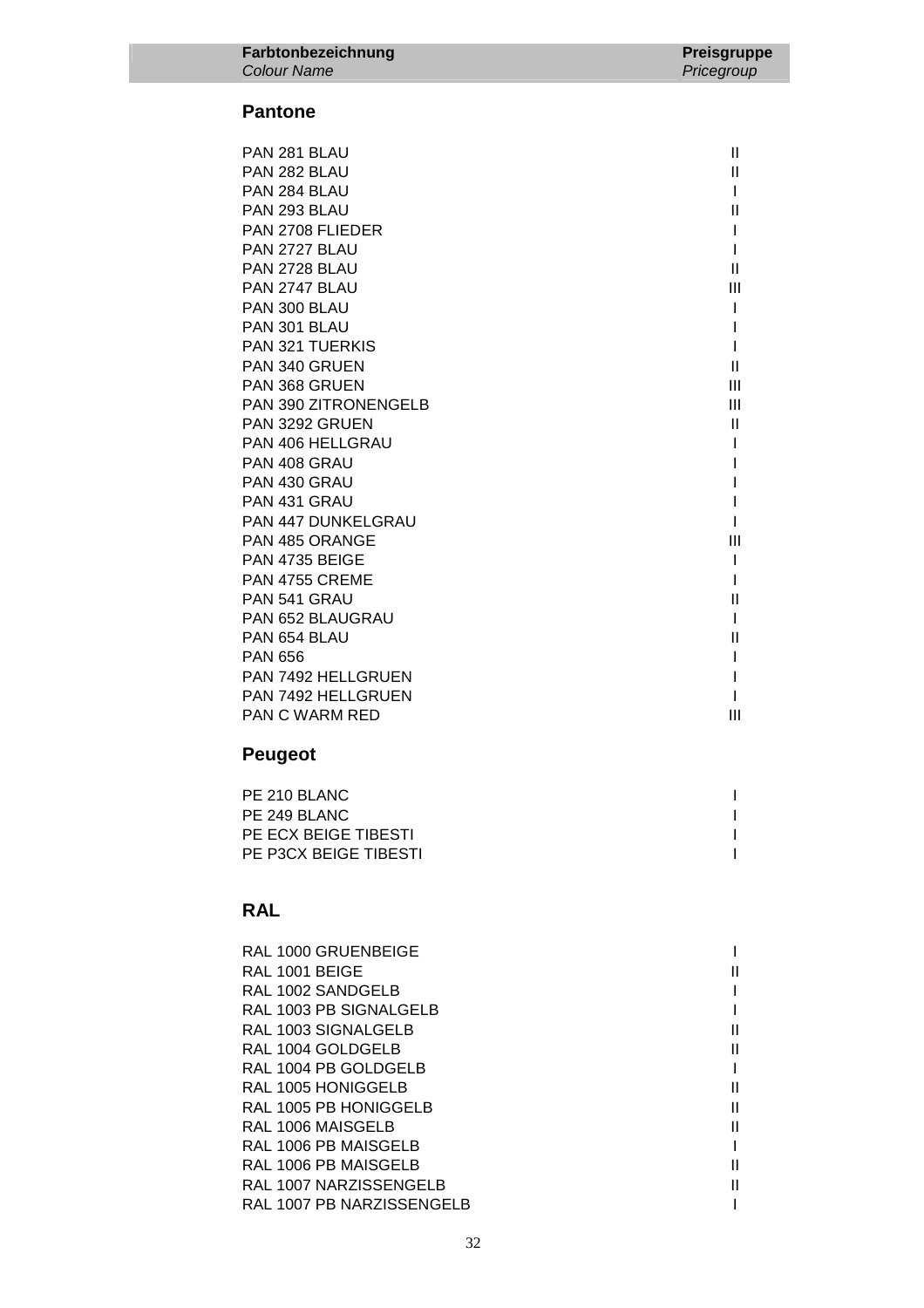#### **Pantone**

| PAN 281 BLAU              | $\mathbf{  }$ |
|---------------------------|---------------|
| PAN 282 BLAU              | $\mathbf{I}$  |
| PAN 284 BLAU              | I             |
| PAN 293 BLAU              | $\mathbf{I}$  |
| PAN 2708 FLIEDER          |               |
| PAN 2727 BLAU             |               |
| PAN 2728 BLAU             | $\mathsf{I}$  |
| PAN 2747 BLAU             | III           |
| PAN 300 BLAU              |               |
| PAN 301 BLAU              |               |
| <b>PAN 321 TUERKIS</b>    |               |
| PAN 340 GRUEN             | $\mathbf{I}$  |
| <b>PAN 368 GRUEN</b>      | III           |
| PAN 390 ZITRONENGELB      | Ш             |
| PAN 3292 GRUEN            | $\mathsf{II}$ |
| PAN 406 HELLGRAU          |               |
| PAN 408 GRAU              |               |
| PAN 430 GRAU              |               |
| PAN 431 GRAU              |               |
| <b>PAN 447 DUNKELGRAU</b> |               |
| PAN 485 ORANGE            | III           |
| PAN 4735 BEIGE            |               |
| PAN 4755 CREME            |               |
| PAN 541 GRAU              | $\mathsf{II}$ |
| <b>PAN 652 BLAUGRAU</b>   |               |
| PAN 654 BLAU              | $\mathsf{II}$ |
| <b>PAN 656</b>            |               |
| <b>PAN 7492 HELLGRUEN</b> |               |
| PAN 7492 HELLGRUEN        |               |
| <b>PAN C WARM RED</b>     | Ш             |

## **Peugeot**

| PE 210 BLANC          |  |
|-----------------------|--|
| PE 249 BLANC          |  |
| PE ECX BEIGE TIBESTI  |  |
| PE P3CX BEIGE TIBESTI |  |
|                       |  |

| RAL 1000 GRUENBEIGE       |    |
|---------------------------|----|
| RAL 1001 BEIGE            |    |
| RAL 1002 SANDGELB         |    |
| RAL 1003 PB SIGNALGELB    |    |
| RAL 1003 SIGNALGELB       |    |
| RAL 1004 GOLDGELB         | Ш  |
| RAL 1004 PB GOLDGELB      |    |
| RAL 1005 HONIGGELB        |    |
| RAL 1005 PB HONIGGELB     | Ш  |
| RAL 1006 MAISGELB         | Ш  |
| RAL 1006 PB MAISGELB      |    |
| RAL 1006 PB MAISGELB      | II |
| RAL 1007 NARZISSENGELB    |    |
| RAL 1007 PB NARZISSENGELB |    |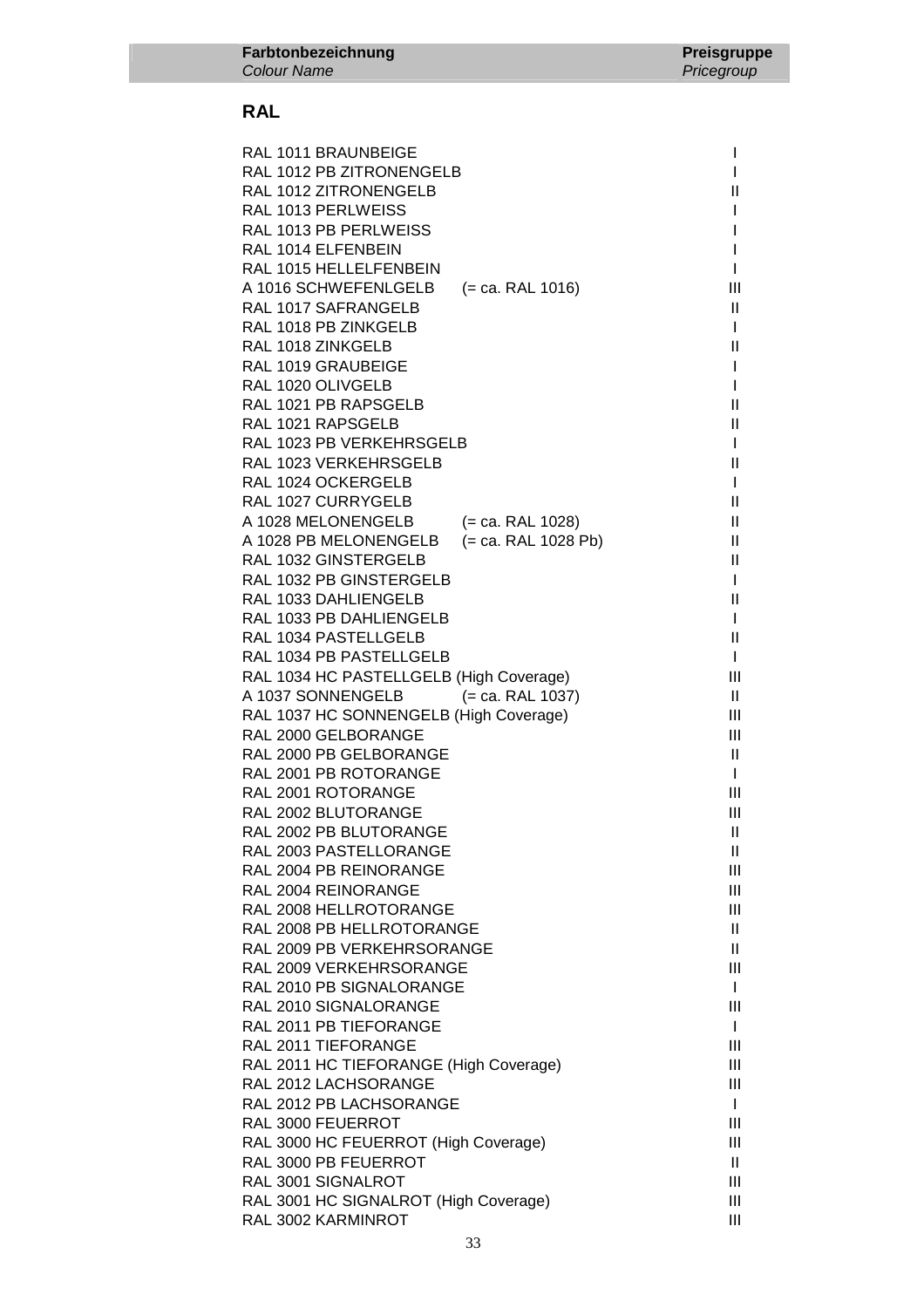| RAL 1011 BRAUNBEIGE                                         |                     |               |
|-------------------------------------------------------------|---------------------|---------------|
| RAL 1012 PB ZITRONENGELB                                    |                     |               |
| RAL 1012 ZITRONENGELB                                       |                     | Ш             |
| RAL 1013 PERLWEISS                                          |                     |               |
| RAL 1013 PB PERLWEISS                                       |                     |               |
| RAL 1014 ELFENBEIN                                          |                     |               |
| RAL 1015 HELLELFENBEIN                                      |                     |               |
| A 1016 SCHWEFENLGELB                                        | $(= ca. RAL 1016)$  | Ш             |
| RAL 1017 SAFRANGELB                                         |                     | H.            |
| RAL 1018 PB ZINKGELB                                        |                     | I             |
| RAL 1018 ZINKGELB                                           |                     | Ш             |
| RAL 1019 GRAUBEIGE                                          |                     | I             |
| RAL 1020 OLIVGELB                                           |                     | I             |
| RAL 1021 PB RAPSGELB                                        |                     | Ш             |
| RAL 1021 RAPSGELB                                           |                     | Ш             |
| RAL 1023 PB VERKEHRSGELB                                    |                     | I             |
| RAL 1023 VERKEHRSGELB                                       |                     | Ш             |
| RAL 1024 OCKERGELB                                          |                     | L             |
| RAL 1027 CURRYGELB                                          |                     | Ш             |
| A 1028 MELONENGELB                                          | $(= ca. RAL 1028)$  | $\mathbf{H}$  |
| A 1028 PB MELONENGELB                                       | (= ca. RAL 1028 Pb) | Ш             |
| RAL 1032 GINSTERGELB                                        |                     | Ш             |
| RAL 1032 PB GINSTERGELB                                     |                     | I             |
| RAL 1033 DAHLIENGELB                                        |                     | Ш             |
| RAL 1033 PB DAHLIENGELB                                     |                     | I             |
| RAL 1034 PASTELLGELB                                        |                     | $\mathbf{  }$ |
| RAL 1034 PB PASTELLGELB                                     |                     | L             |
| RAL 1034 HC PASTELLGELB (High Coverage)                     |                     | Ш             |
| A 1037 SONNENGELB                                           | $(= ca. RAL 1037)$  | $\mathbf{H}$  |
| RAL 1037 HC SONNENGELB (High Coverage)                      |                     | Ш             |
| RAL 2000 GELBORANGE                                         |                     | Ш             |
| RAL 2000 PB GELBORANGE                                      |                     | $\mathbf{II}$ |
| RAL 2001 PB ROTORANGE                                       |                     | L             |
| RAL 2001 ROTORANGE                                          |                     | Ш             |
| RAL 2002 BLUTORANGE                                         |                     | Ш             |
| RAL 2002 PB BLUTORANGE                                      |                     | Ш             |
| RAL 2003 PASTELLORANGE                                      |                     | $\mathbf{H}$  |
| RAL 2004 PB REINORANGE                                      |                     | Ш             |
| RAL 2004 REINORANGE                                         |                     | Ш             |
| RAL 2008 HELLROTORANGE                                      |                     | Ш             |
| RAL 2008 PB HELLROTORANGE                                   |                     | $\mathbf{H}$  |
| RAL 2009 PB VERKEHRSORANGE                                  |                     | H.            |
| RAL 2009 VERKEHRSORANGE                                     |                     | Ш             |
| RAL 2010 PB SIGNALORANGE                                    |                     | L             |
| RAL 2010 SIGNALORANGE                                       |                     | Ш             |
| RAL 2011 PB TIEFORANGE                                      |                     | $\mathbf{I}$  |
| RAL 2011 TIEFORANGE                                         |                     | Ш             |
| RAL 2011 HC TIEFORANGE (High Coverage)                      |                     | Ш             |
| RAL 2012 LACHSORANGE                                        |                     | Ш             |
| RAL 2012 PB LACHSORANGE                                     |                     | L             |
| RAL 3000 FEUERROT                                           |                     | Ш             |
| RAL 3000 HC FEUERROT (High Coverage)                        |                     | Ш             |
| RAL 3000 PB FEUERROT                                        |                     | $\mathbf{H}$  |
| RAL 3001 SIGNALROT                                          |                     | Ш             |
| RAL 3001 HC SIGNALROT (High Coverage)<br>RAL 3002 KARMINROT |                     | Ш<br>Ш        |
|                                                             |                     |               |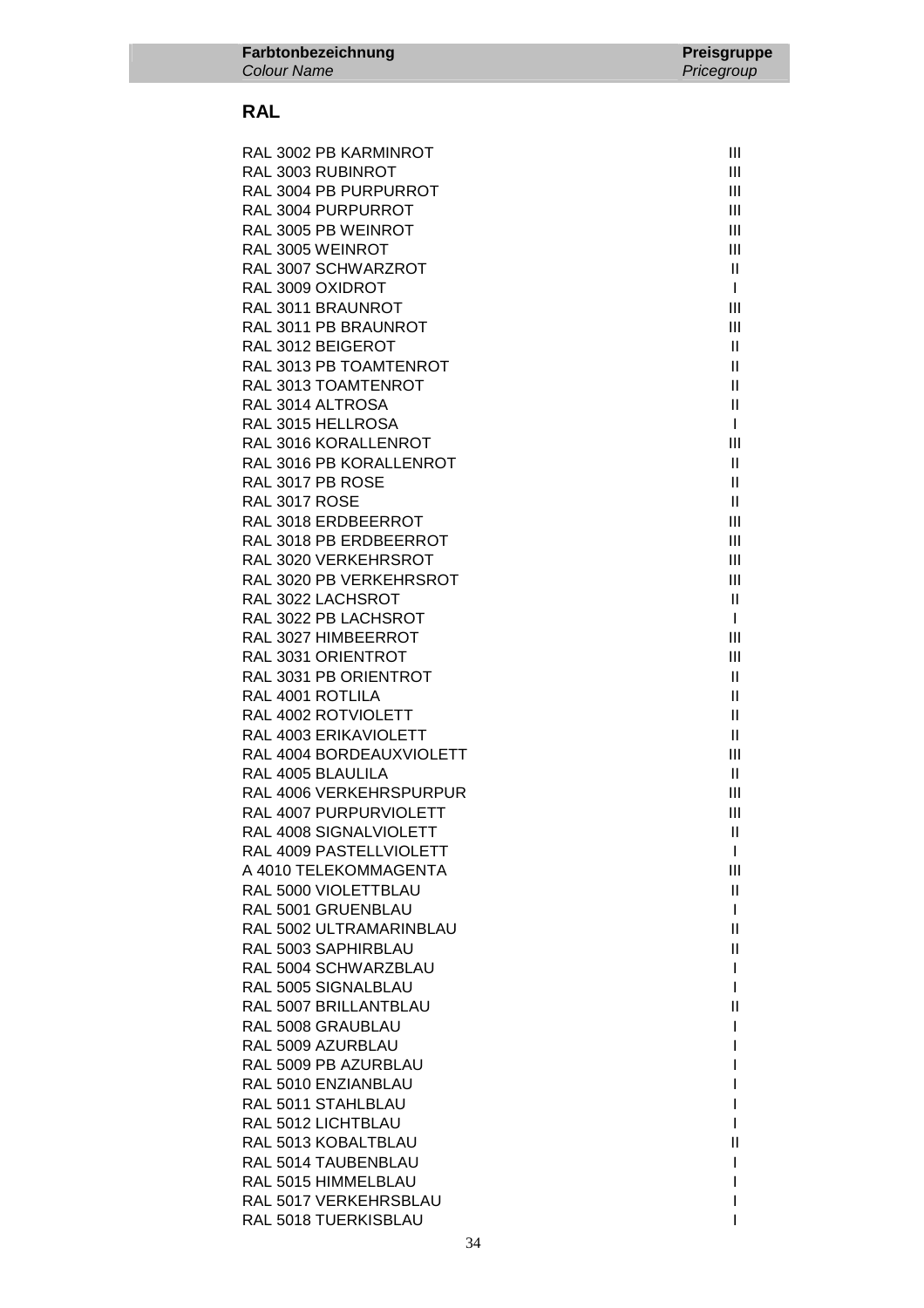| RAL 3002 PB KARMINROT                      | Ш                                         |
|--------------------------------------------|-------------------------------------------|
| RAL 3003 RUBINROT                          | $\mathbf{III}$                            |
| RAL 3004 PB PURPURROT                      | III                                       |
| RAL 3004 PURPURROT                         | III                                       |
| RAL 3005 PB WEINROT                        | III                                       |
| RAL 3005 WEINROT                           | III                                       |
|                                            |                                           |
| RAL 3007 SCHWARZROT                        | $\mathbf{II}$                             |
| RAL 3009 OXIDROT                           | $\mathbf{I}$                              |
| RAL 3011 BRAUNROT                          | III                                       |
| RAL 3011 PB BRAUNROT                       | Ш                                         |
| RAL 3012 BEIGEROT                          | $\mathbf{II}$                             |
| RAL 3013 PB TOAMTENROT                     | $\mathbf{II}$                             |
| RAL 3013 TOAMTENROT                        | $\mathbf{H}$                              |
| RAL 3014 ALTROSA                           | $\mathbf{II}$                             |
| RAL 3015 HELLROSA                          | $\mathbf{I}$                              |
| RAL 3016 KORALLENROT                       | III                                       |
| RAL 3016 PB KORALLENROT                    | $\mathbf{II}$                             |
| RAL 3017 PB ROSE                           | $\mathbf{II}$                             |
| RAL 3017 ROSE                              | $\mathbf{H}$                              |
| RAL 3018 ERDBEERROT                        | Ш                                         |
| RAL 3018 PB ERDBEERROT                     | Ш                                         |
| RAL 3020 VERKEHRSROT                       | Ш                                         |
| RAL 3020 PB VERKEHRSROT                    | III                                       |
| RAL 3022 LACHSROT                          | Ш                                         |
| RAL 3022 PB LACHSROT                       | $\mathbf{I}$                              |
| RAL 3027 HIMBEERROT                        | Ш                                         |
| RAL 3031 ORIENTROT                         | Ш                                         |
| RAL 3031 PB ORIENTROT                      | $\mathbf{II}$                             |
| RAL 4001 ROTLILA                           | $\mathbf{II}$                             |
| RAL 4002 ROTVIOLETT                        | $\mathbf{II}$                             |
| RAL 4003 ERIKAVIOLETT                      | $\mathbf{II}$                             |
| RAL 4004 BORDEAUXVIOLETT                   | Ш                                         |
| RAL 4005 BLAULILA                          | Ш                                         |
| RAL 4006 VERKEHRSPURPUR                    | Ш                                         |
| RAL 4007 PURPURVIOLETT                     | III                                       |
| RAL 4008 SIGNALVIOLETT                     | $\mathbf{II}$                             |
| RAL 4009 PASTELLVIOLETT                    | L                                         |
| A 4010 TELEKOMMAGENTA                      | Ш                                         |
|                                            |                                           |
| RAL 5000 VIOLETTBLAU<br>RAL 5001 GRUENBLAU | Ш                                         |
|                                            | $\mathbf{I}$                              |
| RAL 5002 ULTRAMARINBLAU                    | Ш                                         |
| RAL 5003 SAPHIRBLAU                        | $\label{eq:1} \prod_{i=1}^n \mathbb{I}^i$ |
| RAL 5004 SCHWARZBLAU                       | L                                         |
| RAL 5005 SIGNALBLAU                        | L                                         |
| RAL 5007 BRILLANTBLAU                      | Ш                                         |
| RAL 5008 GRAUBLAU                          |                                           |
| RAL 5009 AZURBLAU                          |                                           |
| RAL 5009 PB AZURBLAU                       |                                           |
| RAL 5010 ENZIANBLAU                        |                                           |
| RAL 5011 STAHLBLAU                         |                                           |
| RAL 5012 LICHTBLAU                         |                                           |
| RAL 5013 KOBALTBLAU                        | Ш                                         |
| RAL 5014 TAUBENBLAU                        |                                           |
| RAL 5015 HIMMELBLAU                        |                                           |
| RAL 5017 VERKEHRSBLAU                      |                                           |
| RAL 5018 TUERKISBLAU                       |                                           |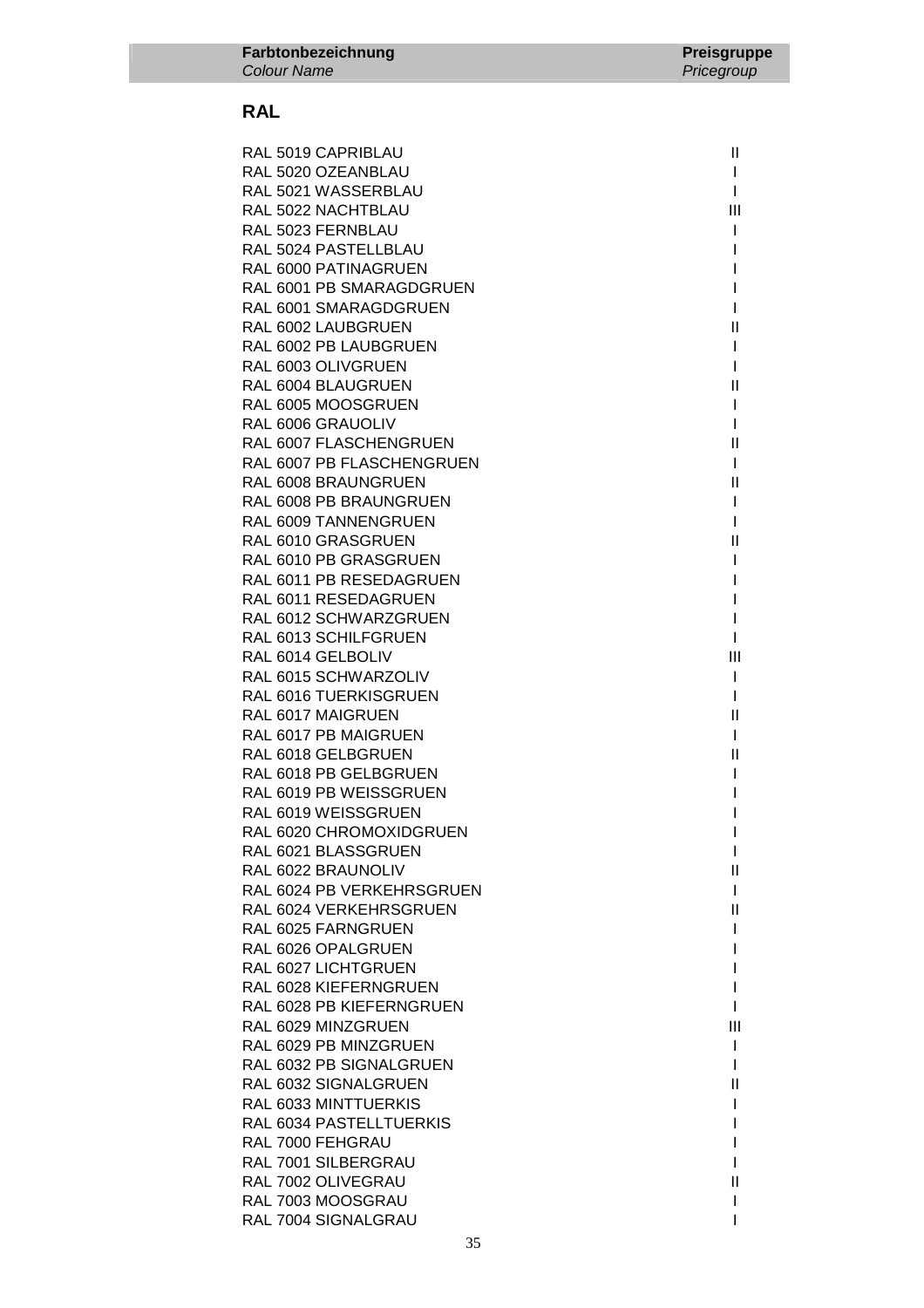| RAL 5019 CAPRIBLAU                        | $\mathbf{II}$                                             |
|-------------------------------------------|-----------------------------------------------------------|
| RAL 5020 OZEANBLAU                        | $\mathbf{I}$                                              |
| RAL 5021 WASSERBLAU                       | $\mathbf{I}$                                              |
| RAL 5022 NACHTBLAU                        | Ш                                                         |
| RAL 5023 FERNBLAU                         | $\mathbf{I}$                                              |
| RAL 5024 PASTELLBLAU                      | I                                                         |
| RAL 6000 PATINAGRUEN                      | L                                                         |
| RAL 6001 PB SMARAGDGRUEN                  | $\mathbf{I}$                                              |
| RAL 6001 SMARAGDGRUEN                     | $\mathbf{I}$                                              |
| RAL 6002 LAUBGRUEN                        | $\mathbf{II}$                                             |
| RAL 6002 PB LAUBGRUEN                     | $\mathbf{I}$                                              |
| RAL 6003 OLIVGRUEN                        | $\mathbf{I}$                                              |
| RAL 6004 BLAUGRUEN                        | $\mathbf{II}$                                             |
| RAL 6005 MOOSGRUEN                        | $\mathbf{I}$                                              |
| RAL 6006 GRAUOLIV                         | $\mathbf{I}$                                              |
| RAL 6007 FLASCHENGRUEN                    | $\mathbf{  }$                                             |
| RAL 6007 PB FLASCHENGRUEN                 | $\mathbf{I}$                                              |
| RAL 6008 BRAUNGRUEN                       | $\label{eq:1} \prod_{i=1}^n \mathbb{I}^i$                 |
| RAL 6008 PB BRAUNGRUEN                    | $\mathbf{I}$                                              |
| RAL 6009 TANNENGRUEN                      | $\mathbf{I}$                                              |
| RAL 6010 GRASGRUEN                        | $\mathbf{I}$                                              |
| RAL 6010 PB GRASGRUEN                     | $\mathbf{I}$                                              |
| RAL 6011 PB RESEDAGRUEN                   |                                                           |
| RAL 6011 RESEDAGRUEN                      | I<br>I                                                    |
| RAL 6012 SCHWARZGRUEN                     | Т                                                         |
|                                           |                                                           |
| RAL 6013 SCHILFGRUEN                      | L                                                         |
| RAL 6014 GELBOLIV<br>RAL 6015 SCHWARZOLIV | $\mathbf{III}$                                            |
|                                           | $\mathbf{I}$                                              |
| RAL 6016 TUERKISGRUEN                     | $\mathbf{I}$<br>$\label{eq:1} \prod_{i=1}^n \mathbb{I}^i$ |
| RAL 6017 MAIGRUEN                         |                                                           |
| RAL 6017 PB MAIGRUEN                      | $\mathbf{I}$                                              |
| RAL 6018 GELBGRUEN                        | Ш                                                         |
| RAL 6018 PB GELBGRUEN                     | $\mathbf{I}$                                              |
| RAL 6019 PB WEISSGRUEN                    | I                                                         |
| RAL 6019 WEISSGRUEN                       | I                                                         |
| RAL 6020 CHROMOXIDGRUEN                   | L                                                         |
| RAL 6021 BLASSGRUEN                       | I                                                         |
| RAL 6022 BRAUNOLIV                        | Ш                                                         |
| RAL 6024 PB VERKEHRSGRUEN                 | L                                                         |
| RAL 6024 VERKEHRSGRUEN                    | Ш                                                         |
| RAL 6025 FARNGRUEN                        |                                                           |
| RAL 6026 OPALGRUEN                        |                                                           |
| RAL 6027 LICHTGRUEN                       |                                                           |
| RAL 6028 KIEFERNGRUEN                     |                                                           |
| RAL 6028 PB KIEFERNGRUEN                  |                                                           |
| RAL 6029 MINZGRUEN                        | Ш                                                         |
| RAL 6029 PB MINZGRUEN                     |                                                           |
| RAL 6032 PB SIGNALGRUEN                   | I                                                         |
| RAL 6032 SIGNALGRUEN                      | $\mathbf{II}$                                             |
| RAL 6033 MINTTUERKIS                      |                                                           |
| RAL 6034 PASTELLTUERKIS                   |                                                           |
| RAL 7000 FEHGRAU                          |                                                           |
| RAL 7001 SILBERGRAU                       |                                                           |
| RAL 7002 OLIVEGRAU                        | Ш                                                         |
| RAL 7003 MOOSGRAU                         |                                                           |
| RAL 7004 SIGNALGRAU                       |                                                           |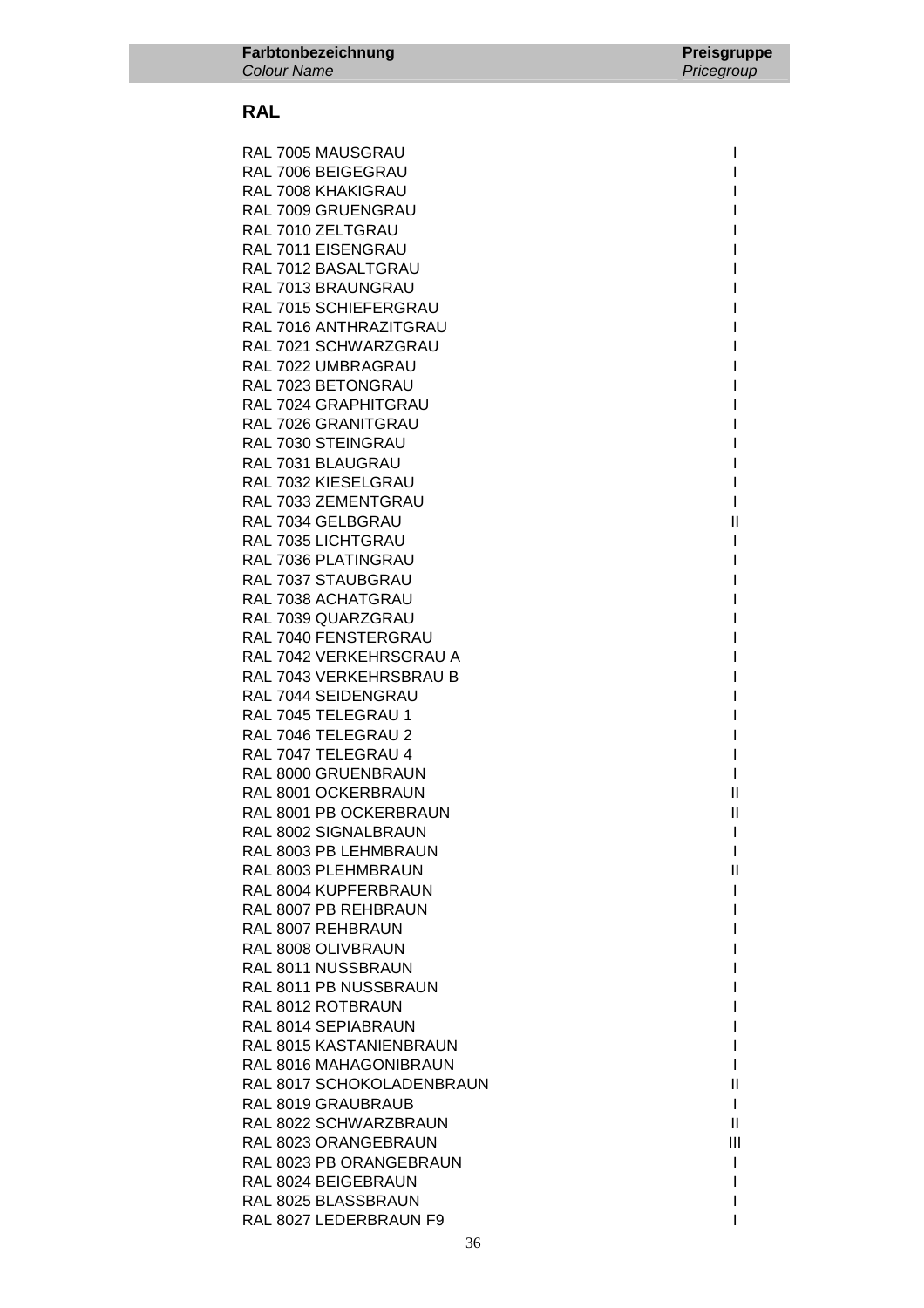RAL 7005 MAUSGRAU **International Studies and Australia** International International International International RAL 7006 BEIGEGRAU AND THE STATE OF THE STATE OF THE STATE OF THE STATE OF THE STATE OF THE STATE OF THE STATE OF THE STATE OF THE STATE OF THE STATE OF THE STATE OF THE STATE OF THE STATE OF THE STATE OF THE STATE OF THE RAL 7008 KHAKIGRAU NAMA ING KALIMBAT NAMA ING KALIMBA NAMA ING KALIMBA NAMA ING KALIMBA NAMA ING KALIMBA NAMA RAL 7009 GRUENGRAU I RAL 7010 ZELTGRAU **International Security Contract Contract Contract Contract Contract Contract Contract Contract Contract Contract Contract Contract Contract Contract Contract Contract Contract Contract Contract Contract** RAL 7011 EISENGRAU **International Studies and Technical Contract Contract Contract Contract Contract Contract Contract Contract Contract Contract Contract Contract Contract Contract Contract Contract Contract Contract Cont** RAL 7012 BASALTGRAU RAL 7013 BRAUNGRAU RAL 7015 SCHIEFERGRAU RAL 7016 ANTHRAZITGRAU **International International International International I** RAL 7021 SCHWARZGRAU **International International International International International International International International International International International International International International Inte** RAL 7022 UMBRAGRAU RAL 7023 BETONGRAU RAL 7024 GRAPHITGRAU RAL 7026 GRANITGRAU **International International International International International International International International International International International International International International Inter** RAL 7030 STEINGRAU RAL 7031 BLAUGRAU I RAL 7032 KIESELGRAU VAN DIE VERSIEWE VAN DIE VAN DIE VAN DIE VAN DIE VAN DIE VAN DIE VAN DIE VAN DIE VAN DIE V RAL 7033 ZEMENTGRAU 1999 - 1999 - 1999 - 1999 - 1999 - 1999 - 1999 - 1999 - 1999 - 1999 - 1999 - 1999 - 1999 -RAL 7034 GELBGRAU **III III III III III III III III II** III III III III III III III III III III III III III III II RAL 7035 LICHTGRAU **International International International International International International International International International International International International International International Intern** RAL 7036 PLATINGRAU **International International International International International International International International International International International International International International Inter** RAL 7037 STAUBGRAU **International State Control Control** RAL 7038 ACHATGRAU **International Activity of Activity Activity** International International International International International International International International International International International Int RAL 7039 QUARZGRAU RAL 7040 FENSTERGRAU NEWSTEAD AND THE RAL 7040 FENSTERGRAU RAL 7042 VERKEHRSGRAU A RAL 7043 VERKEHRSBRAU B I RAL 7044 SEIDENGRAU RAL 7045 TELEGRAU 1 International and the state of the state of the state of the state of the state of the state of the state of the state of the state of the state of the state of the state of the state of the state of th RAL 7046 TELEGRAU 2 RAL 7047 TELEGRAU 4 International state of the United States of the United States of the United States of the U RAL 8000 GRUENBRAUN I RAL 8001 OCKERBRAUN II RAL 8001 PB OCKERBRAUN II RAL 8002 SIGNALBRAUN I RAL 8003 PB LEHMBRAUN I I RAL 8003 PLEHMBRAUN II CHARL AND THE HISTORIC STATES OF THE HISTORIC STATES OF THE HISTORIC STATES OF THE HISTORIC STATES OF THE STATES OF THE STATES OF THE STATES OF THE STATES OF THE STATES OF THE STATES OF THE STATES OF RAL 8004 KUPFERBRAUN I RAL 8007 PB REHBRAUN I RAL 8007 REHBRAUN I RAL 8008 OLIVBRAUN **IN A SERVICE SERVICE SERVICE SERVICE SERVICE SERVICE SERVICE SERVICE SERVICE SERVICE SERVICE SERVICE SERVICE SERVICE SERVICE SERVICE SERVICE SERVICE SERVICE SERVICE SERVICE SERVICE SERVICE SERVICE SERVI** RAL 8011 NUSSBRAUN **INVESTIGATION** RAL 8011 PB NUSSBRAUN I RAL 8012 ROTBRAUN RAL 8014 SEPIABRAUN **INSTEAD AND SEPIA** RAL 8015 KASTANIENBRAUN IN 1999 EN 1999 EN 1999 EN 1999 EN 1999 EN 1999 EN 1999 EN 1999 EN 1999 EN 1999 EN 199 RAL 8016 MAHAGONIBRAUN **INVESTIGATION** RAL 8017 SCHOKOLADENBRAUN II RAL 8019 GRAUBRAUB **I** RAL 8022 SCHWARZBRAUN II CHARGE II CHARGE II CHARGE II CHARGE II CHARGE II CHARGE II RAL 8023 ORANGEBRAUN III AND ANN AN III AN III AN III AN III AN III AN III AN III AN III AN III AN III AN III A RAL 8023 PB ORANGEBRAUN I RAL 8024 BEIGEBRAUN NEUTRAL AND THE RAL SOLUTION OF THE RAIL SOLUTION OF THE RAIL SOLUTION OF THE RAIL OF THE RAIL OF THE RAIL OF THE RAIL OF THE RAIL OF THE RAIL OF THE RAIL OF THE RAIL OF THE RAIL OF THE RAIL OF THE RAIL RAL 8025 BLASSBRAUN **I** RAL 8027 LEDERBRAUN F9 INVESTIGATION OF THE INTERNATIONAL SERVICE OF THE INTERNATIONAL INTERNATIONAL INTERNATIONAL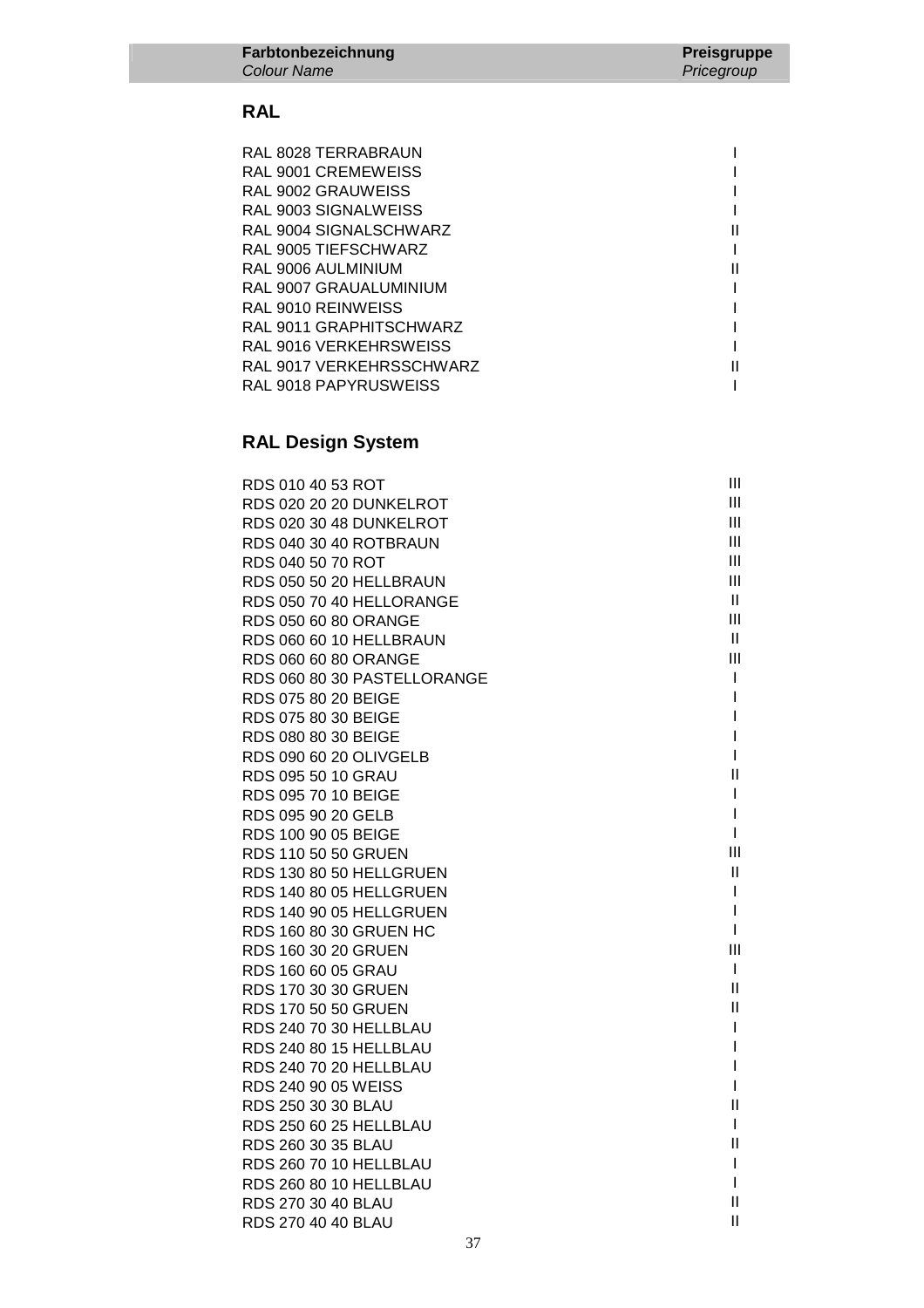| RAL 8028 TERRABRAUN      |  |
|--------------------------|--|
| RAL 9001 CREMEWEISS      |  |
| RAL 9002 GRAUWEISS       |  |
| RAL 9003 SIGNALWEISS     |  |
| RAL 9004 SIGNALSCHWARZ   |  |
| RAL 9005 TIEFSCHWARZ     |  |
| RAL 9006 AULMINIUM       |  |
| RAL 9007 GRAUALUMINIUM   |  |
| RAL 9010 REINWEISS       |  |
| RAL 9011 GRAPHITSCHWARZ  |  |
| RAL 9016 VERKEHRSWEISS   |  |
| RAL 9017 VERKEHRSSCHWARZ |  |
| RAL 9018 PAPYRUSWEISS    |  |

# **RAL Design System**

| RDS 010 40 53 ROT           | Ш            |
|-----------------------------|--------------|
| RDS 020 20 20 DUNKELROT     | Ш            |
| RDS 020 30 48 DUNKELROT     | Ш            |
| RDS 040 30 40 ROTBRAUN      | Ш            |
| RDS 040 50 70 ROT           | Ш            |
| RDS 050 50 20 HELLBRAUN     | Ш            |
| RDS 050 70 40 HELLORANGE    | Ш            |
| RDS 050 60 80 ORANGE        | Ш            |
| RDS 060 60 10 HELLBRAUN     | $\mathbf{H}$ |
| RDS 060 60 80 ORANGE        | III          |
| RDS 060 80 30 PASTELLORANGE | I            |
| RDS 075 80 20 BEIGE         | I            |
| RDS 075 80 30 BEIGE         | I            |
| RDS 080 80 30 BEIGE         | I            |
| RDS 090 60 20 OLIVGELB      | I            |
| RDS 095 50 10 GRAU          | Ш            |
| RDS 095 70 10 BEIGE         | I            |
| RDS 095 90 20 GELB          | I            |
| RDS 100 90 05 BEIGE         | I            |
| RDS 110 50 50 GRUEN         | Ш            |
| RDS 130 80 50 HELLGRUEN     | Ш            |
| RDS 140 80 05 HELLGRUEN     | I            |
| RDS 140 90 05 HELLGRUEN     | I            |
| RDS 160 80 30 GRUEN HC      | I            |
| RDS 160 30 20 GRUEN         | III          |
| RDS 160 60 05 GRAU          | $\mathbf{I}$ |
| RDS 170 30 30 GRUEN         | Ш            |
| RDS 170 50 50 GRUEN         | Ш            |
| RDS 240 70 30 HELLBLAU      | I            |
| RDS 240 80 15 HELLBLAU      | I            |
| RDS 240 70 20 HELLBLAU      | I            |
| RDS 240 90 05 WEISS         | I            |
| RDS 250 30 30 BLAU          | Ш            |
| RDS 250 60 25 HELLBLAU      | I            |
| RDS 260 30 35 BLAU          | $\mathsf{I}$ |
| RDS 260 70 10 HELLBLAU      | I<br>I       |
| RDS 260 80 10 HELLBLAU      | $\mathbf{I}$ |
| RDS 270 30 40 BLAU          | Ш            |
| RDS 270 40 40 BLAU          |              |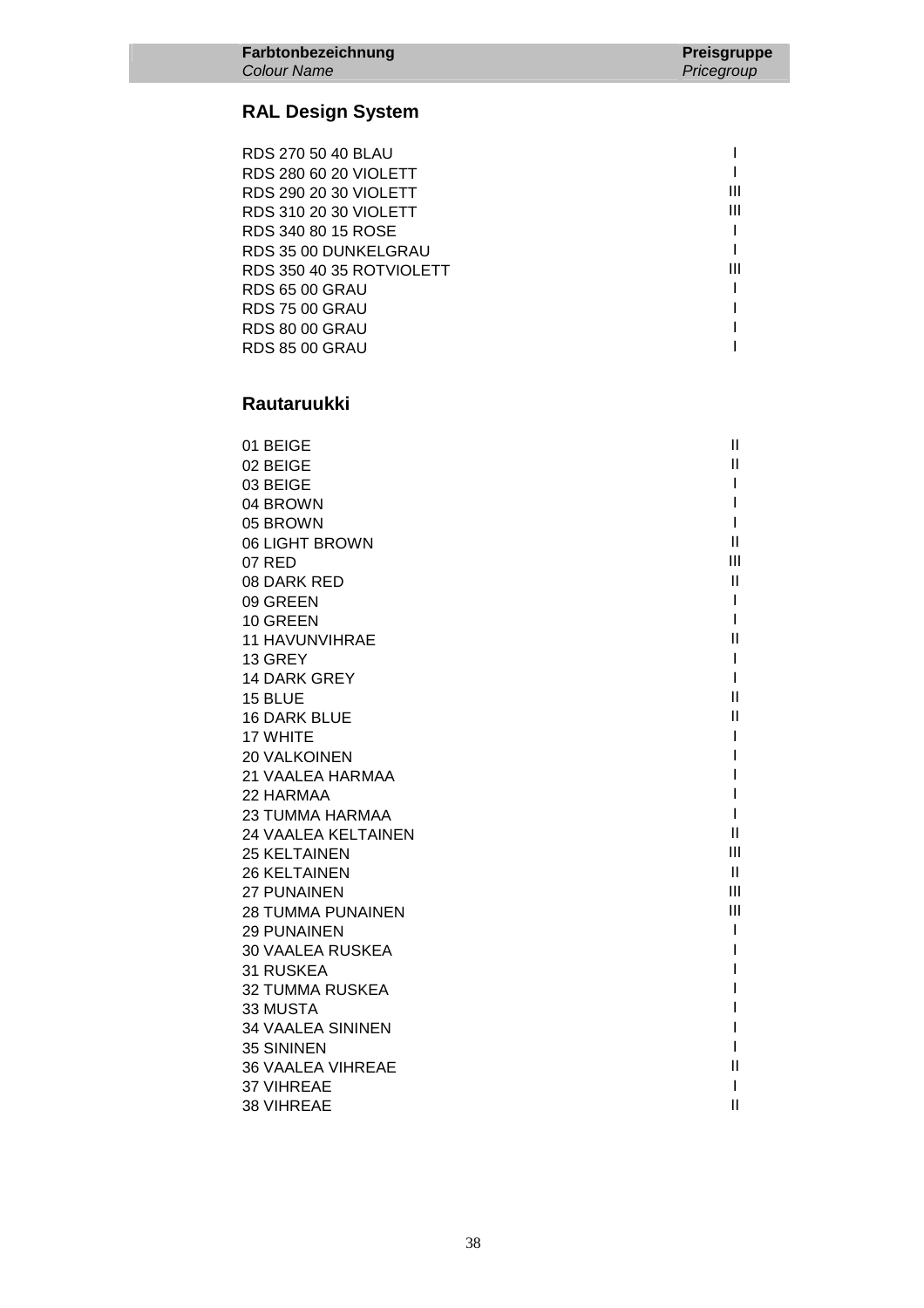### **RAL Design System**

| RDS 270 50 40 BLAU       |   |
|--------------------------|---|
| RDS 280 60 20 VIOLETT    |   |
| RDS 290 20 30 VIOLETT    | Ш |
| RDS 310 20 30 VIOLETT    | Ш |
| RDS 340 80 15 ROSE       |   |
| RDS 35 00 DUNKELGRAU     |   |
| RDS 350 40 35 ROTVIOLETT | Ш |
| <b>RDS 65 00 GRAU</b>    |   |
| <b>RDS 75 00 GRAU</b>    |   |
| <b>RDS 80 00 GRAU</b>    |   |
| <b>RDS 85 00 GRAU</b>    |   |

### **Rautaruukki**

| 01 BEIGE                   | Ш              |
|----------------------------|----------------|
| 02 BEIGE                   | Ш              |
| 03 BEIGE                   |                |
| 04 BROWN                   |                |
| 05 BROWN                   |                |
| 06 LIGHT BROWN             | Ш              |
| 07 RED                     | $\mathbf{III}$ |
| 08 DARK RED                | Ш              |
| 09 GREEN                   | I              |
| 10 GREEN                   | ı              |
| <b>11 HAVUNVIHRAE</b>      | Ш              |
| 13 GREY                    | I              |
| <b>14 DARK GREY</b>        | I              |
| 15 BLUE                    | $\mathbf{II}$  |
| <b>16 DARK BLUE</b>        | Ш              |
| 17 WHITE                   |                |
| <b>20 VALKOINEN</b>        |                |
| 21 VAALEA HARMAA           |                |
| 22 HARMAA                  |                |
| <b>23 TUMMA HARMAA</b>     |                |
| <b>24 VAALEA KELTAINEN</b> | $\mathbf{I}$   |
| <b>25 KELTAINEN</b>        | Ш              |
| <b>26 KELTAINEN</b>        | Ш              |
| 27 PUNAINEN                | III            |
| <b>28 TUMMA PUNAINEN</b>   | III            |
| <b>29 PUNAINEN</b>         | I              |
| <b>30 VAALEA RUSKEA</b>    |                |
| <b>31 RUSKEA</b>           |                |
| <b>32 TUMMA RUSKEA</b>     |                |
| 33 MUSTA                   |                |
| <b>34 VAALEA SININEN</b>   |                |
| <b>35 SININEN</b>          |                |
| <b>36 VAALEA VIHREAE</b>   | Ш              |
| 37 VIHREAE                 | I              |
| 38 VIHREAE                 | $\mathbf{I}$   |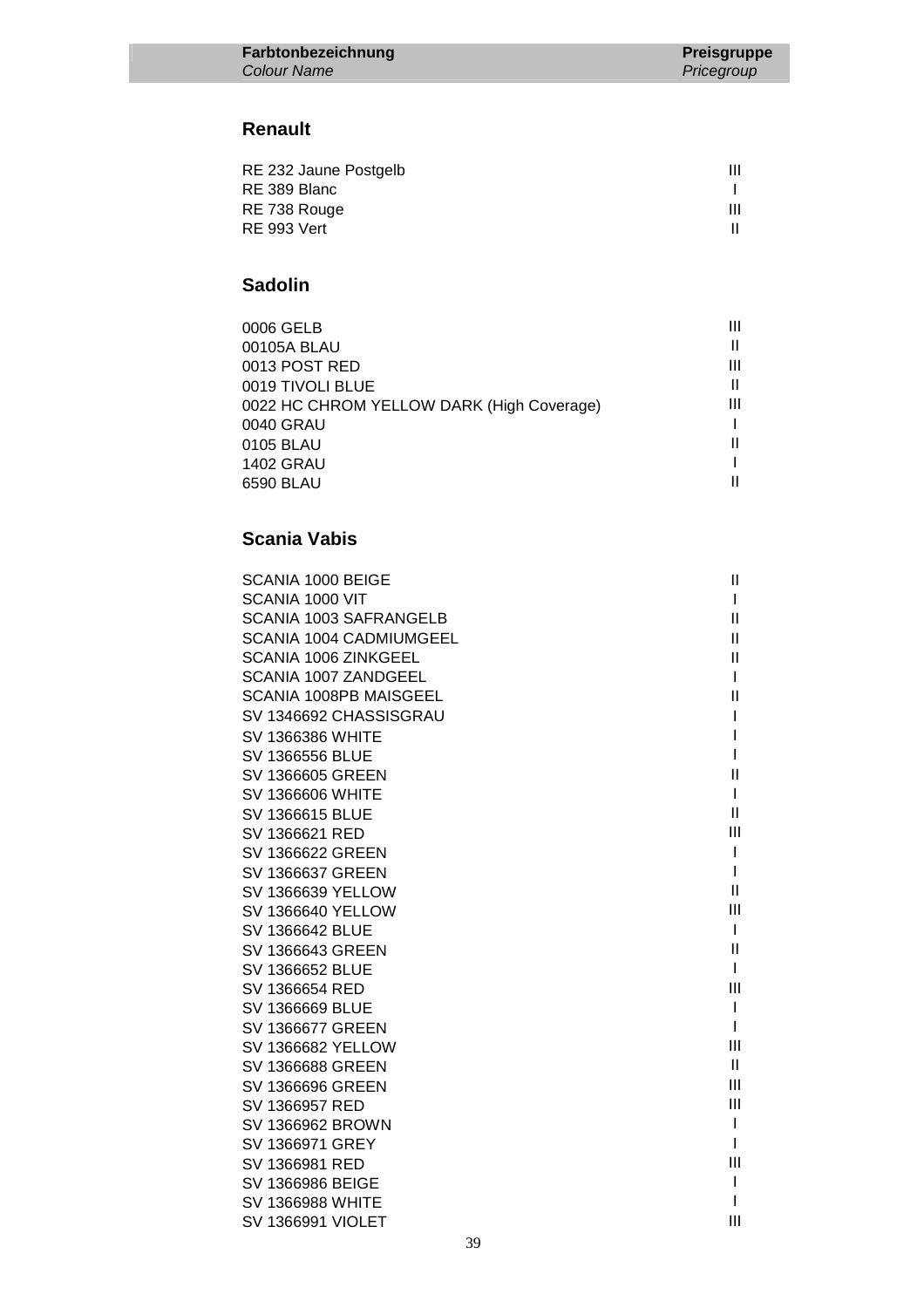### **Renault**

| RE 232 Jaune Postgelb | Ш |
|-----------------------|---|
| RE 389 Blanc          |   |
| RE 738 Rouge          | Ш |
| <b>RE 993 Vert</b>    |   |
|                       |   |

### **Sadolin**

| 0006 GELB                                 |   |
|-------------------------------------------|---|
| 00105A BLAU                               |   |
| 0013 POST RED                             | Ш |
| 0019 TIVOLI BLUE                          |   |
| 0022 HC CHROM YELLOW DARK (High Coverage) | Ш |
| 0040 GRAU                                 |   |
| 0105 BLAU                                 |   |
| <b>1402 GRAU</b>                          |   |
| 6590 BLAU                                 |   |
|                                           |   |

| SCANIA 1000 BEIGE           | Ш              |
|-----------------------------|----------------|
| SCANIA 1000 VIT             | L              |
| SCANIA 1003 SAFRANGELB      | Ш              |
| SCANIA 1004 CADMIUMGEEL     | Ш              |
| SCANIA 1006 ZINKGEEL        | Ш              |
| <b>SCANIA 1007 ZANDGEEL</b> |                |
| SCANIA 1008PB MAISGEEL      | $\mathbf{H}$   |
| SV 1346692 CHASSISGRAU      | L              |
| <b>SV 1366386 WHITE</b>     |                |
| SV 1366556 BLUE             |                |
| SV 1366605 GREEN            | Ш              |
| <b>SV 1366606 WHITE</b>     | L              |
| SV 1366615 BLUE             | $\mathbf{II}$  |
| SV 1366621 RED              | $\mathbf{III}$ |
| SV 1366622 GREEN            | L              |
| SV 1366637 GREEN            |                |
| <b>SV 1366639 YELLOW</b>    | $\mathbf{II}$  |
| <b>SV 1366640 YELLOW</b>    | III            |
| SV 1366642 BLUE             | L              |
| SV 1366643 GREEN            | Ш              |
| SV 1366652 BLUE             | L              |
| SV 1366654 RED              | III            |
| <b>SV 1366669 BLUE</b>      | L              |
| SV 1366677 GREEN            | L              |
| <b>SV 1366682 YELLOW</b>    | Ш              |
| SV 1366688 GREEN            | $\mathbf{H}$   |
| SV 1366696 GREEN            | Ш              |
| SV 1366957 RED              | III            |
| SV 1366962 BROWN            | I              |
| SV 1366971 GREY             |                |
| SV 1366981 RED              | III            |
| SV 1366986 BEIGE            | L              |
| <b>SV 1366988 WHITE</b>     |                |
| <b>SV 1366991 VIOLET</b>    | Ш              |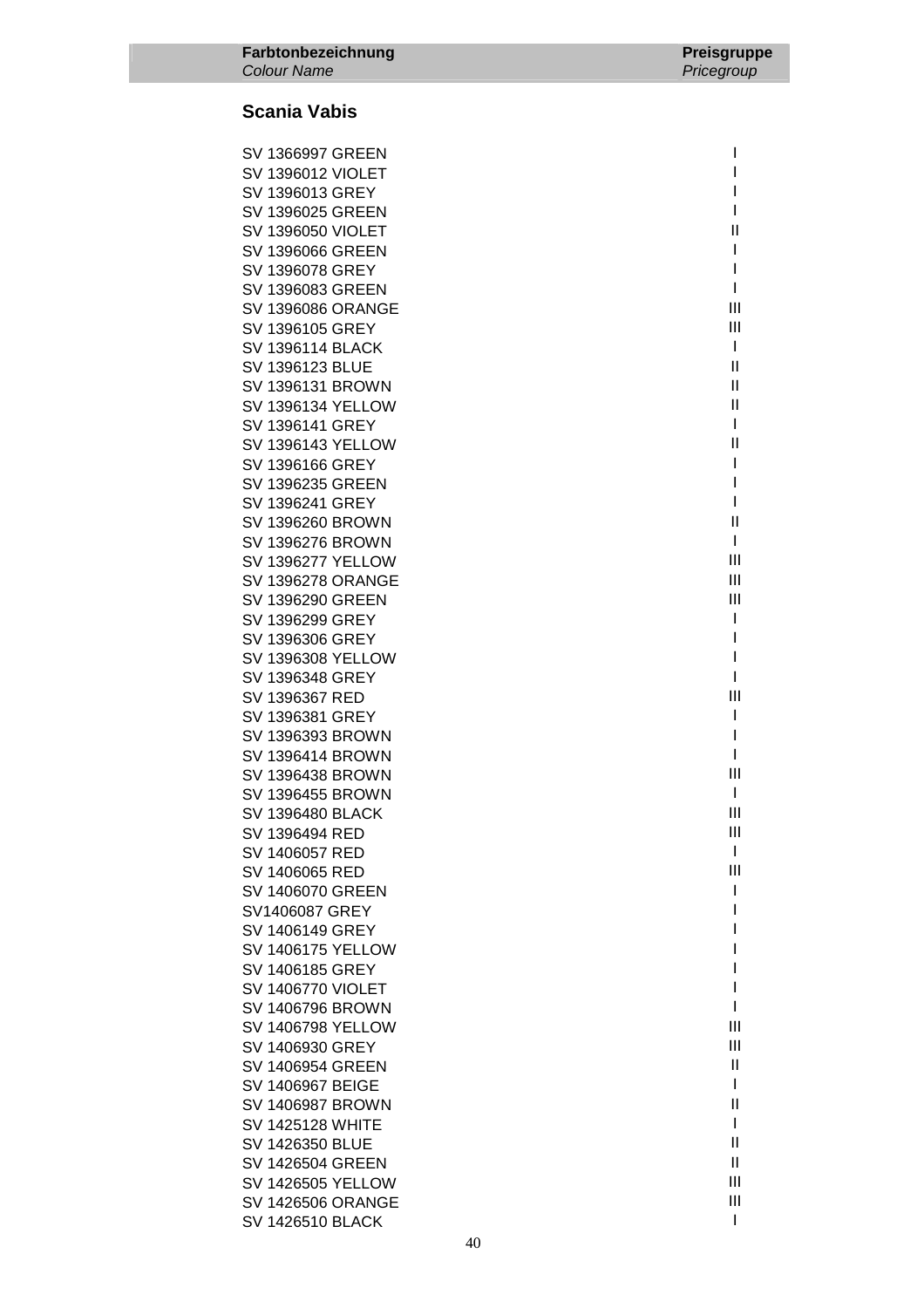| SV 1366997 GREEN         | I              |
|--------------------------|----------------|
| <b>SV 1396012 VIOLET</b> | I              |
| SV 1396013 GREY          | I              |
| SV 1396025 GREEN         | I              |
| <b>SV 1396050 VIOLET</b> | Ш              |
| SV 1396066 GREEN         | L              |
| SV 1396078 GREY          | I              |
| SV 1396083 GREEN         | L              |
| SV 1396086 ORANGE        | Ш              |
| SV 1396105 GREY          | Ш              |
| SV 1396114 BLACK         | $\mathbf{I}$   |
| SV 1396123 BLUE          | $\mathsf{I}$   |
| SV 1396131 BROWN         | $\mathsf{I}$   |
| SV 1396134 YELLOW        | $\mathsf{I}$   |
| SV 1396141 GREY          | I              |
| SV 1396143 YELLOW        | $\mathsf{I}$   |
| SV 1396166 GREY          | I              |
| SV 1396235 GREEN         | I              |
| SV 1396241 GREY          | I              |
| SV 1396260 BROWN         | $\mathsf{I}$   |
| SV 1396276 BROWN         | L              |
| SV 1396277 YELLOW        | Ш              |
| SV 1396278 ORANGE        | Ш              |
| SV 1396290 GREEN         | Ш              |
| SV 1396299 GREY          | I              |
| SV 1396306 GREY          | I              |
| SV 1396308 YELLOW        | I              |
| SV 1396348 GREY          | I              |
| SV 1396367 RED           | Ш              |
| SV 1396381 GREY          | T              |
| SV 1396393 BROWN         | I              |
| SV 1396414 BROWN         | L              |
| SV 1396438 BROWN         | Ш              |
| SV 1396455 BROWN         | $\mathbf{I}$   |
| SV 1396480 BLACK         | Ш              |
| SV 1396494 RED           | Ш              |
| SV 1406057 RED           | I              |
| SV 1406065 RED           | Ш              |
| SV 1406070 GREEN         | I              |
| SV1406087 GREY           | I              |
| SV 1406149 GREY          | ı              |
| SV 1406175 YELLOW        | I              |
| SV 1406185 GREY          | I              |
| SV 1406770 VIOLET        | I              |
| SV 1406796 BROWN         | I              |
| SV 1406798 YELLOW        | Ш              |
| SV 1406930 GREY          | Ш              |
| SV 1406954 GREEN         | $\mathsf{I}$   |
| SV 1406967 BEIGE         | I              |
| SV 1406987 BROWN         | $\mathbf{I}$   |
| SV 1425128 WHITE         | I              |
| SV 1426350 BLUE          | $\mathbf{I}$   |
| SV 1426504 GREEN         | Ш              |
| SV 1426505 YELLOW        | Ш              |
| SV 1426506 ORANGE        | Ш              |
| SV 1426510 BLACK         | $\overline{1}$ |
|                          |                |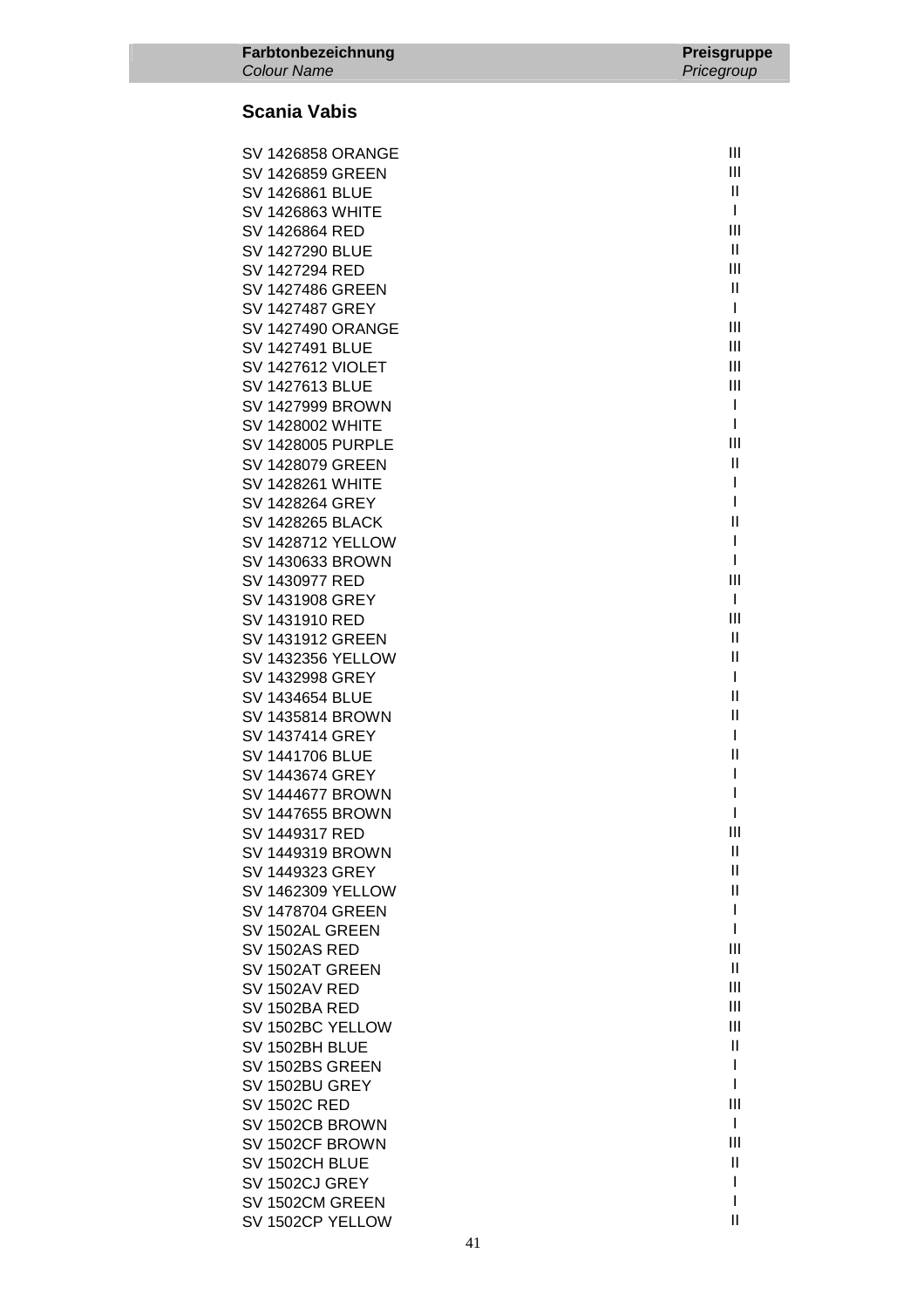| <b>SV 1426858 ORANGE</b> | Ш             |
|--------------------------|---------------|
| <b>SV 1426859 GREEN</b>  | Ш             |
| SV 1426861 BLUE          | $\mathbf{H}$  |
| <b>SV 1426863 WHITE</b>  | T             |
| SV 1426864 RED           | Ш             |
| SV 1427290 BLUE          | $\mathbf{H}$  |
| SV 1427294 RED           | Ш             |
| <b>SV 1427486 GREEN</b>  | Ш             |
| SV 1427487 GREY          | $\mathsf{l}$  |
| <b>SV 1427490 ORANGE</b> | Ш             |
| <b>SV 1427491 BLUE</b>   | Ш             |
| <b>SV 1427612 VIOLET</b> | Ш             |
| SV 1427613 BLUE          | Ш             |
| SV 1427999 BROWN         | T             |
| <b>SV 1428002 WHITE</b>  | I             |
| <b>SV 1428005 PURPLE</b> | Ш             |
| SV 1428079 GREEN         | Ш             |
| <b>SV 1428261 WHITE</b>  | I             |
| SV 1428264 GREY          | I             |
| <b>SV 1428265 BLACK</b>  | $\mathsf{I}$  |
| <b>SV 1428712 YELLOW</b> | I             |
| SV 1430633 BROWN         | I             |
| SV 1430977 RED           | Ш             |
| SV 1431908 GREY          | T             |
| SV 1431910 RED           | Ш             |
| SV 1431912 GREEN         | $\mathbf{H}$  |
| <b>SV 1432356 YELLOW</b> | $\mathsf{I}$  |
| SV 1432998 GREY          | I             |
| SV 1434654 BLUE          | Ш             |
| SV 1435814 BROWN         | $\mathsf{I}$  |
| SV 1437414 GREY          | T             |
| <b>SV 1441706 BLUE</b>   | $\mathsf{II}$ |
| SV 1443674 GREY          | I             |
| <b>SV 1444677 BROWN</b>  | I             |
| <b>SV 1447655 BROWN</b>  |               |
| SV 1449317 RED           | Ш             |
| SV 1449319 BROWN         | Ш             |
| SV 1449323 GREY          | Ш             |
| <b>SV 1462309 YELLOW</b> | Ш             |
| <b>SV 1478704 GREEN</b>  | I             |
| SV 1502AL GREEN          | I             |
| <b>SV 1502AS RED</b>     | Ш             |
| SV 1502AT GREEN          | $\mathbf{H}$  |
| <b>SV 1502AV RED</b>     | Ш             |
| <b>SV 1502BA RED</b>     | Ш             |
| SV 1502BC YELLOW         | Ш             |
| SV 1502BH BLUE           | Ш             |
| SV 1502BS GREEN          | I             |
| SV 1502BU GREY           | I             |
| <b>SV 1502C RED</b>      | Ш             |
| SV 1502CB BROWN          | I             |
| SV 1502CF BROWN          | Ш             |
| SV 1502CH BLUE           | Ш             |
| SV 1502CJ GREY           | I             |
| SV 1502CM GREEN          | I             |
| SV 1502CP YELLOW         | $\mathsf{II}$ |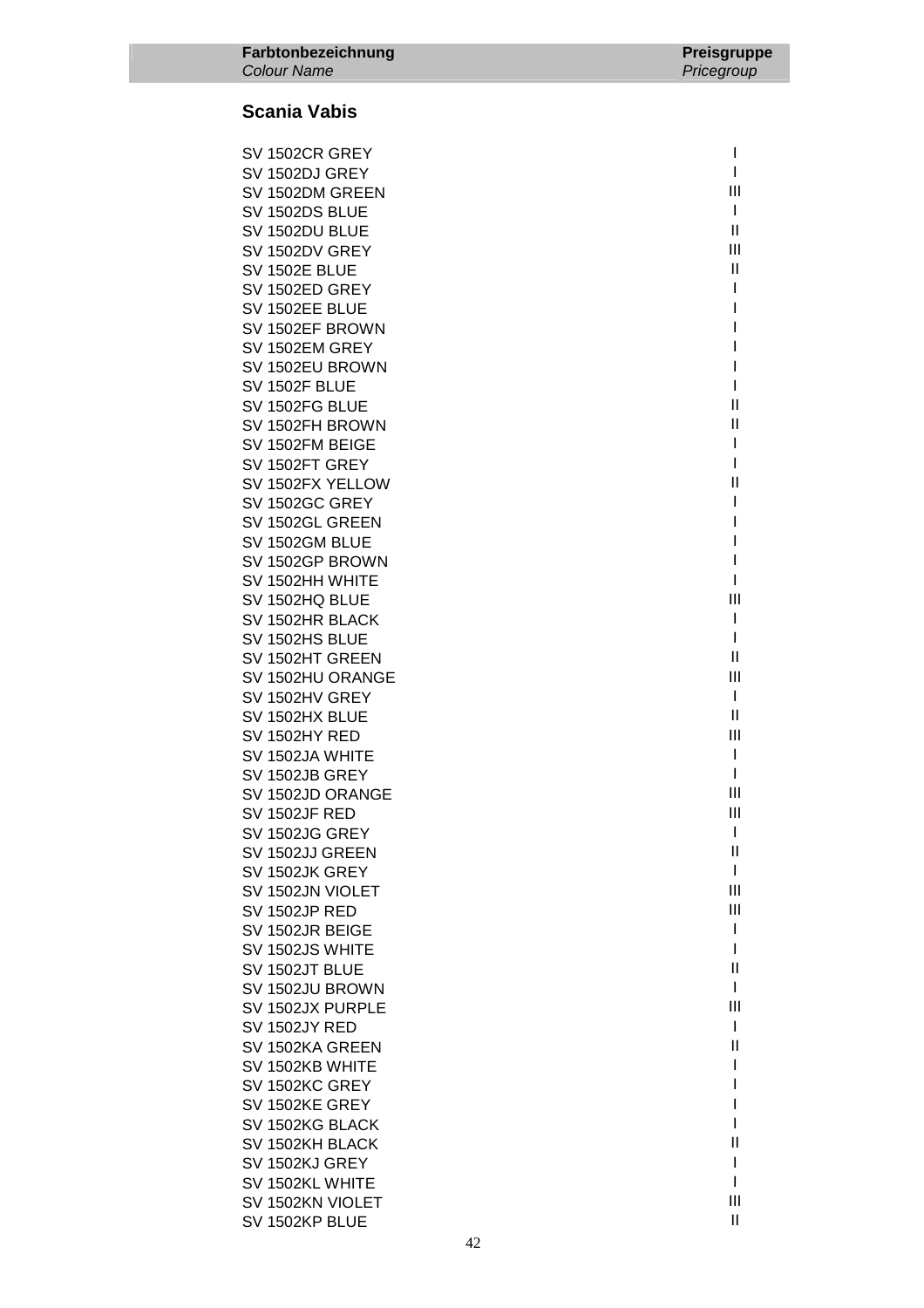| SV 1502CR GREY                    | I             |
|-----------------------------------|---------------|
| SV 1502DJ GREY                    | I             |
| SV 1502DM GREEN                   | Ш             |
| SV 1502DS BLUE                    | L             |
| SV 1502DU BLUE                    | $\mathsf{II}$ |
| SV 1502DV GREY                    | Ш             |
| <b>SV 1502E BLUE</b>              | Ш             |
| SV 1502ED GREY                    | I             |
| SV 1502EE BLUE                    | I             |
| SV 1502EF BROWN                   | I             |
| SV 1502EM GREY                    | I             |
| SV 1502EU BROWN                   | I             |
| SV 1502F BLUE                     | I             |
| SV 1502FG BLUE                    | Ш             |
| SV 1502FH BROWN                   | Ш             |
| SV 1502FM BEIGE                   | I             |
| SV 1502FT GREY                    | I             |
| SV 1502FX YELLOW                  | Ш             |
| SV 1502GC GREY                    | I             |
| SV 1502GL GREEN                   | I             |
| SV 1502GM BLUE                    | I             |
| SV 1502GP BROWN                   | I<br>I        |
| SV 1502HH WHITE                   | Ш             |
| SV 1502HQ BLUE                    | I             |
| SV 1502HR BLACK<br>SV 1502HS BLUE | I             |
| SV 1502HT GREEN                   | Ш             |
| SV 1502HU ORANGE                  | Ш             |
| SV 1502HV GREY                    | L             |
| SV 1502HX BLUE                    | Ш             |
| SV 1502HY RED                     | Ш             |
| SV 1502JA WHITE                   | T             |
| SV 1502JB GREY                    | L             |
| SV 1502JD ORANGE                  | Ш             |
| <b>SV 1502JF RED</b>              | Ш             |
| SV 1502JG GREY                    | I             |
| SV 1502JJ GREEN                   | Ш             |
| SV 1502JK GREY                    | L             |
| SV 1502JN VIOLET                  | Ш             |
| <b>SV 1502JP RED</b>              | Ш             |
| SV 1502JR BEIGE                   | I             |
| SV 1502JS WHITE                   | I             |
| SV 1502JT BLUE                    | Ш             |
| SV 1502JU BROWN                   | I             |
| SV 1502JX PURPLE                  | Ш             |
| <b>SV 1502JY RED</b>              | L             |
| SV 1502KA GREEN                   | Ш             |
| SV 1502KB WHITE                   | I             |
| SV 1502KC GREY                    |               |
| SV 1502KE GREY                    |               |
| SV 1502KG BLACK                   |               |
| SV 1502KH BLACK                   | Ш             |
| SV 1502KJ GREY                    | I             |
| SV 1502KL WHITE                   | I             |
| SV 1502KN VIOLET                  | Ш             |
| SV 1502KP BLUE                    | $\mathbf{I}$  |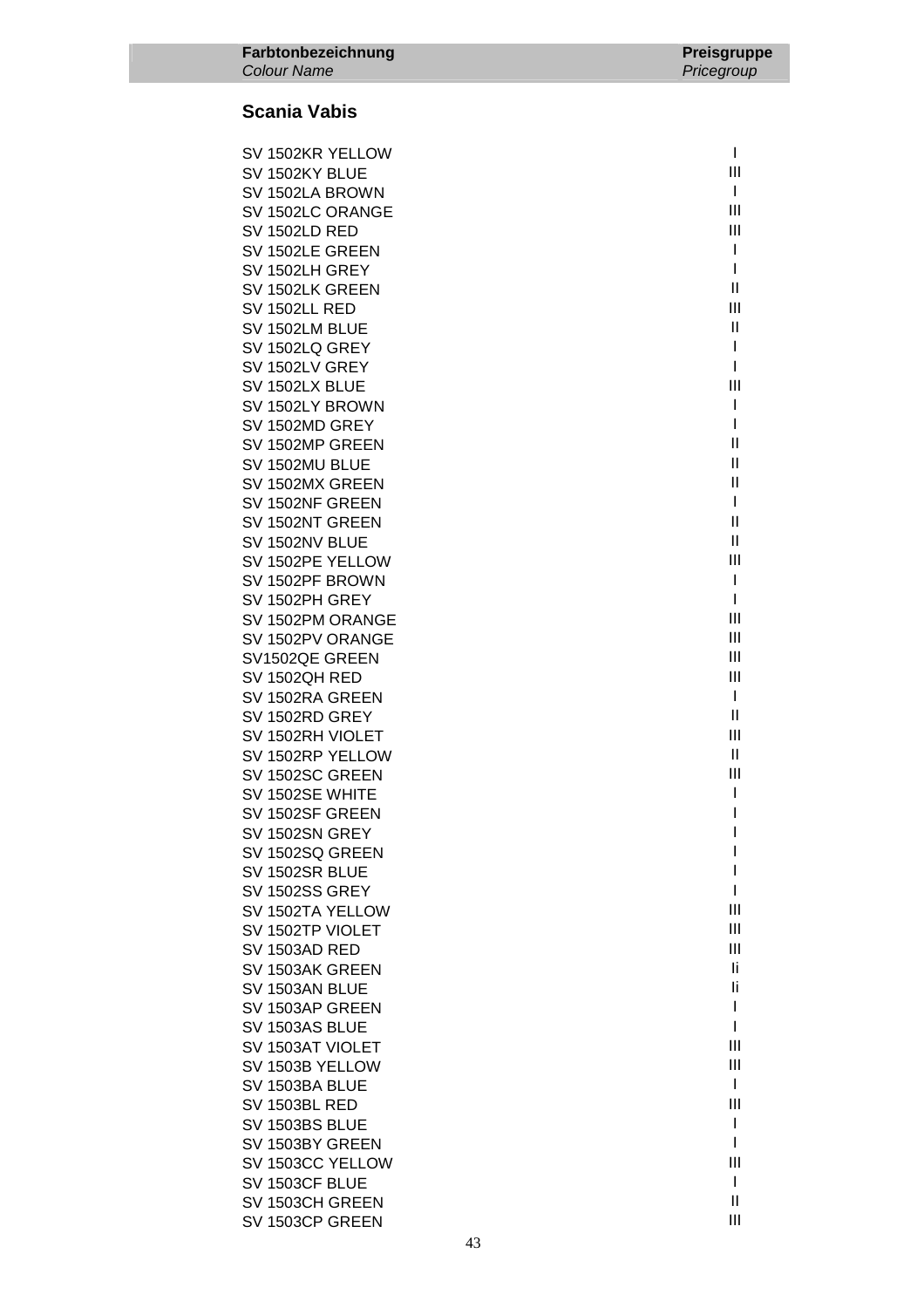| SV 1502KR YELLOW                     | I      |
|--------------------------------------|--------|
| SV 1502KY BLUE                       | Ш      |
| SV 1502LA BROWN                      | L      |
| SV 1502LC ORANGE                     | Ш      |
| <b>SV 1502LD RED</b>                 | Ш      |
| SV 1502LE GREEN                      | I      |
| SV 1502LH GREY                       | I      |
| SV 1502LK GREEN                      | Ш      |
| <b>SV 1502LL RED</b>                 | Ш      |
| SV 1502LM BLUE                       | Ш      |
| SV 1502LQ GREY                       | T      |
| SV 1502LV GREY                       | I      |
| SV 1502LX BLUE                       | Ш      |
| SV 1502LY BROWN                      | I      |
| SV 1502MD GREY                       | I<br>Ш |
| SV 1502MP GREEN                      | Ш      |
| SV 1502MU BLUE<br>SV 1502MX GREEN    | Ш      |
| SV 1502NF GREEN                      | I      |
| SV 1502NT GREEN                      | Ш      |
| SV 1502NV BLUE                       | Ш      |
| SV 1502PE YELLOW                     | Ш      |
| SV 1502PF BROWN                      | T      |
| SV 1502PH GREY                       | I      |
| SV 1502PM ORANGE                     | Ш      |
| SV 1502PV ORANGE                     | Ш      |
| SV1502QE GREEN                       | Ш      |
| SV 1502QH RED                        | Ш      |
| SV 1502RA GREEN                      | L      |
| SV 1502RD GREY                       | Ш      |
| SV 1502RH VIOLET                     | Ш      |
| SV 1502RP YELLOW                     | Ш      |
| SV 1502SC GREEN                      | Ш      |
| SV 1502SE WHITE                      | I      |
| SV 1502SF GREEN                      | I      |
| SV 1502SN GREY                       | I      |
| SV 1502SQ GREEN                      | I      |
| SV 1502SR BLUE                       |        |
| SV 1502SS GREY                       | I<br>Ш |
| SV 1502TA YELLOW<br>SV 1502TP VIOLET | Ш      |
| <b>SV 1503AD RED</b>                 | Ш      |
| SV 1503AK GREEN                      | Ιi.    |
| SV 1503AN BLUE                       | li     |
| SV 1503AP GREEN                      | I      |
| SV 1503AS BLUE                       | I      |
| SV 1503AT VIOLET                     | Ш      |
| SV 1503B YELLOW                      | Ш      |
| SV 1503BA BLUE                       | I      |
| <b>SV 1503BL RED</b>                 | Ш      |
| SV 1503BS BLUE                       | I      |
| SV 1503BY GREEN                      | I      |
| SV 1503CC YELLOW                     | Ш      |
| SV 1503CF BLUE                       | I      |
| SV 1503CH GREEN                      | Ш      |
| SV 1503CP GREEN                      | Ш      |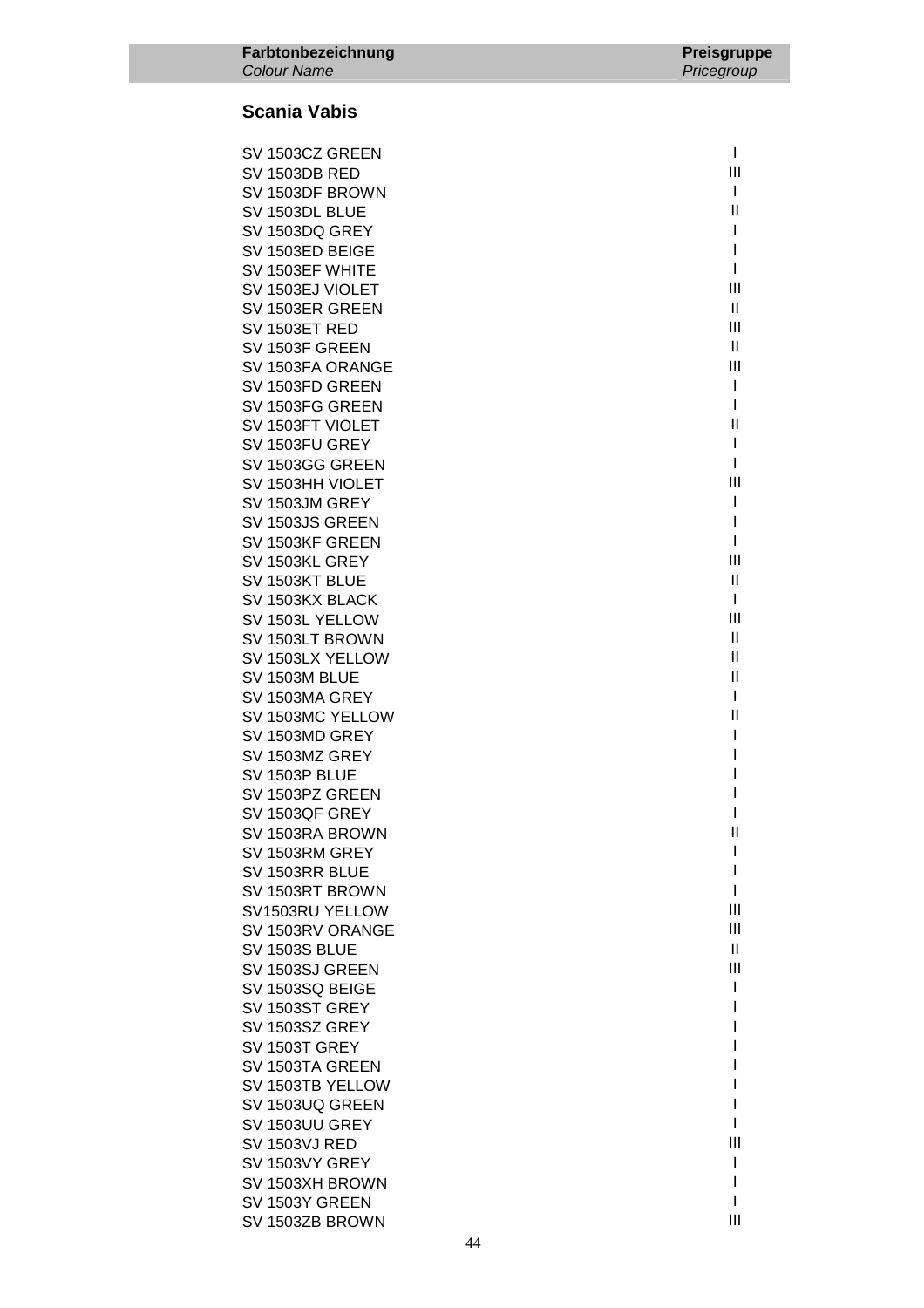| SV 1503CZ GREEN      | L             |
|----------------------|---------------|
| <b>SV 1503DB RED</b> | Ш             |
|                      | L             |
| SV 1503DF BROWN      | Ш             |
| SV 1503DL BLUE       | T             |
| SV 1503DQ GREY       |               |
| SV 1503ED BEIGE      | I             |
| SV 1503EF WHITE      | L             |
| SV 1503EJ VIOLET     | Ш             |
| SV 1503ER GREEN      | $\mathbf{H}$  |
| SV 1503ET RED        | Ш             |
| SV 1503F GREEN       | Ш             |
| SV 1503FA ORANGE     | Ш             |
| SV 1503FD GREEN      | T             |
| SV 1503FG GREEN      | I             |
| SV 1503FT VIOLET     | $\mathbf{  }$ |
| SV 1503FU GREY       | I             |
| SV 1503GG GREEN      | $\mathbf{I}$  |
| SV 1503HH VIOLET     | Ш             |
| SV 1503JM GREY       | I             |
| SV 1503JS GREEN      | I             |
| SV 1503KF GREEN      | L             |
| SV 1503KL GREY       | Ш             |
| SV 1503KT BLUE       | Ш             |
| SV 1503KX BLACK      | L             |
| SV 1503L YELLOW      | Ш             |
| SV 1503LT BROWN      | Ш             |
| SV 1503LX YELLOW     | Ш             |
| SV 1503M BLUE        | $\mathbf{H}$  |
| SV 1503MA GREY       | $\mathbf{I}$  |
|                      | Ш             |
| SV 1503MC YELLOW     | I             |
| SV 1503MD GREY       |               |
| SV 1503MZ GREY       | I             |
| SV 1503P BLUE        | I             |
| SV 1503PZ GREEN      | I             |
| SV 1503QF GREY       | I             |
| SV 1503RA BROWN      | $\mathsf{II}$ |
| SV 1503RM GREY       |               |
| SV 1503RR BLUE       |               |
| SV 1503RT BROWN      | I             |
| SV1503RU YELLOW      | Ш             |
| SV 1503RV ORANGE     | Ш             |
| <b>SV 1503S BLUE</b> | $\mathbf{H}$  |
| SV 1503SJ GREEN      | Ш             |
| SV 1503SQ BEIGE      | I             |
| SV 1503ST GREY       | I             |
| SV 1503SZ GREY       |               |
| <b>SV 1503T GREY</b> |               |
| SV 1503TA GREEN      |               |
| SV 1503TB YELLOW     |               |
| SV 1503UQ GREEN      |               |
| SV 1503UU GREY       | ı             |
| <b>SV 1503VJ RED</b> | Ш             |
| SV 1503VY GREY       | L             |
| SV 1503XH BROWN      | I             |
| SV 1503Y GREEN       | I             |
| SV 1503ZB BROWN      | Ш             |
|                      |               |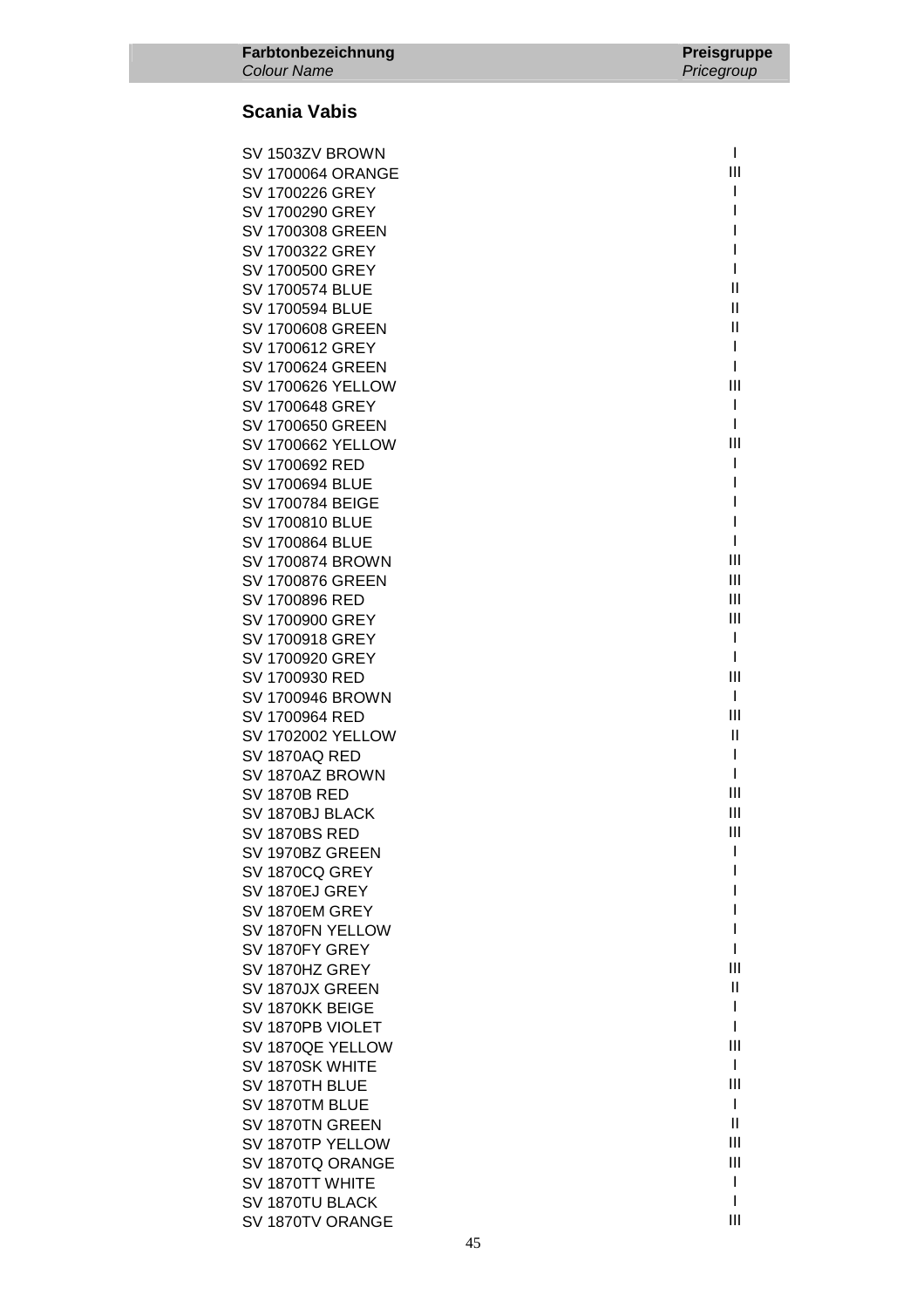| SV 1503ZV BROWN          | $\mathbf{I}$ |
|--------------------------|--------------|
| SV 1700064 ORANGE        | Ш            |
| SV 1700226 GREY          | T            |
| SV 1700290 GREY          | I            |
| SV 1700308 GREEN         | I            |
| SV 1700322 GREY          | I            |
| SV 1700500 GREY          | L            |
| SV 1700574 BLUE          | $\mathsf{I}$ |
| SV 1700594 BLUE          | Ш            |
| SV 1700608 GREEN         | Ш            |
| SV 1700612 GREY          | L            |
| SV 1700624 GREEN         | $\mathbf{I}$ |
| <b>SV 1700626 YELLOW</b> | Ш            |
| SV 1700648 GREY          | $\mathbf{I}$ |
| SV 1700650 GREEN         | $\mathbf{I}$ |
| <b>SV 1700662 YELLOW</b> | Ш            |
| SV 1700692 RED           | T            |
| SV 1700694 BLUE          | I            |
| SV 1700784 BEIGE         | L            |
| <b>SV 1700810 BLUE</b>   | $\mathbf{I}$ |
| SV 1700864 BLUE          | $\mathbf{I}$ |
| SV 1700874 BROWN         | Ш            |
| SV 1700876 GREEN         | Ш            |
| SV 1700896 RED           | Ш            |
| SV 1700900 GREY          | Ш            |
| SV 1700918 GREY          | $\mathbf{I}$ |
| SV 1700920 GREY          | $\mathbf{I}$ |
| SV 1700930 RED           | Ш            |
| SV 1700946 BROWN         | $\mathbf{I}$ |
| SV 1700964 RED           | Ш            |
| SV 1702002 YELLOW        | Ш            |
| SV 1870AQ RED            | $\mathbf{I}$ |
| SV 1870AZ BROWN          | $\mathbf{I}$ |
| <b>SV 1870B RED</b>      | Ш            |
| SV 1870BJ BLACK          | Ш            |
| SV 1870BS RED            | Ш            |
| SV 1970BZ GREEN          |              |
| SV 1870CQ GREY           |              |
| SV 1870EJ GREY           |              |
| SV 1870EM GREY           |              |
| SV 1870FN YELLOW         |              |
| SV 1870FY GREY           | I            |
| SV 1870HZ GREY           | Ш            |
| SV 1870JX GREEN          | Ш            |
| SV 1870KK BEIGE          | I            |
| SV 1870PB VIOLET         | I            |
| SV 1870QE YELLOW         | Ш            |
| SV 1870SK WHITE          | $\mathbf{I}$ |
| SV 1870TH BLUE           | Ш            |
| SV 1870TM BLUE           | T            |
| SV 1870TN GREEN          | $\mathbf{I}$ |
| SV 1870TP YELLOW         | Ш            |
| SV 1870TQ ORANGE         | Ш            |
| SV 1870TT WHITE          | I            |
| SV 1870TU BLACK          | L            |
| SV 1870TV ORANGE         | Ш            |
|                          |              |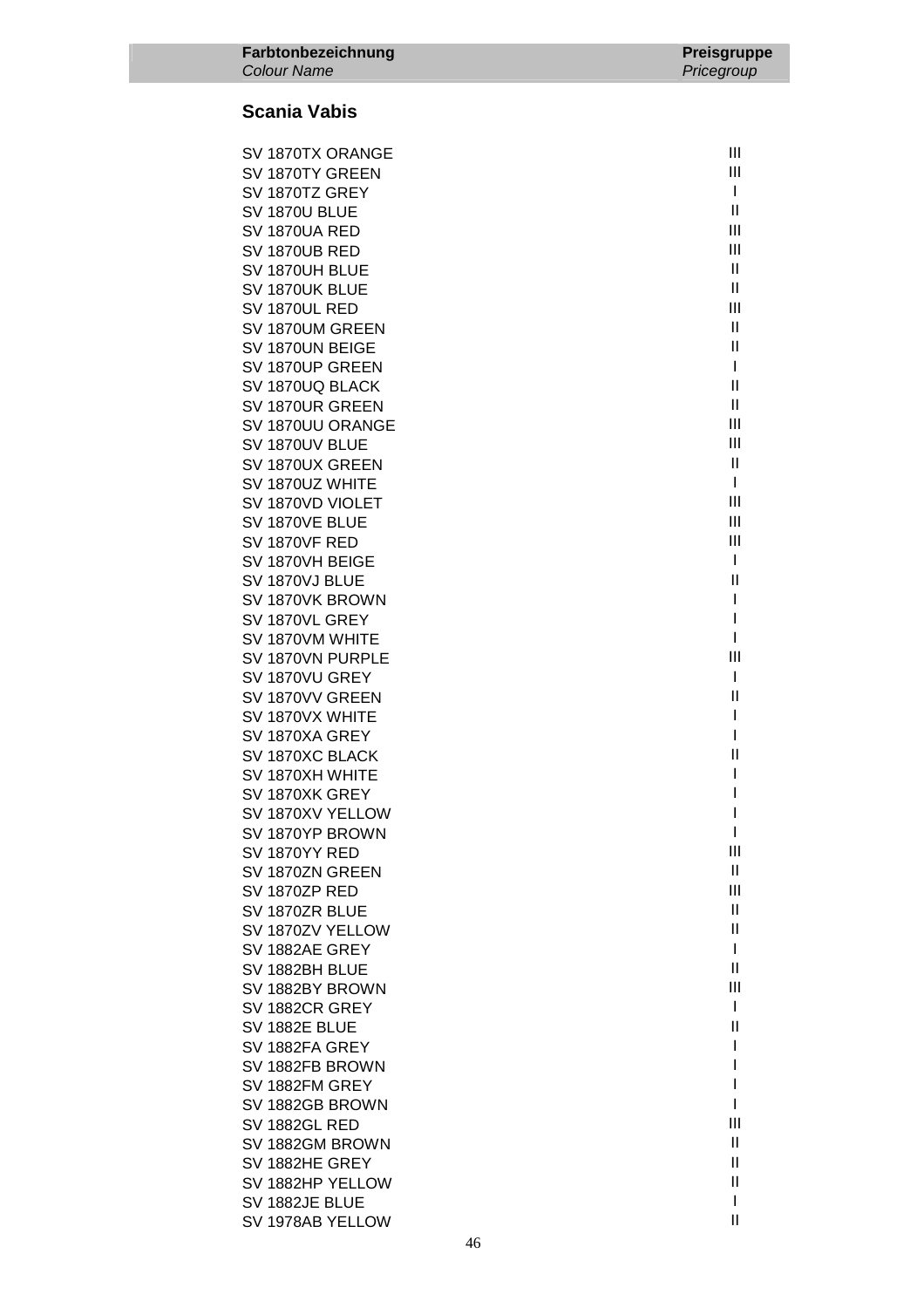| Farbtonbezeichnung<br><b>Colour Name</b> | <b>Preisgruppe</b><br>Pricegroup |
|------------------------------------------|----------------------------------|
| <b>Scania Vabis</b>                      |                                  |
|                                          |                                  |
| SV 1870TX ORANGE                         | $\mathbf{III}$                   |
| SV 1870TY GREEN                          | $\mathbf{III}$                   |
| SV 1870TZ GREY                           | $\mathbf{I}$                     |
| SV 1870U BLUE                            | $\mathbf{I}$                     |
| SV 1870UA RED                            | $\mathbf{III}$<br>$\mathbf{III}$ |
| SV 1870UB RED<br>SV 1870UH BLUE          | Ш                                |
| SV 1870UK BLUE                           | Ш                                |
| SV 1870UL RED                            | $\mathbf{III}$                   |
| SV 1870UM GREEN                          | Ш                                |
| SV 1870UN BEIGE                          | Ш                                |
| SV 1870UP GREEN                          | T                                |
| SV 1870UQ BLACK                          | $\mathsf{II}$                    |
| SV 1870UR GREEN                          | $\mathbf{H}$                     |
| SV 1870UU ORANGE<br>SV 1870UV BLUE       | $\mathbf{III}$<br>$\mathbf{III}$ |
| SV 1870UX GREEN                          | $\mathbf{I}$                     |
| SV 1870UZ WHITE                          | $\mathbf{I}$                     |
| SV 1870VD VIOLET                         | $\mathbf{III}$                   |
| SV 1870VE BLUE                           | $\mathbf{III}$                   |
| SV 1870VF RED                            | $\mathbf{III}$                   |
| SV 1870VH BEIGE                          | $\mathbf{I}$                     |
| SV 1870VJ BLUE                           | $\mathsf{II}$                    |
| SV 1870VK BROWN                          | I<br>I                           |
| SV 1870VL GREY<br>SV 1870VM WHITE        | I                                |
| SV 1870VN PURPLE                         | III                              |
| SV 1870VU GREY                           | ı                                |
| SV 1870VV GREEN                          | $\mathbf{I}$                     |
| SV 1870VX WHITE                          |                                  |
| SV 1870XA GREY                           | I                                |
| SV 1870XC BLACK                          | $\mathsf{II}$                    |
| SV 1870XH WHITE                          | L                                |
| SV 1870XK GREY<br>SV 1870XV YELLOW       | L<br>I                           |
| SV 1870YP BROWN                          | I                                |
| SV 1870YY RED                            | Ш                                |
| SV 1870ZN GREEN                          | $\mathbf{H}$                     |
| SV 1870ZP RED                            | III                              |
| SV 1870ZR BLUE                           | Ш                                |
| SV 1870ZV YELLOW                         | Ш                                |
| SV 1882AE GREY                           | $\mathbf{I}$                     |
| SV 1882BH BLUE                           | Ш<br>$\mathbf{III}$              |
| SV 1882BY BROWN<br>SV 1882CR GREY        | L                                |
| SV 1882E BLUE                            | $\mathsf{II}$                    |
| SV 1882FA GREY                           | I                                |
| SV 1882FB BROWN                          |                                  |
| SV 1882FM GREY                           |                                  |

SV 1882FM GREY<br>SV 1882GB BROWN I SV 1882GB BROWN I

SV 1882GM BROWN II SV 1882HE GREY<br>SV 1882HP YELLOW II SV 1882HP YELLOW II<br>SV 1882JE BLUE III SV 1882JE BLUE<br>SV 1978AB YFI I OW

SV 1882GL RED

SV 1978AB YELLOW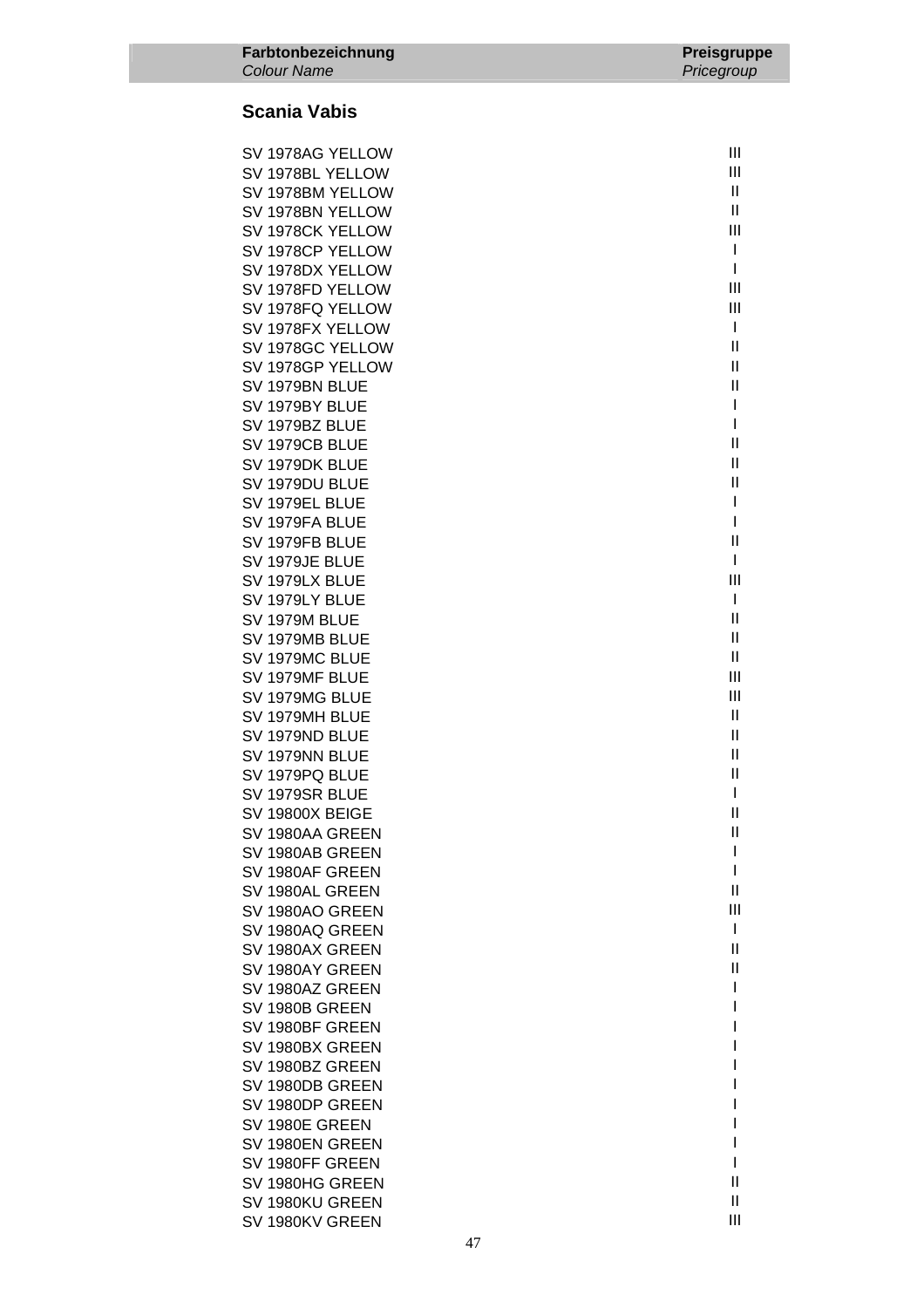| SV 1978AG YELLOW | III           |
|------------------|---------------|
| SV 1978BL YELLOW | Ш             |
| SV 1978BM YELLOW | Ш             |
| SV 1978BN YELLOW | $\mathbf{H}$  |
| SV 1978CK YELLOW | Ш             |
| SV 1978CP YELLOW | $\mathbf{I}$  |
| SV 1978DX YELLOW | $\mathbf{I}$  |
| SV 1978FD YELLOW | Ш             |
|                  | Ш             |
| SV 1978FQ YELLOW | $\mathbf{I}$  |
| SV 1978FX YELLOW |               |
| SV 1978GC YELLOW | Ш             |
| SV 1978GP YELLOW | Ш             |
| SV 1979BN BLUE   | Ш             |
| SV 1979BY BLUE   | I             |
| SV 1979BZ BLUE   | I             |
| SV 1979CB BLUE   | Ш             |
| SV 1979DK BLUE   | Ш             |
| SV 1979DU BLUE   | Ш             |
| SV 1979EL BLUE   | T             |
| SV 1979FA BLUE   | I             |
| SV 1979FB BLUE   | Ш             |
| SV 1979JE BLUE   | $\mathbf{I}$  |
| SV 1979LX BLUE   | Ш             |
| SV 1979LY BLUE   | $\mathbf{I}$  |
| SV 1979M BLUE    | Ш             |
| SV 1979MB BLUE   | Ш             |
| SV 1979MC BLUE   | Ш             |
| SV 1979MF BLUE   | Ш             |
| SV 1979MG BLUE   | Ш             |
| SV 1979MH BLUE   | Ш             |
| SV 1979ND BLUE   | Ш             |
| SV 1979NN BLUE   | Ш             |
| SV 1979PQ BLUE   | $\mathbf{I}$  |
| SV 1979SR BLUE   | T             |
| SV 19800X BEIGE  | Ш             |
| SV 1980AA GREEN  | $\mathsf{II}$ |
| SV 1980AB GREEN  | I             |
| SV 1980AF GREEN  | I             |
| SV 1980AL GREEN  | $\mathbf{I}$  |
| SV 1980AO GREEN  | Ш             |
| SV 1980AQ GREEN  | I             |
| SV 1980AX GREEN  | Ш             |
| SV 1980AY GREEN  | Ш             |
| SV 1980AZ GREEN  | I             |
| SV 1980B GREEN   | ı             |
| SV 1980BF GREEN  |               |
| SV 1980BX GREEN  |               |
| SV 1980BZ GREEN  |               |
| SV 1980DB GREEN  |               |
| SV 1980DP GREEN  |               |
|                  |               |
| SV 1980E GREEN   |               |
| SV 1980EN GREEN  | I             |
| SV 1980FF GREEN  |               |
| SV 1980HG GREEN  | $\mathsf{I}$  |
| SV 1980KU GREEN  | Ш             |
| SV 1980KV GREEN  | Ш             |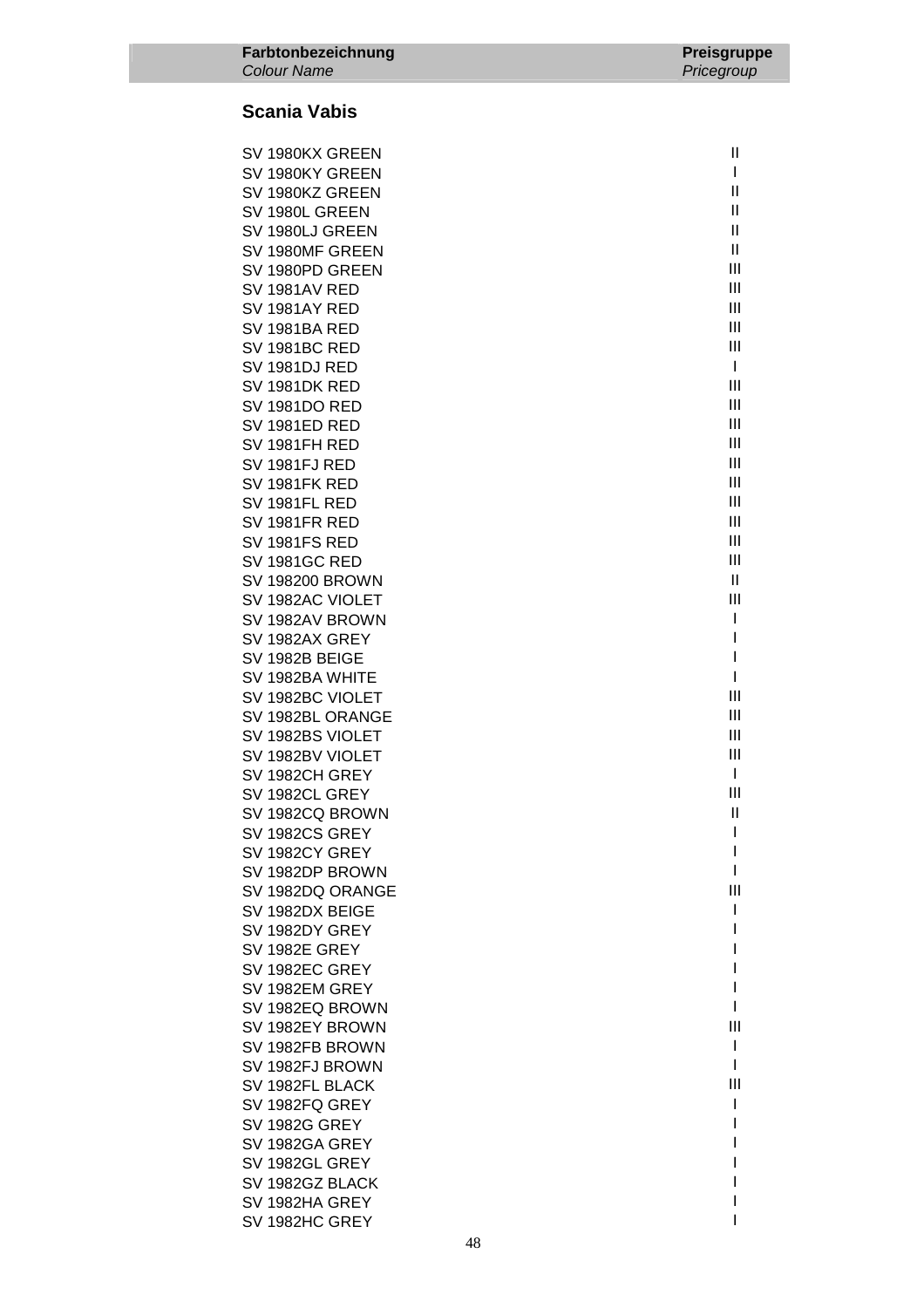| SV 1980KX GREEN        | $\mathbf{H}$   |
|------------------------|----------------|
| SV 1980KY GREEN        | $\mathbf{I}$   |
|                        | Ш              |
| SV 1980KZ GREEN        |                |
| SV 1980L GREEN         | $\mathbf{H}$   |
| SV 1980LJ GREEN        | $\mathbf{H}$   |
| SV 1980MF GREEN        | Ш              |
| SV 1980PD GREEN        | Ш              |
| SV 1981AV RED          | $\mathbf{III}$ |
| <b>SV 1981AY RED</b>   | Ш              |
| <b>SV 1981BA RED</b>   | Ш              |
| <b>SV 1981BC RED</b>   | Ш              |
| <b>SV 1981DJ RED</b>   | $\mathbf{I}$   |
| <b>SV 1981DK RED</b>   | Ш              |
|                        | III            |
| <b>SV 1981DO RED</b>   |                |
| <b>SV 1981ED RED</b>   | Ш              |
| SV 1981FH RED          | Ш              |
| SV 1981FJ RED          | Ш              |
| SV 1981FK RED          | Ш              |
| SV 1981FL RED          | Ш              |
| <b>SV 1981FR RED</b>   | III            |
| <b>SV 1981FS RED</b>   | III            |
| <b>SV 1981GC RED</b>   | Ш              |
| <b>SV 198200 BROWN</b> | $\mathbf{H}$   |
| SV 1982AC VIOLET       | Ш              |
| SV 1982AV BROWN        | T              |
| SV 1982AX GREY         | I              |
| SV 1982B BEIGE         | I              |
| SV 1982BA WHITE        | $\mathsf{I}$   |
| SV 1982BC VIOLET       | Ш              |
|                        | Ш              |
| SV 1982BL ORANGE       |                |
| SV 1982BS VIOLET       | $\mathbf{III}$ |
| SV 1982BV VIOLET       | Ш              |
| SV 1982CH GREY         | $\mathbf{I}$   |
| SV 1982CL GREY         | Ш              |
| SV 1982CQ BROWN        | $\mathbf{II}$  |
| SV 1982CS GREY         | L              |
| SV 1982CY GREY         | I              |
| SV 1982DP BROWN        | L              |
| SV 1982DQ ORANGE       | Ш              |
| SV 1982DX BEIGE        | I              |
| SV 1982DY GREY         | I              |
| SV 1982E GREY          | I              |
| SV 1982EC GREY         |                |
| SV 1982EM GREY         | I              |
| SV 1982EQ BROWN        | I              |
| SV 1982EY BROWN        | Ш              |
|                        | I              |
| SV 1982FB BROWN        | I              |
| SV 1982FJ BROWN        |                |
| SV 1982FL BLACK        | Ш              |
| SV 1982FQ GREY         | I              |
| <b>SV 1982G GREY</b>   | L              |
| SV 1982GA GREY         | I              |
| SV 1982GL GREY         |                |
| SV 1982GZ BLACK        |                |
| SV 1982HA GREY         |                |
| SV 1982HC GREY         |                |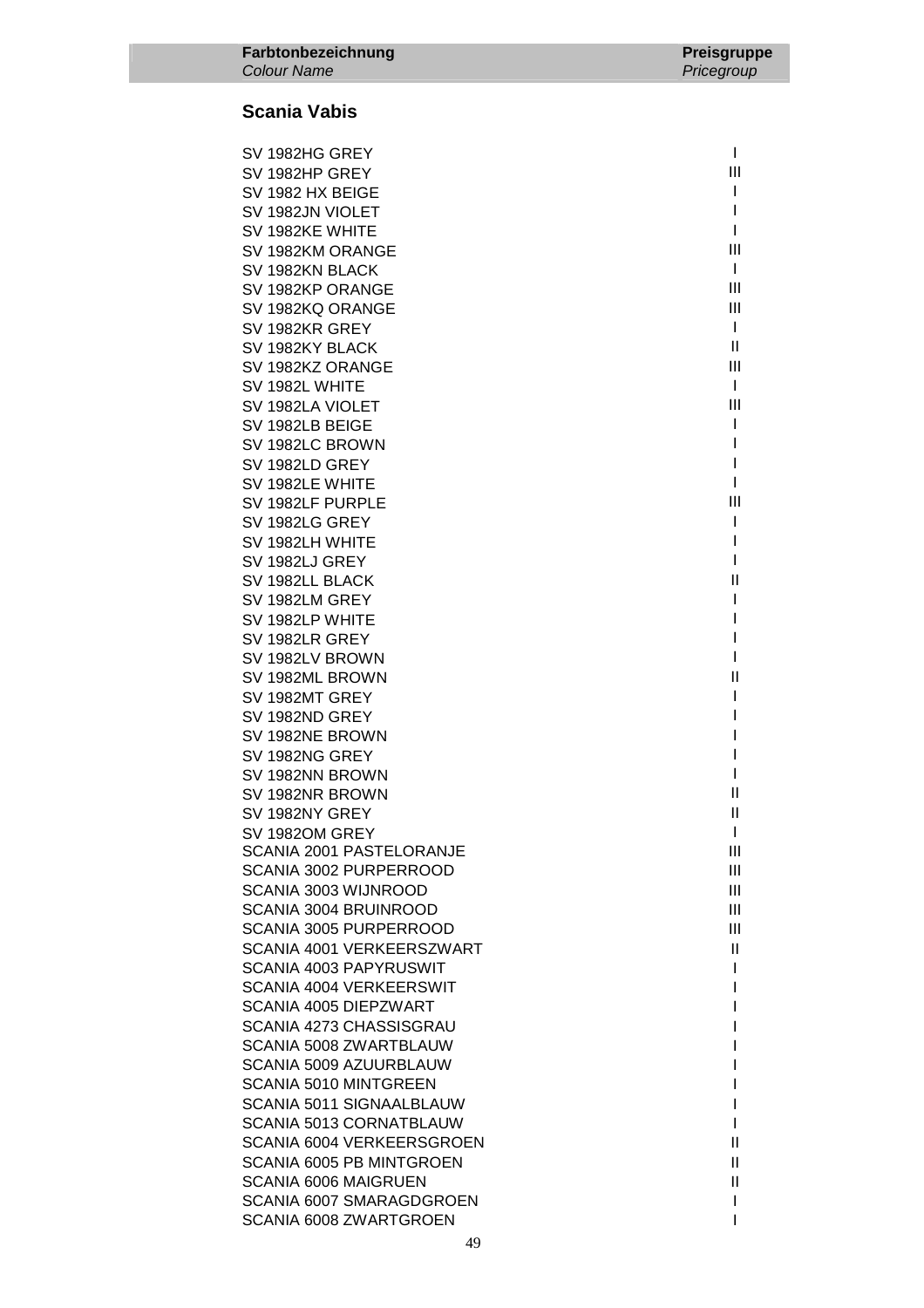| SV 1982HG GREY                                                 | L                               |
|----------------------------------------------------------------|---------------------------------|
| SV 1982HP GREY                                                 | III                             |
| SV 1982 HX BEIGE                                               | L                               |
| SV 1982JN VIOLET                                               | I                               |
| SV 1982KE WHITE                                                | I.                              |
| SV 1982KM ORANGE                                               | Ш                               |
| SV 1982KN BLACK                                                | $\mathbf{I}$                    |
| SV 1982KP ORANGE                                               | III                             |
| SV 1982KQ ORANGE                                               | $\mathbf{III}$                  |
| SV 1982KR GREY                                                 | $\mathbf{I}$                    |
| SV 1982KY BLACK                                                | Ш                               |
| SV 1982KZ ORANGE                                               | III                             |
| SV 1982L WHITE                                                 | L                               |
| SV 1982LA VIOLET                                               | Ш                               |
| SV 1982LB BEIGE                                                | L                               |
| SV 1982LC BROWN                                                | I                               |
| SV 1982LD GREY                                                 | I                               |
| SV 1982LE WHITE                                                | I                               |
| SV 1982LF PURPLE                                               | III                             |
| SV 1982LG GREY                                                 |                                 |
| SV 1982LH WHITE                                                |                                 |
| SV 1982LJ GREY                                                 |                                 |
| SV 1982LL BLACK                                                | $\mathsf{I}$                    |
| SV 1982LM GREY                                                 |                                 |
| SV 1982LP WHITE                                                |                                 |
| SV 1982LR GREY                                                 |                                 |
| SV 1982LV BROWN                                                |                                 |
| SV 1982ML BROWN                                                | Ш                               |
| SV 1982MT GREY                                                 |                                 |
| SV 1982ND GREY                                                 |                                 |
| SV 1982NE BROWN                                                |                                 |
| SV 1982NG GREY                                                 |                                 |
| SV 1982NN BROWN                                                |                                 |
| SV 1982NR BROWN                                                | $\mathbf{  }$                   |
| SV 1982NY GREY                                                 | $\mathbf{  }$                   |
| SV 1982OM GREY                                                 |                                 |
| <b>SCANIA 2001 PASTELORANJE</b>                                | Ш                               |
| <b>SCANIA 3002 PURPERROOD</b>                                  | III                             |
| SCANIA 3003 WIJNROOD                                           | III                             |
| <b>SCANIA 3004 BRUINROOD</b>                                   | III                             |
| <b>SCANIA 3005 PURPERROOD</b>                                  | III                             |
| SCANIA 4001 VERKEERSZWART                                      | Ш                               |
| <b>SCANIA 4003 PAPYRUSWIT</b>                                  | L                               |
| <b>SCANIA 4004 VERKEERSWIT</b>                                 | I                               |
| SCANIA 4005 DIEPZWART                                          |                                 |
| SCANIA 4273 CHASSISGRAU                                        |                                 |
| <b>SCANIA 5008 ZWARTBLAUW</b>                                  |                                 |
| SCANIA 5009 AZUURBLAUW                                         |                                 |
| <b>SCANIA 5010 MINTGREEN</b>                                   |                                 |
| SCANIA 5011 SIGNAALBLAUW                                       | L                               |
| <b>SCANIA 5013 CORNATBLAUW</b>                                 | L<br>$\ensuremath{\mathsf{II}}$ |
| <b>SCANIA 6004 VERKEERSGROEN</b>                               |                                 |
| <b>SCANIA 6005 PB MINTGROEN</b><br><b>SCANIA 6006 MAIGRUEN</b> | Ш<br>Ш                          |
| SCANIA 6007 SMARAGDGROEN                                       | L                               |
| SCANIA 6008 ZWARTGROEN                                         | ı                               |
|                                                                |                                 |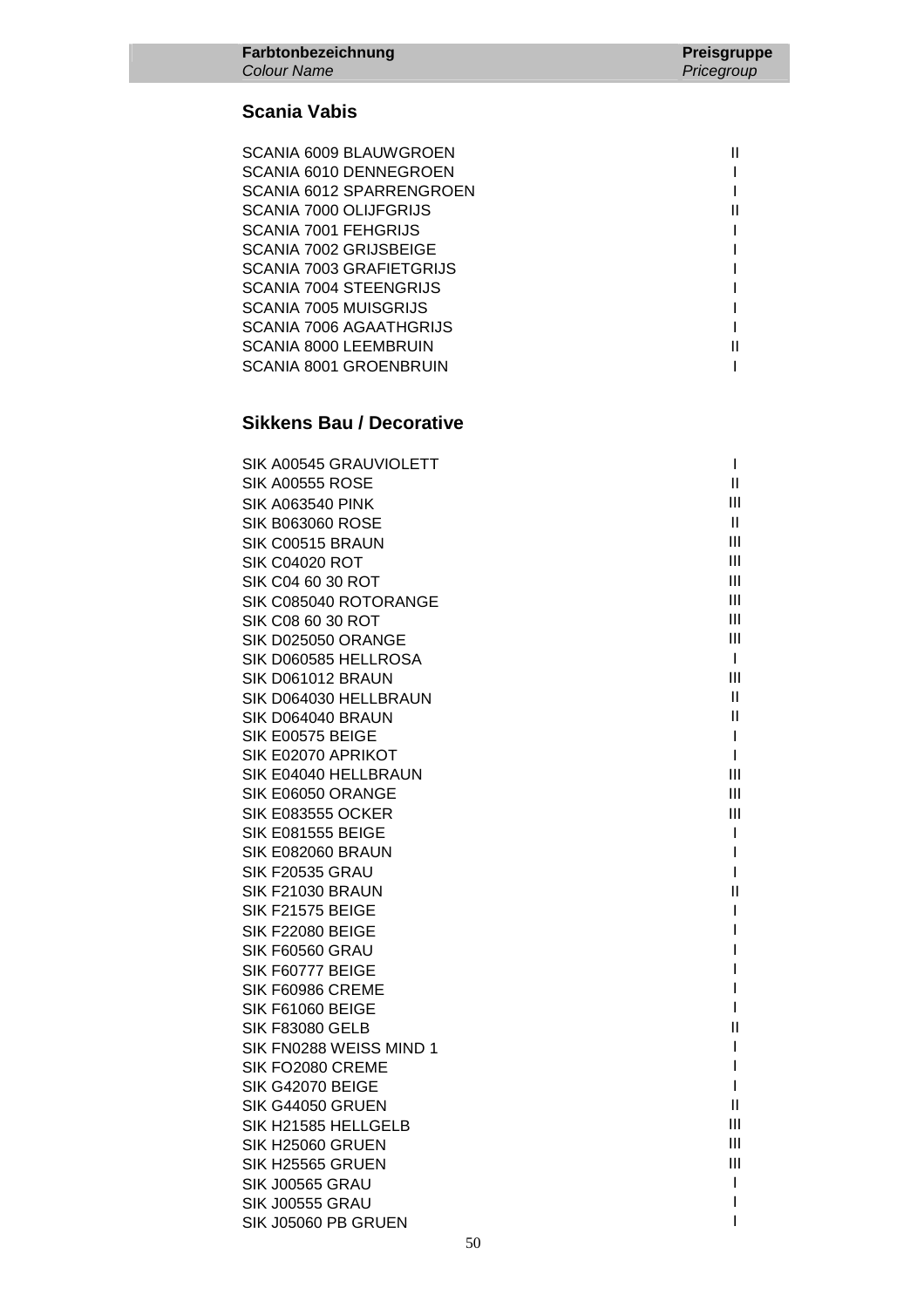| SCANIA 6009 BLAUWGROEN         |  |
|--------------------------------|--|
| SCANIA 6010 DENNEGROEN         |  |
| SCANIA 6012 SPARRENGROEN       |  |
| SCANIA 7000 OLIJFGRIJS         |  |
| <b>SCANIA 7001 FEHGRIJS</b>    |  |
| SCANIA 7002 GRIJSBEIGE         |  |
| SCANIA 7003 GRAFIETGRIJS       |  |
| <b>SCANIA 7004 STEENGRIJS</b>  |  |
| SCANIA 7005 MUISGRIJS          |  |
| <b>SCANIA 7006 AGAATHGRIJS</b> |  |
| SCANIA 8000 LEEMBRUIN          |  |
| SCANIA 8001 GROENBRUIN         |  |

### **Sikkens Bau / Decorative**

| SIK A00545 GRAUVIOLETT             | $\mathbf{I}$                 |
|------------------------------------|------------------------------|
| SIK A00555 ROSE                    | Ш                            |
| <b>SIK A063540 PINK</b>            | III                          |
| <b>SIK B063060 ROSE</b>            | II.                          |
| SIK C00515 BRAUN                   | Ш                            |
| <b>SIK C04020 ROT</b>              | Ш                            |
| SIK C04 60 30 ROT                  | Ш                            |
| SIK C085040 ROTORANGE              | Ш                            |
| SIK C08 60 30 ROT                  | Ш                            |
| SIK D025050 ORANGE                 | Ш                            |
| SIK D060585 HELLROSA               | L                            |
| SIK D061012 BRAUN                  | Ш                            |
| SIK D064030 HELLBRAUN              | Ш                            |
| SIK D064040 BRAUN                  | Ш                            |
| SIK E00575 BEIGE                   | $\mathbf{I}$                 |
| SIK E02070 APRIKOT                 | $\mathbf{I}$                 |
| SIK E04040 HELLBRAUN               | Ш                            |
| SIK E06050 ORANGE                  | Ш                            |
| <b>SIK E083555 OCKER</b>           | Ш                            |
| <b>SIK E081555 BEIGE</b>           | $\mathbf{I}$                 |
| SIK E082060 BRAUN                  | $\mathbf{I}$                 |
| <b>SIK F20535 GRAU</b>             | $\mathbf{I}$                 |
| SIK F21030 BRAUN                   | Ш                            |
| SIK F21575 BEIGE                   | $\mathbf{I}$                 |
| SIK F22080 BEIGE                   | Т                            |
| SIK F60560 GRAU                    | L                            |
| SIK F60777 BEIGE                   |                              |
| SIK F60986 CREME                   | L                            |
| SIK F61060 BEIGE                   | L                            |
| <b>SIK F83080 GELB</b>             | Ш                            |
| SIK FN0288 WEISS MIND 1            | $\mathbf{I}$                 |
| SIK FO2080 CREME                   | $\mathbf{I}$<br>$\mathbf{I}$ |
| SIK G42070 BEIGE                   | Ш                            |
| SIK G44050 GRUEN                   | Ш                            |
| SIK H21585 HELLGELB                | Ш                            |
| SIK H25060 GRUEN                   | Ш                            |
| SIK H25565 GRUEN                   | $\mathbf{I}$                 |
| SIK J00565 GRAU<br>SIK J00555 GRAU | I.                           |
|                                    | T                            |
| SIK J05060 PB GRUEN                |                              |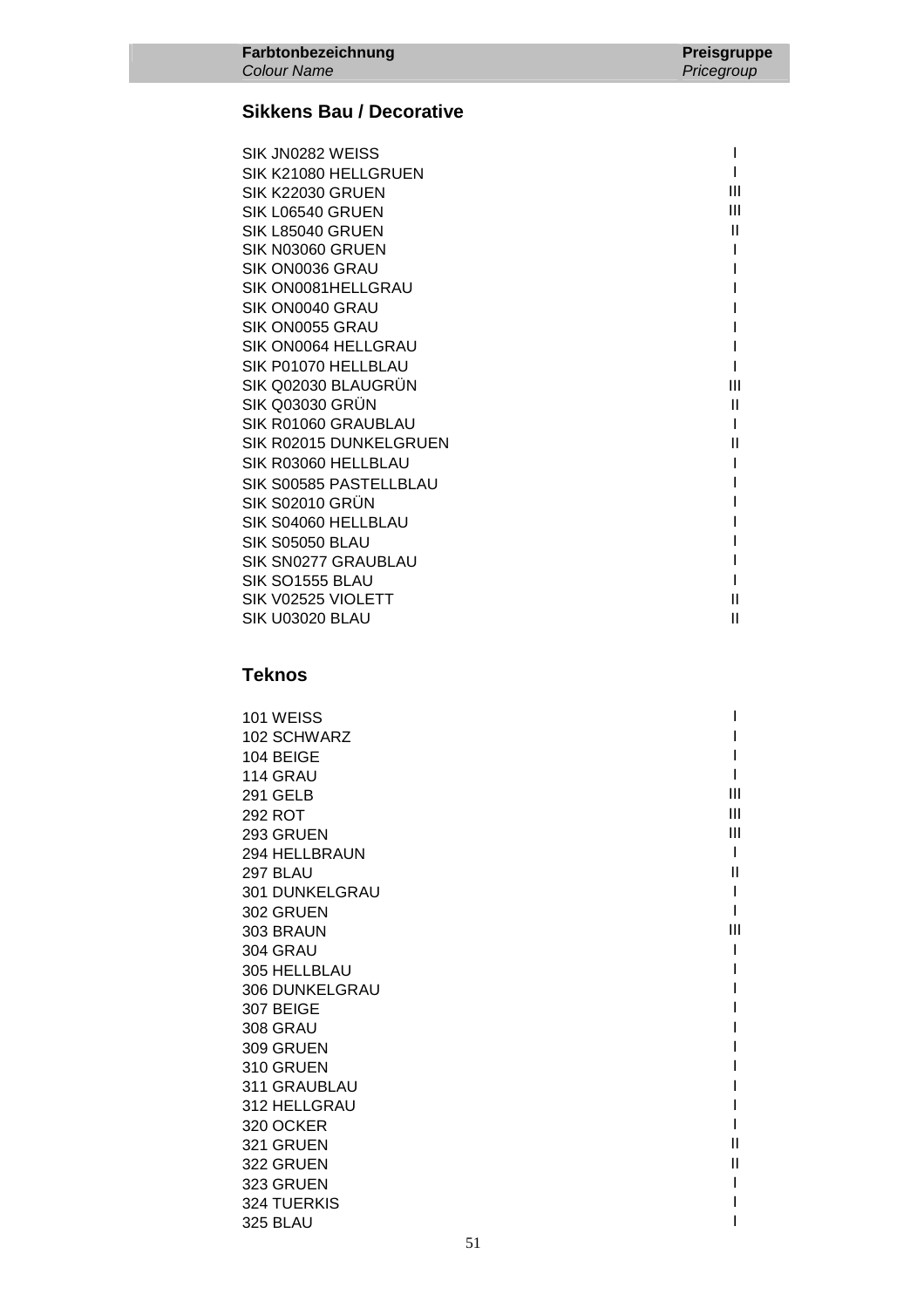### **Sikkens Bau / Decorative**

| SIK JN0282 WEISS       |   |
|------------------------|---|
| SIK K21080 HELLGRUEN   |   |
| SIK K22030 GRUEN       | Ш |
| SIK L06540 GRUEN       | Ш |
| SIK L85040 GRUEN       | Ш |
| SIK N03060 GRUEN       |   |
| SIK ON0036 GRAU        |   |
| SIK ON0081HELLGRAU     |   |
| SIK ON0040 GRAU        |   |
| SIK ON0055 GRAU        |   |
| SIK ON0064 HELLGRAU    |   |
| SIK P01070 HELLBLAU    |   |
| SIK Q02030 BLAUGRUN    | Ш |
| SIK Q03030 GRÜN        | Ш |
| SIK R01060 GRAUBLAU    |   |
| SIK R02015 DUNKELGRUEN | Ш |
| SIK R03060 HELLBLAU    |   |
| SIK S00585 PASTELLBLAU |   |
| <b>SIK S02010 GRÜN</b> |   |
| SIK S04060 HELLBLAU    |   |
| <b>SIK S05050 BLAU</b> |   |
| SIK SN0277 GRAUBLAU    |   |
| SIK SO1555 BLAU        |   |
| SIK V02525 VIOLETT     | Ш |
| SIK U03020 BLAU        | Ш |
|                        |   |

## **Teknos**

| 101 WEISS             |   |
|-----------------------|---|
| 102 SCHWARZ           |   |
| 104 BEIGE             |   |
| 114 GRAU              |   |
| <b>291 GELB</b>       | Ш |
| 292 ROT               | Ш |
| 293 GRUEN             | Ш |
| 294 HELLBRAUN         |   |
| <b>297 BLAU</b>       | Ш |
| <b>301 DUNKELGRAU</b> |   |
| 302 GRUEN             |   |
| 303 BRAUN             | Ш |
| <b>304 GRAU</b>       |   |
| 305 HELLBLAU          |   |
| 306 DUNKELGRAU        |   |
| 307 BEIGE             |   |
| <b>308 GRAU</b>       |   |
| 309 GRUEN             |   |
| 310 GRUEN             |   |
| 311 GRAUBLAU          |   |
| 312 HELLGRAU          |   |
| 320 OCKER             |   |
| 321 GRUEN             | Ш |
| 322 GRUEN             | Ш |
| 323 GRUEN             |   |
| 324 TUERKIS           |   |
| <b>325 BLAU</b>       |   |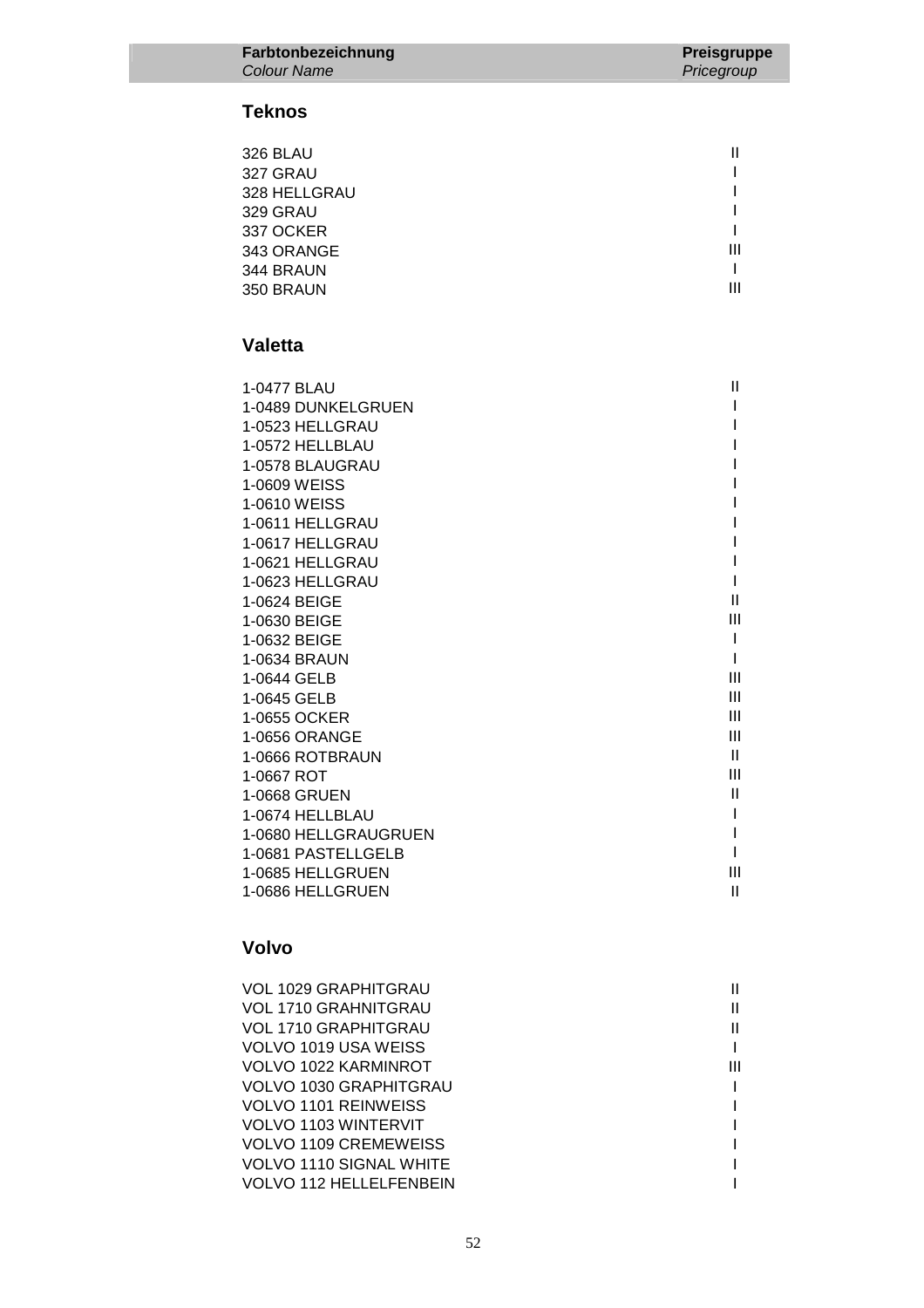### **Teknos**

| <b>326 BLAU</b> |   |
|-----------------|---|
| 327 GRAU        |   |
| 328 HELLGRAU    |   |
| 329 GRAU        |   |
| 337 OCKER       |   |
| 343 ORANGE      | Ш |
| 344 BRAUN       |   |
| 350 BRAUN       | Ш |

### **Valetta**

| 1-0477 BLAU          | Ш              |
|----------------------|----------------|
| 1-0489 DUNKELGRUEN   |                |
| 1-0523 HELLGRAU      |                |
| 1-0572 HELLBLAU      |                |
| 1-0578 BLAUGRAU      |                |
| 1-0609 WEISS         |                |
| 1-0610 WEISS         |                |
| 1-0611 HELLGRAU      |                |
| 1-0617 HELLGRAU      |                |
| 1-0621 HELLGRAU      |                |
| 1-0623 HELLGRAU      |                |
| 1-0624 BEIGE         | Ш              |
| 1-0630 BEIGE         | Ш              |
| 1-0632 BEIGE         |                |
| 1-0634 BRAUN         |                |
| 1-0644 GELB          | Ш              |
| 1-0645 GELB          | Ш              |
| 1-0655 OCKER         | Ш              |
| 1-0656 ORANGE        | Ш              |
| 1-0666 ROTBRAUN      | Ш              |
| 1-0667 ROT           | $\mathbf{III}$ |
| 1-0668 GRUEN         | Ш              |
| 1-0674 HELLBLAU      |                |
| 1-0680 HELLGRAUGRUEN |                |
| 1-0681 PASTELLGELB   |                |
| 1-0685 HELLGRUEN     | Ш              |
| 1-0686 HELLGRUEN     | Ш              |

### **Volvo**

| VOL 1029 GRAPHITGRAU    |   |
|-------------------------|---|
| VOL 1710 GRAHNITGRAU    |   |
| VOL 1710 GRAPHITGRAU    |   |
| VOLVO 1019 USA WEISS    |   |
| VOLVO 1022 KARMINROT    | Ш |
| VOLVO 1030 GRAPHITGRAU  |   |
| VOLVO 1101 REINWEISS    |   |
| VOLVO 1103 WINTERVIT    |   |
| VOLVO 1109 CREMEWEISS   |   |
| VOLVO 1110 SIGNAL WHITE |   |
| VOLVO 112 HELLELFENBEIN |   |